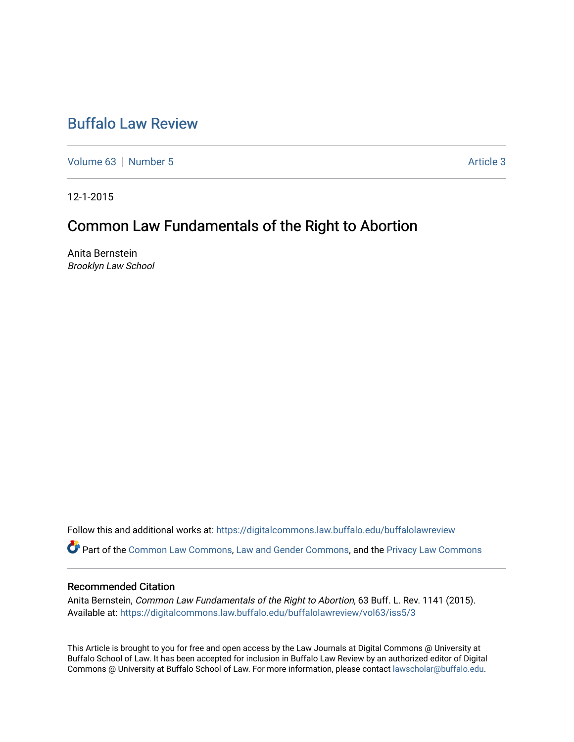# [Buffalo Law Review](https://digitalcommons.law.buffalo.edu/buffalolawreview)

[Volume 63](https://digitalcommons.law.buffalo.edu/buffalolawreview/vol63) [Number 5](https://digitalcommons.law.buffalo.edu/buffalolawreview/vol63/iss5) [Article 3](https://digitalcommons.law.buffalo.edu/buffalolawreview/vol63/iss5/3) Article 3

12-1-2015

# Common Law Fundamentals of the Right to Abortion

Anita Bernstein Brooklyn Law School

Follow this and additional works at: [https://digitalcommons.law.buffalo.edu/buffalolawreview](https://digitalcommons.law.buffalo.edu/buffalolawreview?utm_source=digitalcommons.law.buffalo.edu%2Fbuffalolawreview%2Fvol63%2Fiss5%2F3&utm_medium=PDF&utm_campaign=PDFCoverPages) 

Part of the [Common Law Commons,](http://network.bepress.com/hgg/discipline/1120?utm_source=digitalcommons.law.buffalo.edu%2Fbuffalolawreview%2Fvol63%2Fiss5%2F3&utm_medium=PDF&utm_campaign=PDFCoverPages) [Law and Gender Commons](http://network.bepress.com/hgg/discipline/1298?utm_source=digitalcommons.law.buffalo.edu%2Fbuffalolawreview%2Fvol63%2Fiss5%2F3&utm_medium=PDF&utm_campaign=PDFCoverPages), and the [Privacy Law Commons](http://network.bepress.com/hgg/discipline/1234?utm_source=digitalcommons.law.buffalo.edu%2Fbuffalolawreview%2Fvol63%2Fiss5%2F3&utm_medium=PDF&utm_campaign=PDFCoverPages)

### Recommended Citation

Anita Bernstein, Common Law Fundamentals of the Right to Abortion, 63 Buff. L. Rev. 1141 (2015). Available at: [https://digitalcommons.law.buffalo.edu/buffalolawreview/vol63/iss5/3](https://digitalcommons.law.buffalo.edu/buffalolawreview/vol63/iss5/3?utm_source=digitalcommons.law.buffalo.edu%2Fbuffalolawreview%2Fvol63%2Fiss5%2F3&utm_medium=PDF&utm_campaign=PDFCoverPages) 

This Article is brought to you for free and open access by the Law Journals at Digital Commons @ University at Buffalo School of Law. It has been accepted for inclusion in Buffalo Law Review by an authorized editor of Digital Commons @ University at Buffalo School of Law. For more information, please contact [lawscholar@buffalo.edu](mailto:lawscholar@buffalo.edu).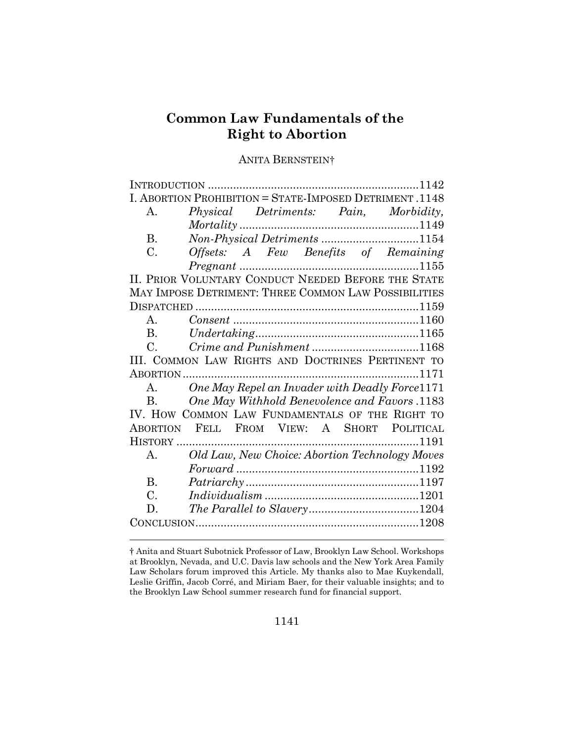# **Common Law Fundamentals of the Right to Abortion**

# ANITA BERNSTEIN†

| I. ABORTION PROHIBITION = STATE-IMPOSED DETRIMENT. 1148 |                                                                                                                                                                                                                                         |  |
|---------------------------------------------------------|-----------------------------------------------------------------------------------------------------------------------------------------------------------------------------------------------------------------------------------------|--|
| А.                                                      | Physical Detriments: Pain, Morbidity,                                                                                                                                                                                                   |  |
|                                                         |                                                                                                                                                                                                                                         |  |
| <b>B.</b>                                               | $\label{thm:1149} \begin{minipage}[c]{0.9\linewidth} \textit{Mortality} \textit{} \textit{} \textit{} \textit{} \textit{} \textit{1149} \\ \textit{Non-Physical Determines} \textit{} \textit{} \textit{} \textit{1154} \end{minipage}$ |  |
| C.                                                      | Offsets: A Few Benefits of Remaining                                                                                                                                                                                                    |  |
|                                                         |                                                                                                                                                                                                                                         |  |
| II. PRIOR VOLUNTARY CONDUCT NEEDED BEFORE THE STATE     |                                                                                                                                                                                                                                         |  |
| MAY IMPOSE DETRIMENT: THREE COMMON LAW POSSIBILITIES    |                                                                                                                                                                                                                                         |  |
|                                                         |                                                                                                                                                                                                                                         |  |
| $\mathsf{A}$                                            |                                                                                                                                                                                                                                         |  |
| B <sub>1</sub>                                          |                                                                                                                                                                                                                                         |  |
| $C_{\cdot}$                                             |                                                                                                                                                                                                                                         |  |
| III. COMMON LAW RIGHTS AND DOCTRINES PERTINENT TO       |                                                                                                                                                                                                                                         |  |
|                                                         |                                                                                                                                                                                                                                         |  |
| $\mathbf{A}$                                            | One May Repel an Invader with Deadly Force 1171                                                                                                                                                                                         |  |
| $\mathbf{B}$ .                                          | One May Withhold Benevolence and Favors .1183                                                                                                                                                                                           |  |
|                                                         | IV. HOW COMMON LAW FUNDAMENTALS OF THE RIGHT TO                                                                                                                                                                                         |  |
|                                                         | ABORTION FELL FROM VIEW: A SHORT POLITICAL                                                                                                                                                                                              |  |
|                                                         |                                                                                                                                                                                                                                         |  |
| $\mathsf{A}$ .                                          | Old Law, New Choice: Abortion Technology Moves                                                                                                                                                                                          |  |
|                                                         |                                                                                                                                                                                                                                         |  |
| <b>B.</b>                                               |                                                                                                                                                                                                                                         |  |
| C.                                                      |                                                                                                                                                                                                                                         |  |
| D.                                                      |                                                                                                                                                                                                                                         |  |
|                                                         |                                                                                                                                                                                                                                         |  |
|                                                         |                                                                                                                                                                                                                                         |  |

<sup>†</sup> Anita and Stuart Subotnick Professor of Law, Brooklyn Law School. Workshops at Brooklyn, Nevada, and U.C. Davis law schools and the New York Area Family Law Scholars forum improved this Article. My thanks also to Mae Kuykendall, Leslie Griffin, Jacob Corré, and Miriam Baer, for their valuable insights; and to the Brooklyn Law School summer research fund for financial support.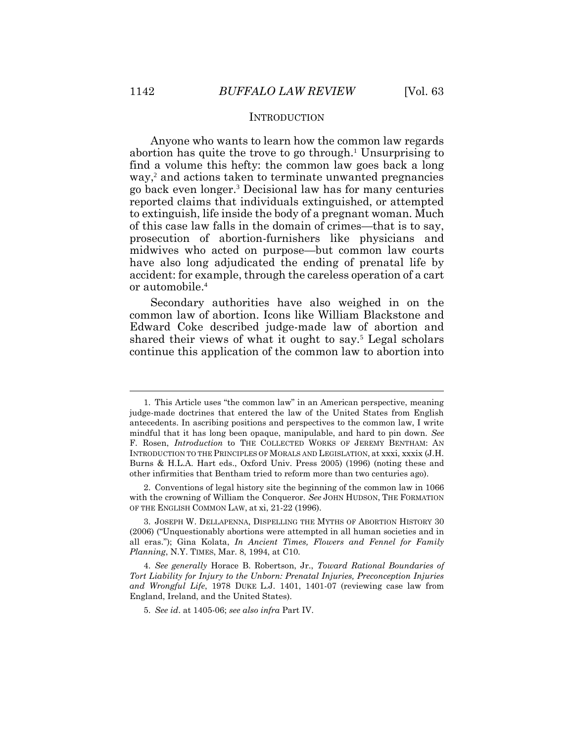## **INTRODUCTION**

Anyone who wants to learn how the common law regards abortion has quite the trove to go through.<sup>1</sup> Unsurprising to find a volume this hefty: the common law goes back a long way,<sup>2</sup> and actions taken to terminate unwanted pregnancies go back even longer.<sup>3</sup> Decisional law has for many centuries reported claims that individuals extinguished, or attempted to extinguish, life inside the body of a pregnant woman. Much of this case law falls in the domain of crimes—that is to say, prosecution of abortion-furnishers like physicians and midwives who acted on purpose—but common law courts have also long adjudicated the ending of prenatal life by accident: for example, through the careless operation of a cart or automobile.<sup>4</sup>

Secondary authorities have also weighed in on the common law of abortion. Icons like William Blackstone and Edward Coke described judge-made law of abortion and shared their views of what it ought to say.<sup>5</sup> Legal scholars continue this application of the common law to abortion into

<sup>1.</sup> This Article uses "the common law" in an American perspective, meaning judge-made doctrines that entered the law of the United States from English antecedents. In ascribing positions and perspectives to the common law, I write mindful that it has long been opaque, manipulable, and hard to pin down. *See* F. Rosen, *Introduction* to THE COLLECTED WORKS OF JEREMY BENTHAM: AN INTRODUCTION TO THE PRINCIPLES OF MORALS AND LEGISLATION, at xxxi, xxxix (J.H. Burns & H.L.A. Hart eds., Oxford Univ. Press 2005) (1996) (noting these and other infirmities that Bentham tried to reform more than two centuries ago).

<sup>2.</sup> Conventions of legal history site the beginning of the common law in 1066 with the crowning of William the Conqueror. *See* JOHN HUDSON, THE FORMATION OF THE ENGLISH COMMON LAW, at xi, 21-22 (1996).

<sup>3.</sup> JOSEPH W. DELLAPENNA, DISPELLING THE MYTHS OF ABORTION HISTORY 30 (2006) ("Unquestionably abortions were attempted in all human societies and in all eras."); Gina Kolata, *In Ancient Times, Flowers and Fennel for Family Planning*, N.Y. TIMES, Mar. 8, 1994, at C10.

<sup>4.</sup> *See generally* Horace B. Robertson, Jr., *Toward Rational Boundaries of Tort Liability for Injury to the Unborn: Prenatal Injuries, Preconception Injuries and Wrongful Life*, 1978 DUKE L.J. 1401, 1401-07 (reviewing case law from England, Ireland, and the United States).

<sup>5.</sup> *See id*. at 1405-06; *see also infra* Part IV.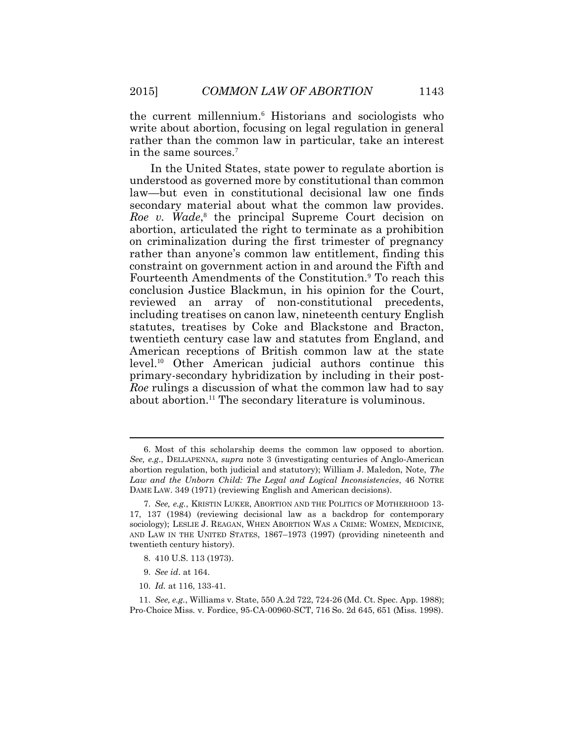the current millennium.<sup>6</sup> Historians and sociologists who write about abortion, focusing on legal regulation in general rather than the common law in particular, take an interest in the same sources.<sup>7</sup>

In the United States, state power to regulate abortion is understood as governed more by constitutional than common law—but even in constitutional decisional law one finds secondary material about what the common law provides. *Roe v. Wade*, 8 the principal Supreme Court decision on abortion, articulated the right to terminate as a prohibition on criminalization during the first trimester of pregnancy rather than anyone's common law entitlement, finding this constraint on government action in and around the Fifth and Fourteenth Amendments of the Constitution.<sup>9</sup> To reach this conclusion Justice Blackmun, in his opinion for the Court, reviewed an array of non-constitutional precedents, including treatises on canon law, nineteenth century English statutes, treatises by Coke and Blackstone and Bracton, twentieth century case law and statutes from England, and American receptions of British common law at the state level.<sup>10</sup> Other American judicial authors continue this primary-secondary hybridization by including in their post-*Roe* rulings a discussion of what the common law had to say about abortion.<sup>11</sup> The secondary literature is voluminous.

10. *Id.* at 116, 133-41.

<sup>6.</sup> Most of this scholarship deems the common law opposed to abortion. *See, e.g*., DELLAPENNA, *supra* note 3 (investigating centuries of Anglo-American abortion regulation, both judicial and statutory); William J. Maledon, Note, *The Law and the Unborn Child: The Legal and Logical Inconsistencies*, 46 NOTRE DAME LAW. 349 (1971) (reviewing English and American decisions).

<sup>7.</sup> *See, e.g.*, KRISTIN LUKER, ABORTION AND THE POLITICS OF MOTHERHOOD 13- 17, 137 (1984) (reviewing decisional law as a backdrop for contemporary sociology); LESLIE J. REAGAN, WHEN ABORTION WAS A CRIME: WOMEN, MEDICINE, AND LAW IN THE UNITED STATES, 1867–1973 (1997) (providing nineteenth and twentieth century history).

<sup>8.</sup> 410 U.S. 113 (1973).

<sup>9.</sup> *See id*. at 164.

<sup>11.</sup> *See, e.g.*, Williams v. State, 550 A.2d 722, 724-26 (Md. Ct. Spec. App. 1988); Pro-Choice Miss*.* v. Fordice, 95-CA-00960-SCT, 716 So. 2d 645, 651 (Miss. 1998).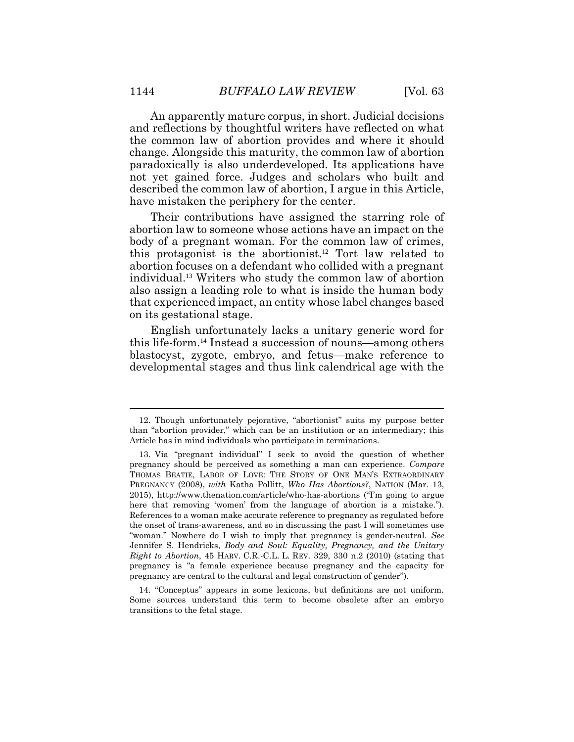An apparently mature corpus, in short. Judicial decisions and reflections by thoughtful writers have reflected on what the common law of abortion provides and where it should change. Alongside this maturity, the common law of abortion paradoxically is also underdeveloped. Its applications have not yet gained force. Judges and scholars who built and described the common law of abortion, I argue in this Article, have mistaken the periphery for the center.

Their contributions have assigned the starring role of abortion law to someone whose actions have an impact on the body of a pregnant woman. For the common law of crimes, this protagonist is the abortionist.<sup>12</sup> Tort law related to abortion focuses on a defendant who collided with a pregnant individual.<sup>13</sup> Writers who study the common law of abortion also assign a leading role to what is inside the human body that experienced impact, an entity whose label changes based on its gestational stage.

English unfortunately lacks a unitary generic word for this life-form.<sup>14</sup> Instead a succession of nouns—among others blastocyst, zygote, embryo, and fetus—make reference to developmental stages and thus link calendrical age with the

<sup>12.</sup> Though unfortunately pejorative, "abortionist" suits my purpose better than "abortion provider," which can be an institution or an intermediary; this Article has in mind individuals who participate in terminations.

<sup>13.</sup> Via "pregnant individual" I seek to avoid the question of whether pregnancy should be perceived as something a man can experience. *Compare* THOMAS BEATIE, LABOR OF LOVE: THE STORY OF ONE MAN'S EXTRAORDINARY PREGNANCY (2008), *with* Katha Pollitt, *Who Has Abortions?*, NATION (Mar. 13, 2015), http://www.thenation.com/article/who-has-abortions ("I'm going to argue here that removing 'women' from the language of abortion is a mistake."). References to a woman make accurate reference to pregnancy as regulated before the onset of trans-awareness, and so in discussing the past I will sometimes use "woman." Nowhere do I wish to imply that pregnancy is gender-neutral. *See*  Jennifer S. Hendricks, *Body and Soul: Equality, Pregnancy, and the Unitary Right to Abortion*, 45 HARV. C.R.-C.L. L. REV. 329, 330 n.2 (2010) (stating that pregnancy is "a female experience because pregnancy and the capacity for pregnancy are central to the cultural and legal construction of gender").

<sup>14.</sup> "Conceptus" appears in some lexicons, but definitions are not uniform. Some sources understand this term to become obsolete after an embryo transitions to the fetal stage.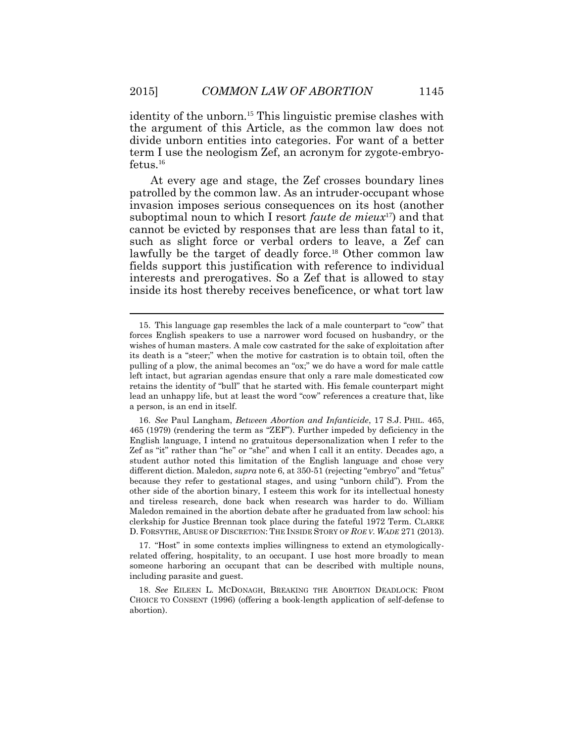identity of the unborn.<sup>15</sup> This linguistic premise clashes with the argument of this Article, as the common law does not divide unborn entities into categories. For want of a better term I use the neologism Zef, an acronym for zygote-embryofetus.<sup>16</sup>

At every age and stage, the Zef crosses boundary lines patrolled by the common law. As an intruder-occupant whose invasion imposes serious consequences on its host (another suboptimal noun to which I resort *faute de mieux*17) and that cannot be evicted by responses that are less than fatal to it, such as slight force or verbal orders to leave, a Zef can lawfully be the target of deadly force.<sup>18</sup> Other common law fields support this justification with reference to individual interests and prerogatives. So a Zef that is allowed to stay inside its host thereby receives beneficence, or what tort law

17. "Host" in some contexts implies willingness to extend an etymologicallyrelated offering, hospitality, to an occupant. I use host more broadly to mean someone harboring an occupant that can be described with multiple nouns, including parasite and guest.

<sup>15.</sup> This language gap resembles the lack of a male counterpart to "cow" that forces English speakers to use a narrower word focused on husbandry, or the wishes of human masters. A male cow castrated for the sake of exploitation after its death is a "steer;" when the motive for castration is to obtain toil, often the pulling of a plow, the animal becomes an "ox;" we do have a word for male cattle left intact, but agrarian agendas ensure that only a rare male domesticated cow retains the identity of "bull" that he started with. His female counterpart might lead an unhappy life, but at least the word "cow" references a creature that, like a person, is an end in itself.

<sup>16.</sup> *See* Paul Langham, *Between Abortion and Infanticide*, 17 S.J. PHIL. 465, 465 (1979) (rendering the term as "ZEF"). Further impeded by deficiency in the English language, I intend no gratuitous depersonalization when I refer to the Zef as "it" rather than "he" or "she" and when I call it an entity. Decades ago, a student author noted this limitation of the English language and chose very different diction. Maledon, *supra* note 6, at 350-51 (rejecting "embryo" and "fetus" because they refer to gestational stages, and using "unborn child"). From the other side of the abortion binary, I esteem this work for its intellectual honesty and tireless research, done back when research was harder to do. William Maledon remained in the abortion debate after he graduated from law school: his clerkship for Justice Brennan took place during the fateful 1972 Term. CLARKE D. FORSYTHE, ABUSE OF DISCRETION: THE INSIDE STORY OF *ROE V. WADE* 271 (2013).

<sup>18.</sup> *See* EILEEN L. MCDONAGH, BREAKING THE ABORTION DEADLOCK: FROM CHOICE TO CONSENT (1996) (offering a book-length application of self-defense to abortion).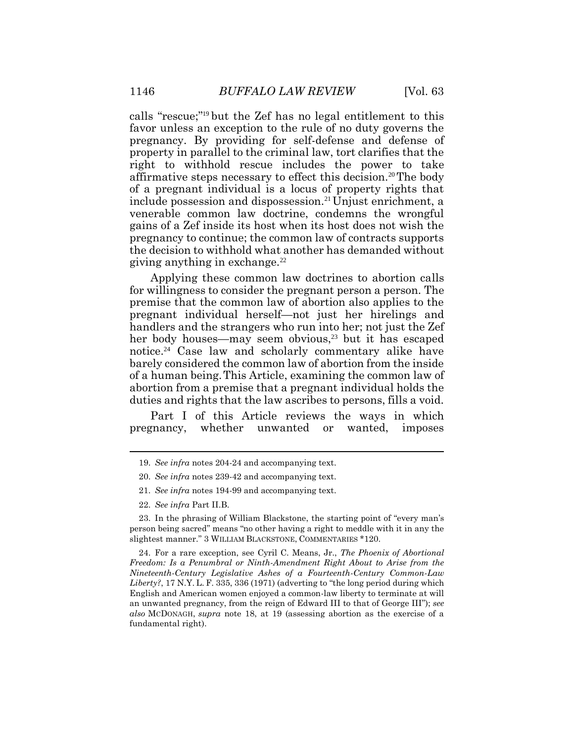calls "rescue;" <sup>19</sup> but the Zef has no legal entitlement to this favor unless an exception to the rule of no duty governs the pregnancy. By providing for self-defense and defense of property in parallel to the criminal law, tort clarifies that the right to withhold rescue includes the power to take affirmative steps necessary to effect this decision.20The body of a pregnant individual is a locus of property rights that include possession and dispossession.<sup>21</sup> Unjust enrichment, a venerable common law doctrine, condemns the wrongful gains of a Zef inside its host when its host does not wish the pregnancy to continue; the common law of contracts supports the decision to withhold what another has demanded without giving anything in exchange. $^{22}$ 

Applying these common law doctrines to abortion calls for willingness to consider the pregnant person a person. The premise that the common law of abortion also applies to the pregnant individual herself—not just her hirelings and handlers and the strangers who run into her; not just the Zef her body houses—may seem obvious,<sup>23</sup> but it has escaped notice. <sup>24</sup> Case law and scholarly commentary alike have barely considered the common law of abortion from the inside of a human being.This Article, examining the common law of abortion from a premise that a pregnant individual holds the duties and rights that the law ascribes to persons, fills a void.

Part I of this Article reviews the ways in which pregnancy, whether unwanted or wanted, imposes

- 21. *See infra* notes 194-99 and accompanying text.
- 22. *See infra* Part II.B.

23. In the phrasing of William Blackstone, the starting point of "every man's person being sacred" means "no other having a right to meddle with it in any the slightest manner." 3 WILLIAM BLACKSTONE, COMMENTARIES \*120.

24. For a rare exception, see Cyril C. Means, Jr., *The Phoenix of Abortional Freedom: Is a Penumbral or Ninth-Amendment Right About to Arise from the Nineteenth-Century Legislative Ashes of a Fourteenth-Century Common-Law Liberty?*, 17 N.Y. L. F. 335, 336 (1971) (adverting to "the long period during which English and American women enjoyed a common-law liberty to terminate at will an unwanted pregnancy, from the reign of Edward III to that of George III"); *see also* MCDONAGH, *supra* note 18, at 19 (assessing abortion as the exercise of a fundamental right).

<sup>19.</sup> *See infra* notes 204-24 and accompanying text.

<sup>20.</sup> *See infra* notes 239-42 and accompanying text.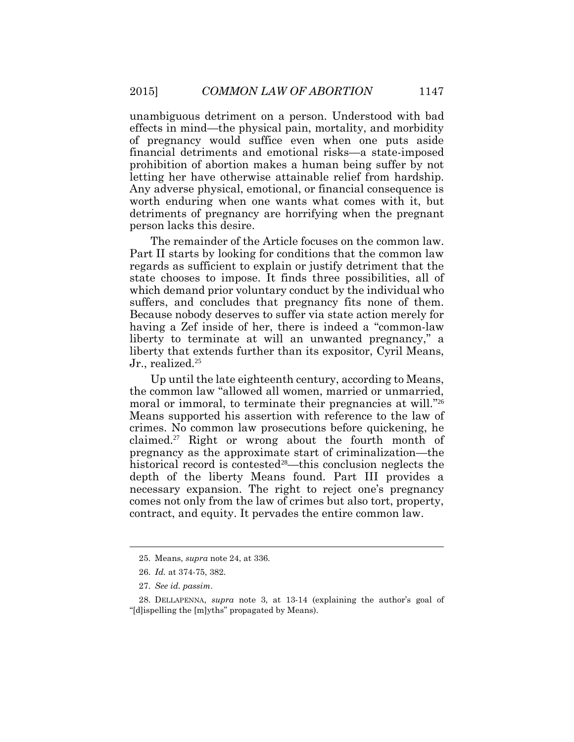unambiguous detriment on a person. Understood with bad effects in mind—the physical pain, mortality, and morbidity of pregnancy would suffice even when one puts aside financial detriments and emotional risks—a state-imposed prohibition of abortion makes a human being suffer by not letting her have otherwise attainable relief from hardship. Any adverse physical, emotional, or financial consequence is worth enduring when one wants what comes with it, but detriments of pregnancy are horrifying when the pregnant person lacks this desire.

The remainder of the Article focuses on the common law. Part II starts by looking for conditions that the common law regards as sufficient to explain or justify detriment that the state chooses to impose. It finds three possibilities, all of which demand prior voluntary conduct by the individual who suffers, and concludes that pregnancy fits none of them. Because nobody deserves to suffer via state action merely for having a Zef inside of her, there is indeed a "common-law liberty to terminate at will an unwanted pregnancy," a liberty that extends further than its expositor, Cyril Means, Jr., realized.<sup>25</sup>

Up until the late eighteenth century, according to Means, the common law "allowed all women, married or unmarried, moral or immoral, to terminate their pregnancies at will."<sup>26</sup> Means supported his assertion with reference to the law of crimes. No common law prosecutions before quickening, he claimed.<sup>27</sup> Right or wrong about the fourth month of pregnancy as the approximate start of criminalization—the historical record is contested<sup>28</sup>—this conclusion neglects the depth of the liberty Means found. Part III provides a necessary expansion. The right to reject one's pregnancy comes not only from the law of crimes but also tort, property, contract, and equity. It pervades the entire common law.

<sup>25.</sup> Means, *supra* note 24, at 336.

<sup>26.</sup> *Id.* at 374-75, 382.

<sup>27.</sup> *See id. passim*.

<sup>28.</sup> DELLAPENNA, *supra* note 3, at 13-14 (explaining the author's goal of "[d]ispelling the [m]yths" propagated by Means).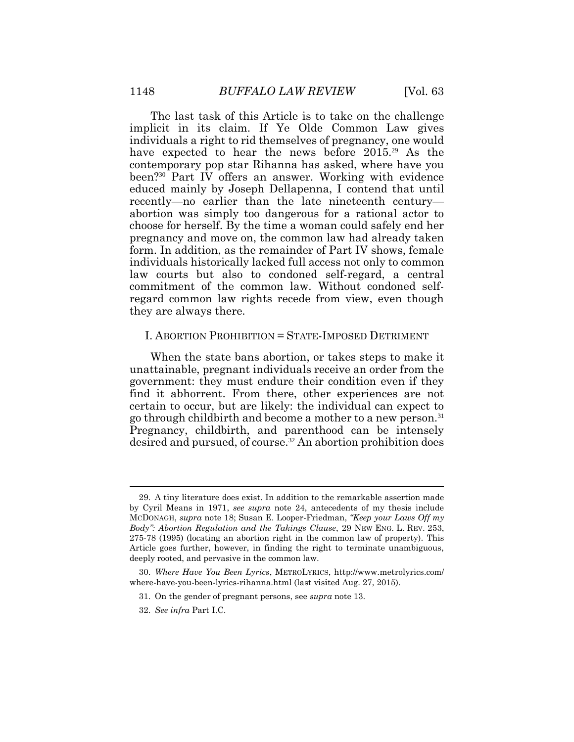The last task of this Article is to take on the challenge implicit in its claim. If Ye Olde Common Law gives individuals a right to rid themselves of pregnancy, one would have expected to hear the news before 2015<sup>29</sup> As the contemporary pop star Rihanna has asked, where have you been?30 Part IV offers an answer. Working with evidence educed mainly by Joseph Dellapenna, I contend that until recently—no earlier than the late nineteenth century abortion was simply too dangerous for a rational actor to choose for herself. By the time a woman could safely end her pregnancy and move on, the common law had already taken form. In addition, as the remainder of Part IV shows, female individuals historically lacked full access not only to common law courts but also to condoned self-regard, a central commitment of the common law. Without condoned selfregard common law rights recede from view, even though they are always there.

### I. ABORTION PROHIBITION = STATE-IMPOSED DETRIMENT

When the state bans abortion, or takes steps to make it unattainable, pregnant individuals receive an order from the government: they must endure their condition even if they find it abhorrent. From there, other experiences are not certain to occur, but are likely: the individual can expect to go through childbirth and become a mother to a new person.<sup>31</sup> Pregnancy, childbirth, and parenthood can be intensely desired and pursued, of course.32 An abortion prohibition does

 $\overline{a}$ 

<sup>29.</sup> A tiny literature does exist. In addition to the remarkable assertion made by Cyril Means in 1971, *see supra* note 24, antecedents of my thesis include MCDONAGH, *supra* note 18; Susan E. Looper-Friedman, *"Keep your Laws Off my Body": Abortion Regulation and the Takings Clause*, 29 NEW ENG. L. REV. 253, 275-78 (1995) (locating an abortion right in the common law of property). This Article goes further, however, in finding the right to terminate unambiguous, deeply rooted, and pervasive in the common law.

<sup>30.</sup> *Where Have You Been Lyrics*, METROLYRICS, http://www.metrolyrics.com/ where-have-you-been-lyrics-rihanna.html (last visited Aug. 27, 2015).

<sup>31.</sup> On the gender of pregnant persons, see *supra* note 13.

<sup>32.</sup> *See infra* Part I.C.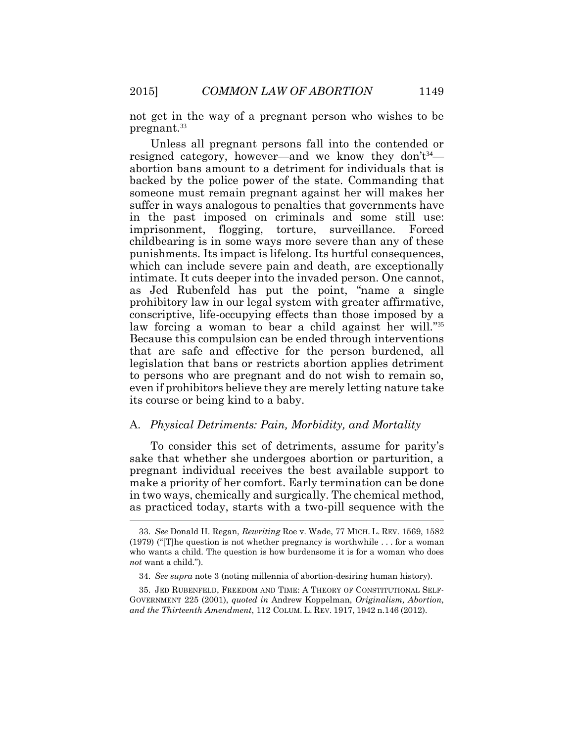not get in the way of a pregnant person who wishes to be pregnant.<sup>33</sup>

Unless all pregnant persons fall into the contended or resigned category, however—and we know they don't<sup>34</sup> abortion bans amount to a detriment for individuals that is backed by the police power of the state. Commanding that someone must remain pregnant against her will makes her suffer in ways analogous to penalties that governments have in the past imposed on criminals and some still use: imprisonment, flogging, torture, surveillance. Forced childbearing is in some ways more severe than any of these punishments. Its impact is lifelong. Its hurtful consequences, which can include severe pain and death, are exceptionally intimate. It cuts deeper into the invaded person. One cannot, as Jed Rubenfeld has put the point, "name a single prohibitory law in our legal system with greater affirmative, conscriptive, life-occupying effects than those imposed by a law forcing a woman to bear a child against her will."35 Because this compulsion can be ended through interventions that are safe and effective for the person burdened, all legislation that bans or restricts abortion applies detriment to persons who are pregnant and do not wish to remain so, even if prohibitors believe they are merely letting nature take its course or being kind to a baby.

#### A. *Physical Detriments: Pain, Morbidity, and Mortality*

To consider this set of detriments, assume for parity's sake that whether she undergoes abortion or parturition, a pregnant individual receives the best available support to make a priority of her comfort. Early termination can be done in two ways, chemically and surgically. The chemical method, as practiced today, starts with a two-pill sequence with the  $\overline{a}$ 

<sup>33.</sup> *See* Donald H. Regan, *Rewriting* Roe v. Wade, 77 MICH. L. REV. 1569, 1582 (1979) ("[T]he question is not whether pregnancy is worthwhile . . . for a woman who wants a child. The question is how burdensome it is for a woman who does *not* want a child.").

<sup>34.</sup> *See supra* note 3 (noting millennia of abortion-desiring human history).

<sup>35.</sup> JED RUBENFELD, FREEDOM AND TIME: A THEORY OF CONSTITUTIONAL SELF-GOVERNMENT 225 (2001), *quoted in* Andrew Koppelman, *Originalism, Abortion, and the Thirteenth Amendment*, 112 COLUM. L. REV. 1917, 1942 n.146 (2012).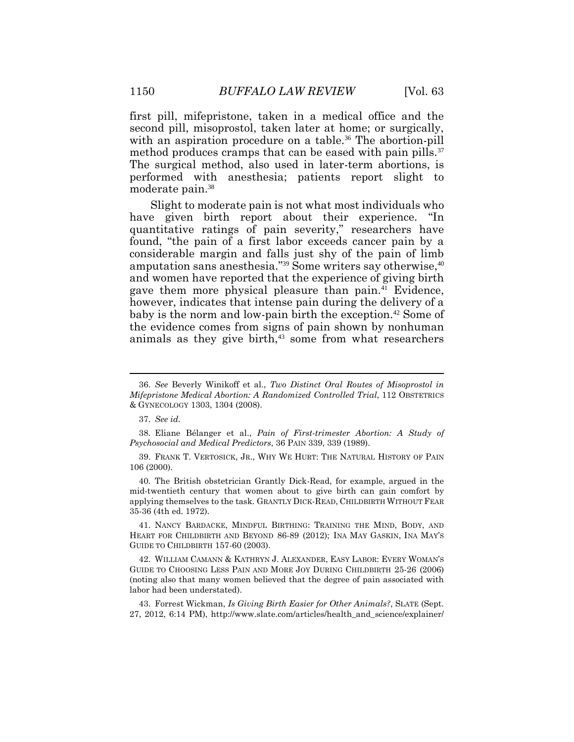first pill, mifepristone, taken in a medical office and the second pill, misoprostol, taken later at home; or surgically, with an aspiration procedure on a table.<sup>36</sup> The abortion-pill method produces cramps that can be eased with pain pills.<sup>37</sup> The surgical method, also used in later-term abortions, is performed with anesthesia; patients report slight to moderate pain.<sup>38</sup>

Slight to moderate pain is not what most individuals who have given birth report about their experience. "In quantitative ratings of pain severity," researchers have found, "the pain of a first labor exceeds cancer pain by a considerable margin and falls just shy of the pain of limb amputation sans anesthesia."<sup>39</sup> Some writers say otherwise,<sup>40</sup> and women have reported that the experience of giving birth gave them more physical pleasure than pain.<sup>41</sup> Evidence, however, indicates that intense pain during the delivery of a baby is the norm and low-pain birth the exception.<sup>42</sup> Some of the evidence comes from signs of pain shown by nonhuman animals as they give birth, $43$  some from what researchers

<sup>36.</sup> *See* Beverly Winikoff et al., *Two Distinct Oral Routes of Misoprostol in Mifepristone Medical Abortion: A Randomized Controlled Trial*, 112 OBSTETRICS & GYNECOLOGY 1303, 1304 (2008).

<sup>37.</sup> *See id.*

<sup>38.</sup> Eliane Bélanger et al., *Pain of First-trimester Abortion: A Study of Psychosocial and Medical Predictors*, 36 PAIN 339, 339 (1989).

<sup>39.</sup> FRANK T. VERTOSICK, JR., WHY WE HURT: THE NATURAL HISTORY OF PAIN 106 (2000).

<sup>40.</sup> The British obstetrician Grantly Dick-Read, for example, argued in the mid-twentieth century that women about to give birth can gain comfort by applying themselves to the task. GRANTLY DICK-READ, CHILDBIRTH WITHOUT FEAR 35-36 (4th ed. 1972).

<sup>41.</sup> NANCY BARDACKE, MINDFUL BIRTHING: TRAINING THE MIND, BODY, AND HEART FOR CHILDBIRTH AND BEYOND 86-89 (2012); INA MAY GASKIN, INA MAY'S GUIDE TO CHILDBIRTH 157-60 (2003).

<sup>42.</sup> WILLIAM CAMANN & KATHRYN J. ALEXANDER, EASY LABOR: EVERY WOMAN'S GUIDE TO CHOOSING LESS PAIN AND MORE JOY DURING CHILDBIRTH 25-26 (2006) (noting also that many women believed that the degree of pain associated with labor had been understated).

<sup>43.</sup> Forrest Wickman, *Is Giving Birth Easier for Other Animals?*, SLATE (Sept. 27, 2012, 6:14 PM), http://www.slate.com/articles/health\_and\_science/explainer/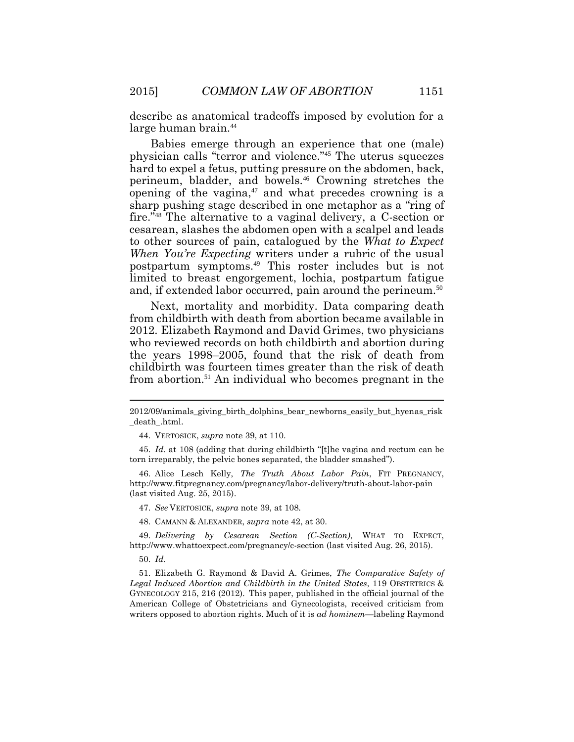describe as anatomical tradeoffs imposed by evolution for a large human brain.<sup>44</sup>

Babies emerge through an experience that one (male) physician calls "terror and violence." <sup>45</sup> The uterus squeezes hard to expel a fetus, putting pressure on the abdomen, back, perineum, bladder, and bowels.<sup>46</sup> Crowning stretches the opening of the vagina, $47$  and what precedes crowning is a sharp pushing stage described in one metaphor as a "ring of fire." <sup>48</sup> The alternative to a vaginal delivery, a C-section or cesarean, slashes the abdomen open with a scalpel and leads to other sources of pain, catalogued by the *What to Expect When You're Expecting* writers under a rubric of the usual postpartum symptoms.<sup>49</sup> This roster includes but is not limited to breast engorgement, lochia, postpartum fatigue and, if extended labor occurred, pain around the perineum.<sup>50</sup>

Next, mortality and morbidity. Data comparing death from childbirth with death from abortion became available in 2012. Elizabeth Raymond and David Grimes, two physicians who reviewed records on both childbirth and abortion during the years 1998–2005, found that the risk of death from childbirth was fourteen times greater than the risk of death from abortion.<sup>51</sup> An individual who becomes pregnant in the

44. VERTOSICK, *supra* note 39, at 110.

45. *Id.* at 108 (adding that during childbirth "[t]he vagina and rectum can be torn irreparably, the pelvic bones separated, the bladder smashed").

46. Alice Lesch Kelly, *The Truth About Labor Pain*, FIT PREGNANCY, http://www.fitpregnancy.com/pregnancy/labor-delivery/truth-about-labor-pain (last visited Aug. 25, 2015).

47. *See* VERTOSICK, *supra* note 39, at 108.

48. CAMANN & ALEXANDER, *supra* note 42, at 30.

49. *Delivering by Cesarean Section (C-Section)*, WHAT TO EXPECT, http://www.whattoexpect.com/pregnancy/c-section (last visited Aug. 26, 2015).

50. *Id.*

51. Elizabeth G. Raymond & David A. Grimes, *The Comparative Safety of Legal Induced Abortion and Childbirth in the United States*, 119 OBSTETRICS & GYNECOLOGY 215, 216 (2012). This paper, published in the official journal of the American College of Obstetricians and Gynecologists, received criticism from writers opposed to abortion rights. Much of it is *ad hominem*—labeling Raymond

<sup>2012/09/</sup>animals\_giving\_birth\_dolphins\_bear\_newborns\_easily\_but\_hyenas\_risk \_death\_.html.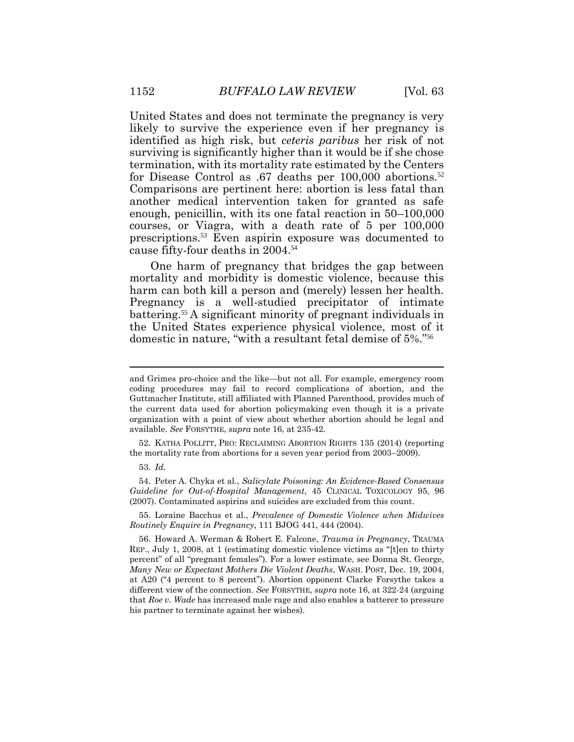United States and does not terminate the pregnancy is very likely to survive the experience even if her pregnancy is identified as high risk, but *ceteris paribus* her risk of not surviving is significantly higher than it would be if she chose termination, with its mortality rate estimated by the Centers for Disease Control as .67 deaths per 100,000 abortions.<sup>52</sup> Comparisons are pertinent here: abortion is less fatal than another medical intervention taken for granted as safe enough, penicillin, with its one fatal reaction in 50–100,000 courses, or Viagra, with a death rate of 5 per 100,000 prescriptions.<sup>53</sup> Even aspirin exposure was documented to cause fifty-four deaths in 2004. 54

One harm of pregnancy that bridges the gap between mortality and morbidity is domestic violence, because this harm can both kill a person and (merely) lessen her health. Pregnancy is a well-studied precipitator of intimate battering.<sup>55</sup> A significant minority of pregnant individuals in the United States experience physical violence, most of it domestic in nature, "with a resultant fetal demise of 5%." 56

52. KATHA POLLITT, PRO: RECLAIMING ABORTION RIGHTS 135 (2014) (reporting the mortality rate from abortions for a seven year period from 2003–2009).

53. *Id.*

54. Peter A. Chyka et al., *Salicylate Poisoning: An Evidence-Based Consensus Guideline for Out-of-Hospital Management*, 45 CLINICAL TOXICOLOGY 95, 96 (2007). Contaminated aspirins and suicides are excluded from this count.

55. Loraine Bacchus et al., *Prevalence of Domestic Violence when Midwives Routinely Enquire in Pregnancy*, 111 BJOG 441, 444 (2004).

56. Howard A. Werman & Robert E. Falcone, *Trauma in Pregnancy*, TRAUMA REP., July 1, 2008, at 1 (estimating domestic violence victims as "[t]en to thirty percent" of all "pregnant females"). For a lower estimate, see Donna St. George, *Many New or Expectant Mothers Die Violent Deaths*, WASH. POST, Dec. 19, 2004, at A20 ("4 percent to 8 percent"). Abortion opponent Clarke Forsythe takes a different view of the connection. *See* FORSYTHE, *supra* note 16, at 322-24 (arguing that *Roe v. Wade* has increased male rage and also enables a batterer to pressure his partner to terminate against her wishes).

and Grimes pro-choice and the like—but not all. For example, emergency room coding procedures may fail to record complications of abortion, and the Guttmacher Institute, still affiliated with Planned Parenthood, provides much of the current data used for abortion policymaking even though it is a private organization with a point of view about whether abortion should be legal and available. *See* FORSYTHE, *supra* note 16, at 235-42.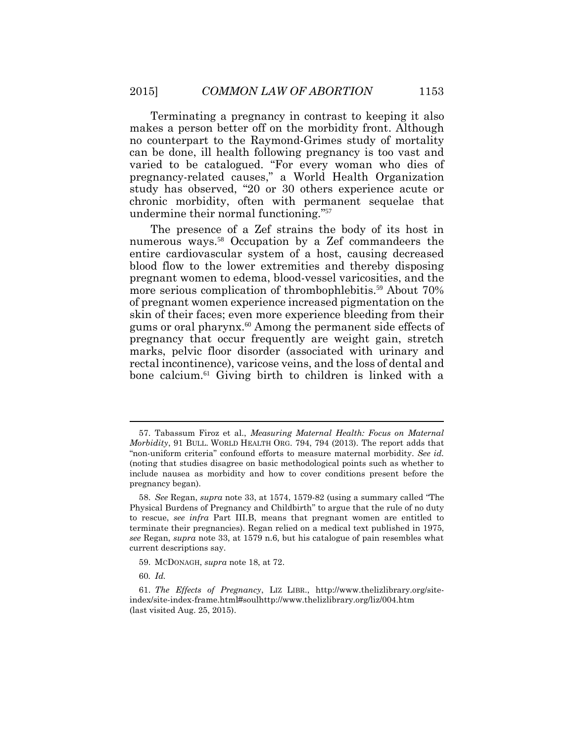Terminating a pregnancy in contrast to keeping it also makes a person better off on the morbidity front. Although no counterpart to the Raymond-Grimes study of mortality can be done, ill health following pregnancy is too vast and varied to be catalogued. "For every woman who dies of pregnancy-related causes," a World Health Organization study has observed, "20 or 30 others experience acute or chronic morbidity, often with permanent sequelae that undermine their normal functioning." 57

The presence of a Zef strains the body of its host in numerous ways.<sup>58</sup> Occupation by a Zef commandeers the entire cardiovascular system of a host, causing decreased blood flow to the lower extremities and thereby disposing pregnant women to edema, blood-vessel varicosities, and the more serious complication of thrombophlebitis.<sup>59</sup> About 70% of pregnant women experience increased pigmentation on the skin of their faces; even more experience bleeding from their gums or oral pharynx.<sup>60</sup> Among the permanent side effects of pregnancy that occur frequently are weight gain, stretch marks, pelvic floor disorder (associated with urinary and rectal incontinence), varicose veins, and the loss of dental and bone calcium.<sup>61</sup> Giving birth to children is linked with a

<sup>57.</sup> Tabassum Firoz et al., *Measuring Maternal Health: Focus on Maternal Morbidity*, 91 BULL. WORLD HEALTH ORG. 794, 794 (2013). The report adds that "non-uniform criteria" confound efforts to measure maternal morbidity. *See id.* (noting that studies disagree on basic methodological points such as whether to include nausea as morbidity and how to cover conditions present before the pregnancy began).

<sup>58.</sup> *See* Regan, *supra* note 33, at 1574, 1579-82 (using a summary called "The Physical Burdens of Pregnancy and Childbirth" to argue that the rule of no duty to rescue, *see infra* Part III.B, means that pregnant women are entitled to terminate their pregnancies). Regan relied on a medical text published in 1975, *see* Regan, *supra* note 33, at 1579 n.6, but his catalogue of pain resembles what current descriptions say.

<sup>59.</sup> MCDONAGH, *supra* note 18, at 72.

<sup>60</sup>*. Id.*

<sup>61.</sup> *The Effects of Pregnancy*, LIZ LIBR., http://www.thelizlibrary.org/siteindex/site-index-frame.html#soulhttp://www.thelizlibrary.org/liz/004.htm (last visited Aug. 25, 2015).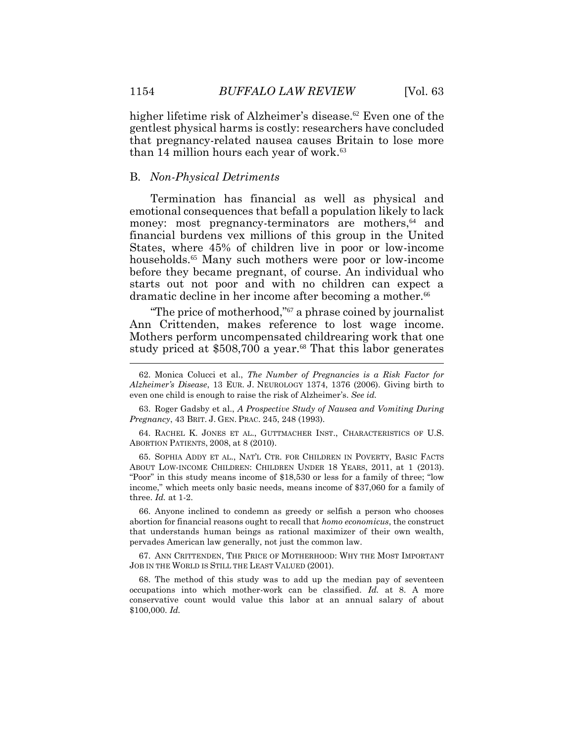higher lifetime risk of Alzheimer's disease.<sup>62</sup> Even one of the gentlest physical harms is costly: researchers have concluded that pregnancy-related nausea causes Britain to lose more than 14 million hours each year of work.<sup>63</sup>

#### B. *Non-Physical Detriments*

Termination has financial as well as physical and emotional consequences that befall a population likely to lack money: most pregnancy-terminators are mothers,<sup>64</sup> and financial burdens vex millions of this group in the United States, where 45% of children live in poor or low-income households.<sup>65</sup> Many such mothers were poor or low-income before they became pregnant, of course. An individual who starts out not poor and with no children can expect a dramatic decline in her income after becoming a mother.<sup>66</sup>

"The price of motherhood," <sup>67</sup> a phrase coined by journalist Ann Crittenden, makes reference to lost wage income. Mothers perform uncompensated childrearing work that one study priced at \$508,700 a year.<sup>68</sup> That this labor generates Ī

63. Roger Gadsby et al., *A Prospective Study of Nausea and Vomiting During Pregnancy*, 43 BRIT. J. GEN. PRAC. 245, 248 (1993).

64. RACHEL K. JONES ET AL., GUTTMACHER INST., CHARACTERISTICS OF U.S. ABORTION PATIENTS, 2008, at 8 (2010).

65. SOPHIA ADDY ET AL., NAT'L CTR. FOR CHILDREN IN POVERTY, BASIC FACTS ABOUT LOW-INCOME CHILDREN: CHILDREN UNDER 18 YEARS, 2011, at 1 (2013). "Poor" in this study means income of \$18,530 or less for a family of three; "low income," which meets only basic needs, means income of \$37,060 for a family of three. *Id.* at 1-2.

66. Anyone inclined to condemn as greedy or selfish a person who chooses abortion for financial reasons ought to recall that *homo economicus*, the construct that understands human beings as rational maximizer of their own wealth, pervades American law generally, not just the common law.

67. ANN CRITTENDEN, THE PRICE OF MOTHERHOOD: WHY THE MOST IMPORTANT JOB IN THE WORLD IS STILL THE LEAST VALUED (2001).

68. The method of this study was to add up the median pay of seventeen occupations into which mother-work can be classified. *Id.* at 8. A more conservative count would value this labor at an annual salary of about \$100,000. *Id.*

<sup>62.</sup> Monica Colucci et al., *The Number of Pregnancies is a Risk Factor for Alzheimer's Disease*, 13 EUR. J. NEUROLOGY 1374, 1376 (2006). Giving birth to even one child is enough to raise the risk of Alzheimer's. *See id.*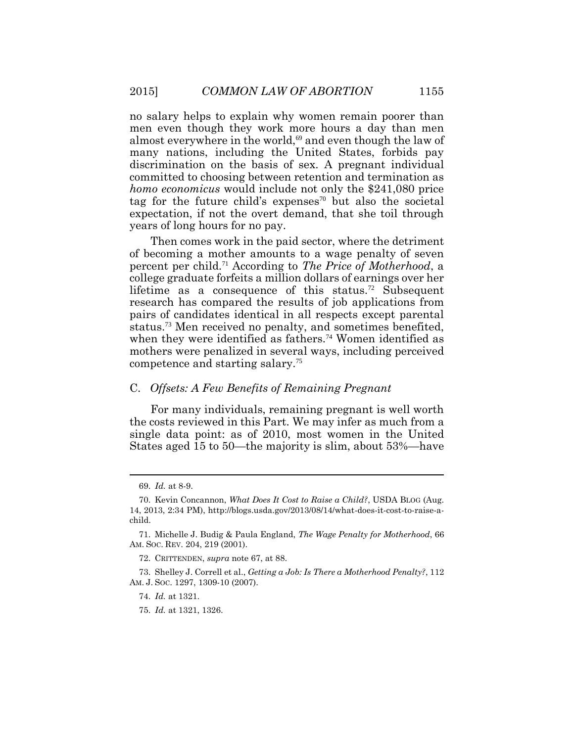no salary helps to explain why women remain poorer than men even though they work more hours a day than men almost everywhere in the world,<sup>69</sup> and even though the law of many nations, including the United States, forbids pay discrimination on the basis of sex. A pregnant individual committed to choosing between retention and termination as *homo economicus* would include not only the \$241,080 price tag for the future child's expenses<sup>70</sup> but also the societal expectation, if not the overt demand, that she toil through years of long hours for no pay.

Then comes work in the paid sector, where the detriment of becoming a mother amounts to a wage penalty of seven percent per child.71 According to *The Price of Motherhood*, a college graduate forfeits a million dollars of earnings over her lifetime as a consequence of this status.<sup>72</sup> Subsequent research has compared the results of job applications from pairs of candidates identical in all respects except parental status.73 Men received no penalty, and sometimes benefited, when they were identified as fathers.<sup>74</sup> Women identified as mothers were penalized in several ways, including perceived competence and starting salary.<sup>75</sup>

### C. *Offsets: A Few Benefits of Remaining Pregnant*

For many individuals, remaining pregnant is well worth the costs reviewed in this Part. We may infer as much from a single data point: as of 2010, most women in the United States aged 15 to 50—the majority is slim, about 53%—have

 $\overline{a}$ 

<sup>69.</sup> *Id.* at 8-9.

<sup>70.</sup> Kevin Concannon, *What Does It Cost to Raise a Child?*, USDA BLOG (Aug. 14, 2013, 2:34 PM), http://blogs.usda.gov/2013/08/14/what-does-it-cost-to-raise-achild.

<sup>71.</sup> Michelle J. Budig & Paula England, *The Wage Penalty for Motherhood*, 66 AM. SOC. REV. 204, 219 (2001).

<sup>72.</sup> CRITTENDEN, *supra* note 67, at 88.

<sup>73.</sup> Shelley J. Correll et al., *Getting a Job: Is There a Motherhood Penalty?*, 112 AM. J. SOC. 1297, 1309-10 (2007).

<sup>74.</sup> *Id.* at 1321.

<sup>75.</sup> *Id.* at 1321, 1326.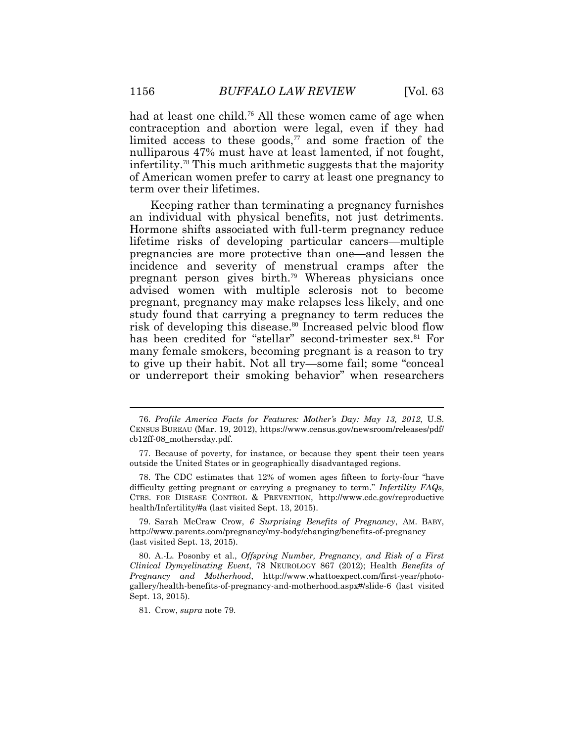had at least one child.<sup>76</sup> All these women came of age when contraception and abortion were legal, even if they had limited access to these goods, $77$  and some fraction of the nulliparous 47% must have at least lamented, if not fought, infertility.<sup>78</sup> This much arithmetic suggests that the majority of American women prefer to carry at least one pregnancy to term over their lifetimes.

Keeping rather than terminating a pregnancy furnishes an individual with physical benefits, not just detriments. Hormone shifts associated with full-term pregnancy reduce lifetime risks of developing particular cancers—multiple pregnancies are more protective than one—and lessen the incidence and severity of menstrual cramps after the pregnant person gives birth.<sup>79</sup> Whereas physicians once advised women with multiple sclerosis not to become pregnant, pregnancy may make relapses less likely, and one study found that carrying a pregnancy to term reduces the risk of developing this disease.<sup>80</sup> Increased pelvic blood flow has been credited for "stellar" second-trimester sex. <sup>81</sup> For many female smokers, becoming pregnant is a reason to try to give up their habit. Not all try—some fail; some "conceal or underreport their smoking behavior" when researchers

78. The CDC estimates that 12% of women ages fifteen to forty-four "have difficulty getting pregnant or carrying a pregnancy to term." *Infertility FAQs*, CTRS. FOR DISEASE CONTROL & PREVENTION, http://www.cdc.gov/reproductive health/Infertility/#a (last visited Sept. 13, 2015).

79. Sarah McCraw Crow, *6 Surprising Benefits of Pregnancy*, AM. BABY, http://www.parents.com/pregnancy/my-body/changing/benefits-of-pregnancy (last visited Sept. 13, 2015).

80. A.-L. Posonby et al., *Offspring Number, Pregnancy, and Risk of a First Clinical Dymyelinating Event*, 78 NEUROLOGY 867 (2012); Health *Benefits of Pregnancy and Motherhood*, http://www.whattoexpect.com/first-year/photogallery/health-benefits-of-pregnancy-and-motherhood.aspx#/slide-6 (last visited Sept. 13, 2015).

81. Crow, *supra* note 79.

<sup>76.</sup> *Profile America Facts for Features: Mother's Day: May 13, 2012*, U.S. CENSUS BUREAU (Mar. 19, 2012), https://www.census.gov/newsroom/releases/pdf/ cb12ff-08\_mothersday.pdf.

<sup>77.</sup> Because of poverty, for instance, or because they spent their teen years outside the United States or in geographically disadvantaged regions.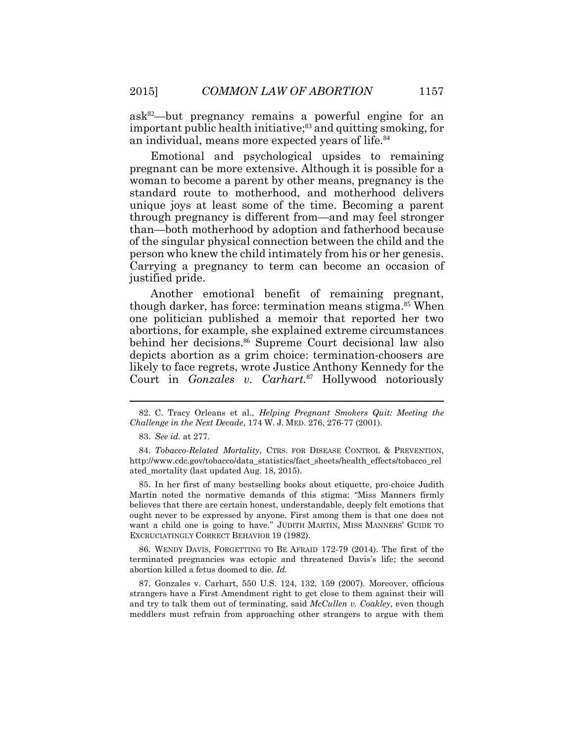$ask^{82}$ —but pregnancy remains a powerful engine for an important public health initiative;<sup>83</sup> and quitting smoking, for an individual, means more expected years of life.<sup>84</sup>

Emotional and psychological upsides to remaining pregnant can be more extensive. Although it is possible for a woman to become a parent by other means, pregnancy is the standard route to motherhood, and motherhood delivers unique joys at least some of the time. Becoming a parent through pregnancy is different from—and may feel stronger than—both motherhood by adoption and fatherhood because of the singular physical connection between the child and the person who knew the child intimately from his or her genesis. Carrying a pregnancy to term can become an occasion of justified pride.

Another emotional benefit of remaining pregnant, though darker, has force: termination means stigma.<sup>85</sup> When one politician published a memoir that reported her two abortions, for example, she explained extreme circumstances behind her decisions.<sup>86</sup> Supreme Court decisional law also depicts abortion as a grim choice: termination-choosers are likely to face regrets, wrote Justice Anthony Kennedy for the Court in *Gonzales v. Carhart.*<sup>87</sup> Hollywood notoriously

85. In her first of many bestselling books about etiquette, pro-choice Judith Martin noted the normative demands of this stigma: "Miss Manners firmly believes that there are certain honest, understandable, deeply felt emotions that ought never to be expressed by anyone. First among them is that one does not want a child one is going to have." JUDITH MARTIN, MISS MANNERS' GUIDE TO EXCRUCIATINGLY CORRECT BEHAVIOR 19 (1982).

86. WENDY DAVIS, FORGETTING TO BE AFRAID 172-79 (2014). The first of the terminated pregnancies was ectopic and threatened Davis's life; the second abortion killed a fetus doomed to die. *Id.*

87. Gonzales v. Carhart, 550 U.S. 124, 132, 159 (2007). Moreover, officious strangers have a First Amendment right to get close to them against their will and try to talk them out of terminating, said *McCullen v. Coakley*, even though meddlers must refrain from approaching other strangers to argue with them

<sup>82.</sup> C. Tracy Orleans et al., *Helping Pregnant Smokers Quit: Meeting the Challenge in the Next Decade*, 174 W. J. MED. 276, 276-77 (2001).

<sup>83.</sup> *See id.* at 277.

<sup>84.</sup> *Tobacco-Related Mortality*, CTRS. FOR DISEASE CONTROL & PREVENTION, http://www.cdc.gov/tobacco/data\_statistics/fact\_sheets/health\_effects/tobacco\_rel ated\_mortality (last updated Aug. 18, 2015).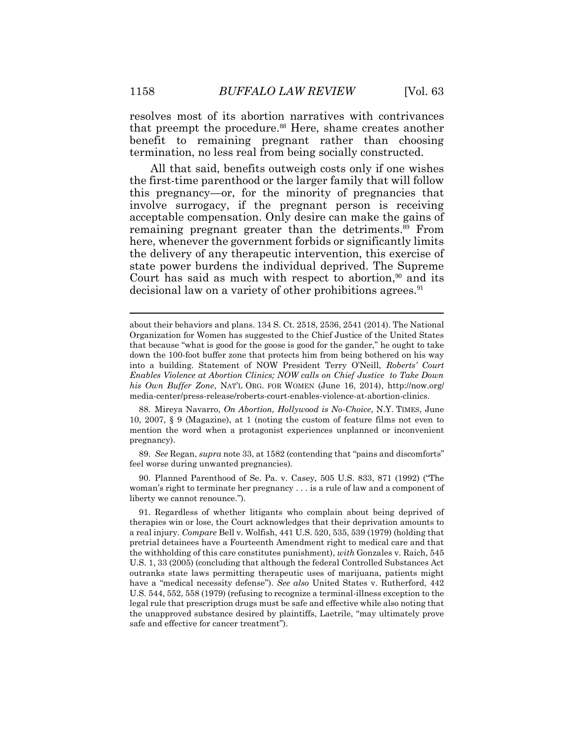resolves most of its abortion narratives with contrivances that preempt the procedure.<sup>88</sup> Here, shame creates another benefit to remaining pregnant rather than choosing termination, no less real from being socially constructed.

All that said, benefits outweigh costs only if one wishes the first-time parenthood or the larger family that will follow this pregnancy—or, for the minority of pregnancies that involve surrogacy, if the pregnant person is receiving acceptable compensation. Only desire can make the gains of remaining pregnant greater than the detriments.<sup>89</sup> From here, whenever the government forbids or significantly limits the delivery of any therapeutic intervention, this exercise of state power burdens the individual deprived. The Supreme Court has said as much with respect to abortion, $90$  and its decisional law on a variety of other prohibitions agrees.<sup>91</sup>

88. Mireya Navarro, *On Abortion, Hollywood is No-Choice*, N.Y. TIMES, June 10, 2007, § 9 (Magazine), at 1 (noting the custom of feature films not even to mention the word when a protagonist experiences unplanned or inconvenient pregnancy).

89. *See* Regan, *supra* note 33, at 1582 (contending that "pains and discomforts" feel worse during unwanted pregnancies).

90. Planned Parenthood of Se. Pa. v. Casey, 505 U.S. 833, 871 (1992) ("The woman's right to terminate her pregnancy . . . is a rule of law and a component of liberty we cannot renounce.").

about their behaviors and plans. 134 S. Ct. 2518, 2536, 2541 (2014). The National Organization for Women has suggested to the Chief Justice of the United States that because "what is good for the goose is good for the gander," he ought to take down the 100-foot buffer zone that protects him from being bothered on his way into a building. Statement of NOW President Terry O'Neill, *Roberts' Court Enables Violence at Abortion Clinics; NOW calls on Chief Justice to Take Down his Own Buffer Zone*, NAT'L ORG. FOR WOMEN (June 16, 2014), http://now.org/ media-center/press-release/roberts-court-enables-violence-at-abortion-clinics.

<sup>91.</sup> Regardless of whether litigants who complain about being deprived of therapies win or lose, the Court acknowledges that their deprivation amounts to a real injury. *Compare* Bell v. Wolfish, 441 U.S. 520, 535, 539 (1979) (holding that pretrial detainees have a Fourteenth Amendment right to medical care and that the withholding of this care constitutes punishment), *with* Gonzales v. Raich, 545 U.S. 1, 33 (2005) (concluding that although the federal Controlled Substances Act outranks state laws permitting therapeutic uses of marijuana, patients might have a "medical necessity defense"). *See also* United States v. Rutherford, 442 U.S. 544, 552, 558 (1979) (refusing to recognize a terminal-illness exception to the legal rule that prescription drugs must be safe and effective while also noting that the unapproved substance desired by plaintiffs, Laetrile, "may ultimately prove safe and effective for cancer treatment").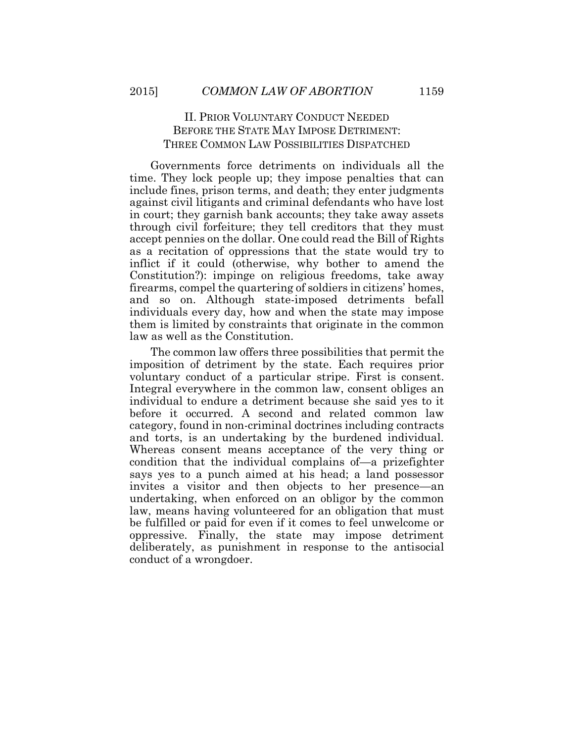# II. PRIOR VOLUNTARY CONDUCT NEEDED BEFORE THE STATE MAY IMPOSE DETRIMENT: THREE COMMON LAW POSSIBILITIES DISPATCHED

Governments force detriments on individuals all the time. They lock people up; they impose penalties that can include fines, prison terms, and death; they enter judgments against civil litigants and criminal defendants who have lost in court; they garnish bank accounts; they take away assets through civil forfeiture; they tell creditors that they must accept pennies on the dollar. One could read the Bill of Rights as a recitation of oppressions that the state would try to inflict if it could (otherwise, why bother to amend the Constitution?): impinge on religious freedoms, take away firearms, compel the quartering of soldiers in citizens' homes, and so on. Although state-imposed detriments befall individuals every day, how and when the state may impose them is limited by constraints that originate in the common law as well as the Constitution.

The common law offers three possibilities that permit the imposition of detriment by the state. Each requires prior voluntary conduct of a particular stripe. First is consent. Integral everywhere in the common law, consent obliges an individual to endure a detriment because she said yes to it before it occurred. A second and related common law category, found in non-criminal doctrines including contracts and torts, is an undertaking by the burdened individual. Whereas consent means acceptance of the very thing or condition that the individual complains of—a prizefighter says yes to a punch aimed at his head; a land possessor invites a visitor and then objects to her presence—an undertaking, when enforced on an obligor by the common law, means having volunteered for an obligation that must be fulfilled or paid for even if it comes to feel unwelcome or oppressive. Finally, the state may impose detriment deliberately, as punishment in response to the antisocial conduct of a wrongdoer.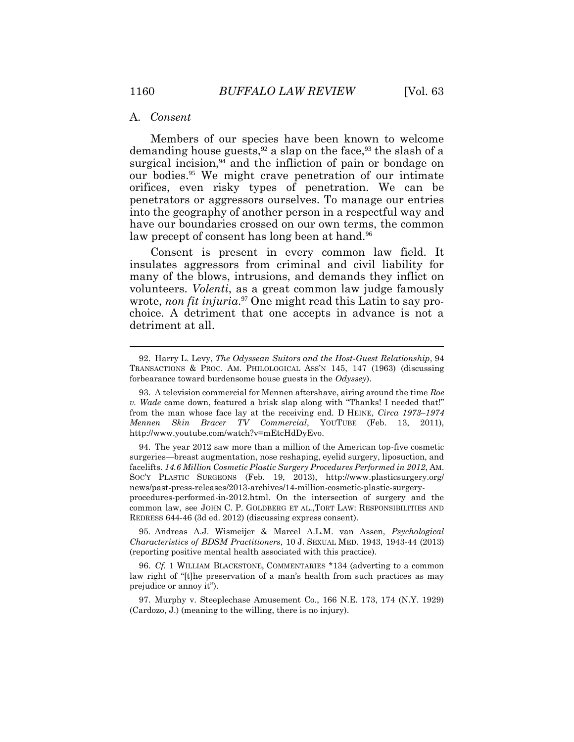#### A. *Consent*

Members of our species have been known to welcome demanding house guests,  $92$  a slap on the face,  $93$  the slash of a surgical incision, $94$  and the infliction of pain or bondage on our bodies.95 We might crave penetration of our intimate orifices, even risky types of penetration. We can be penetrators or aggressors ourselves. To manage our entries into the geography of another person in a respectful way and have our boundaries crossed on our own terms, the common law precept of consent has long been at hand.<sup>96</sup>

Consent is present in every common law field. It insulates aggressors from criminal and civil liability for many of the blows, intrusions, and demands they inflict on volunteers. *Volenti*, as a great common law judge famously wrote, *non fit injuria*. 97 One might read this Latin to say prochoice. A detriment that one accepts in advance is not a detriment at all.

94. The year 2012 saw more than a million of the American top-five cosmetic surgeries—breast augmentation, nose reshaping, eyelid surgery, liposuction, and facelifts. *14.6 Million Cosmetic Plastic Surgery Procedures Performed in 2012*, AM. SOC'Y PLASTIC SURGEONS (Feb. 19, 2013), http://www.plasticsurgery.org/ news/past-press-releases/2013-archives/14-million-cosmetic-plastic-surgeryprocedures-performed-in-2012.html. On the intersection of surgery and the

common law, see JOHN C. P. GOLDBERG ET AL.,TORT LAW: RESPONSIBILITIES AND REDRESS 644-46 (3d ed. 2012) (discussing express consent).

95. Andreas A.J. Wismeijer & Marcel A.L.M. van Assen, *Psychological Characteristics of BDSM Practitioners*, 10 J. SEXUAL MED. 1943, 1943-44 (2013) (reporting positive mental health associated with this practice).

96. *Cf.* 1 WILLIAM BLACKSTONE, COMMENTARIES \*134 (adverting to a common law right of "[t]he preservation of a man's health from such practices as may prejudice or annoy it").

97. Murphy v. Steeplechase Amusement Co., 166 N.E. 173, 174 (N.Y. 1929) (Cardozo, J.) (meaning to the willing, there is no injury).

<sup>92.</sup> Harry L. Levy, *The Odyssean Suitors and the Host-Guest Relationship*, 94 TRANSACTIONS & PROC. AM. PHILOLOGICAL ASS'N 145, 147 (1963) (discussing forbearance toward burdensome house guests in the *Odyssey*).

<sup>93.</sup> A television commercial for Mennen aftershave, airing around the time *Roe v. Wade* came down, featured a brisk slap along with "Thanks! I needed that!" from the man whose face lay at the receiving end. D HEINE, *Circa 1973–1974 Mennen Skin Bracer TV Commercial*, YOUTUBE (Feb. 13, 2011), http://www.youtube.com/watch?v=mEtcHdDyEvo.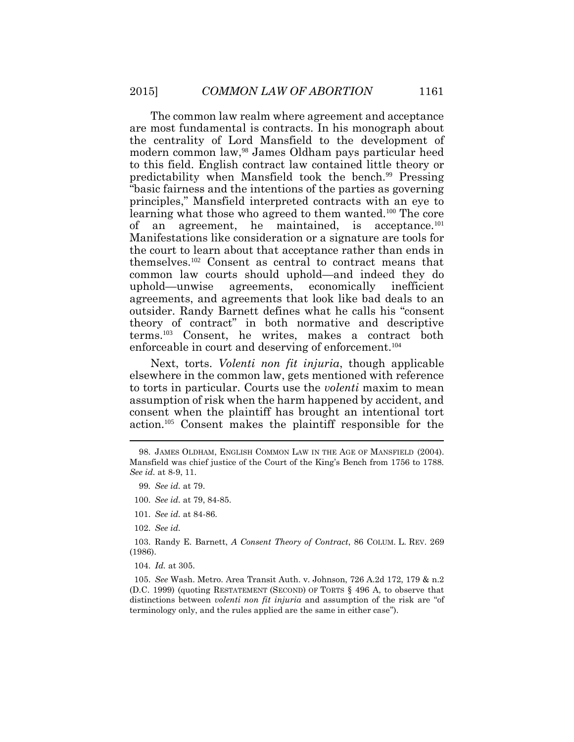The common law realm where agreement and acceptance are most fundamental is contracts. In his monograph about the centrality of Lord Mansfield to the development of modern common law,<sup>98</sup> James Oldham pays particular heed to this field. English contract law contained little theory or predictability when Mansfield took the bench.<sup>99</sup> Pressing "basic fairness and the intentions of the parties as governing principles," Mansfield interpreted contracts with an eye to learning what those who agreed to them wanted.<sup>100</sup> The core of an agreement, he maintained, is acceptance.<sup>101</sup> Manifestations like consideration or a signature are tools for the court to learn about that acceptance rather than ends in themselves.<sup>102</sup> Consent as central to contract means that common law courts should uphold—and indeed they do uphold—unwise agreements, economically inefficient agreements, and agreements that look like bad deals to an outsider. Randy Barnett defines what he calls his "consent theory of contract" in both normative and descriptive terms.<sup>103</sup> Consent, he writes, makes a contract both enforceable in court and deserving of enforcement.<sup>104</sup>

Next, torts. *Volenti non fit injuria*, though applicable elsewhere in the common law, gets mentioned with reference to torts in particular. Courts use the *volenti* maxim to mean assumption of risk when the harm happened by accident, and consent when the plaintiff has brought an intentional tort action.<sup>105</sup> Consent makes the plaintiff responsible for the

- 101. *See id.* at 84-86.
- 102. *See id.*

104. *Id.* at 305.

105. *See* Wash. Metro. Area Transit Auth. v. Johnson, 726 A.2d 172, 179 & n.2 (D.C. 1999) (quoting RESTATEMENT (SECOND) OF TORTS § 496 A, to observe that distinctions between *volenti non fit injuria* and assumption of the risk are "of terminology only, and the rules applied are the same in either case").

<sup>98.</sup> JAMES OLDHAM, ENGLISH COMMON LAW IN THE AGE OF MANSFIELD (2004). Mansfield was chief justice of the Court of the King's Bench from 1756 to 1788. *See id.* at 8-9, 11.

<sup>99</sup>*. See id.* at 79.

<sup>100.</sup> *See id.* at 79, 84-85.

<sup>103.</sup> Randy E. Barnett, *A Consent Theory of Contract*, 86 COLUM. L. REV. 269 (1986).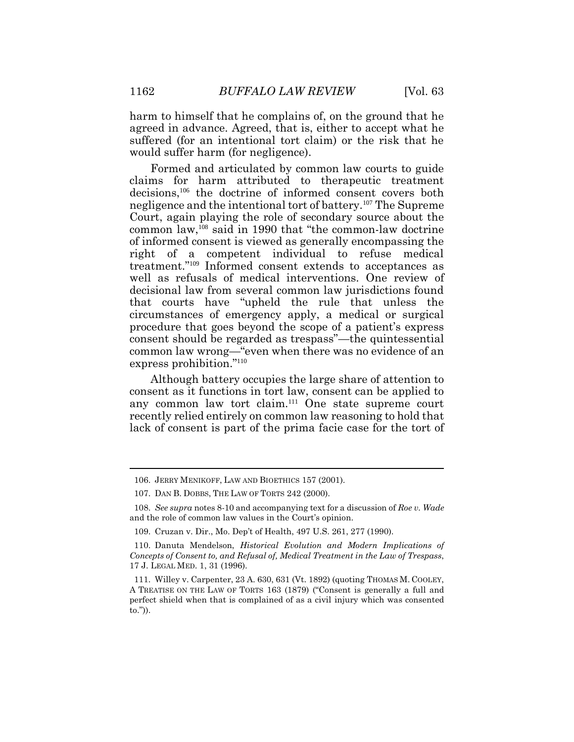harm to himself that he complains of, on the ground that he agreed in advance. Agreed, that is, either to accept what he suffered (for an intentional tort claim) or the risk that he would suffer harm (for negligence).

Formed and articulated by common law courts to guide claims for harm attributed to therapeutic treatment decisions,<sup>106</sup> the doctrine of informed consent covers both negligence and the intentional tort of battery.<sup>107</sup> The Supreme Court, again playing the role of secondary source about the common law,<sup>108</sup> said in 1990 that "the common-law doctrine of informed consent is viewed as generally encompassing the right of a competent individual to refuse medical treatment." <sup>109</sup> Informed consent extends to acceptances as well as refusals of medical interventions. One review of decisional law from several common law jurisdictions found that courts have "upheld the rule that unless the circumstances of emergency apply, a medical or surgical procedure that goes beyond the scope of a patient's express consent should be regarded as trespass"—the quintessential common law wrong—"even when there was no evidence of an express prohibition."<sup>110</sup>

Although battery occupies the large share of attention to consent as it functions in tort law, consent can be applied to any common law tort claim.<sup>111</sup> One state supreme court recently relied entirely on common law reasoning to hold that lack of consent is part of the prima facie case for the tort of

<sup>106.</sup> JERRY MENIKOFF, LAW AND BIOETHICS 157 (2001).

<sup>107.</sup> DAN B. DOBBS, THE LAW OF TORTS 242 (2000).

<sup>108.</sup> *See supra* notes 8-10 and accompanying text for a discussion of *Roe v. Wade* and the role of common law values in the Court's opinion.

<sup>109.</sup> Cruzan v. Dir., Mo. Dep't of Health, 497 U.S. 261, 277 (1990).

<sup>110.</sup> Danuta Mendelson, *Historical Evolution and Modern Implications of Concepts of Consent to, and Refusal of, Medical Treatment in the Law of Trespass*, 17 J. LEGAL MED. 1, 31 (1996).

<sup>111.</sup> Willey v. Carpenter, 23 A. 630, 631 (Vt. 1892) (quoting THOMAS M. COOLEY, A TREATISE ON THE LAW OF TORTS 163 (1879) ("Consent is generally a full and perfect shield when that is complained of as a civil injury which was consented to.")).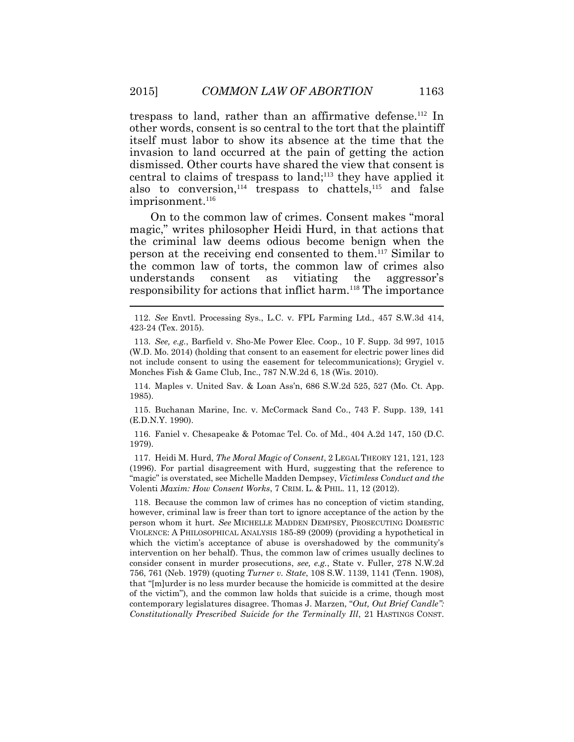trespass to land, rather than an affirmative defense.<sup>112</sup> In other words, consent is so central to the tort that the plaintiff itself must labor to show its absence at the time that the invasion to land occurred at the pain of getting the action dismissed. Other courts have shared the view that consent is central to claims of trespass to land; <sup>113</sup> they have applied it also to conversion,  $114$  trespass to chattels,  $115$  and false imprisonment.<sup>116</sup>

On to the common law of crimes. Consent makes "moral magic," writes philosopher Heidi Hurd, in that actions that the criminal law deems odious become benign when the person at the receiving end consented to them.<sup>117</sup> Similar to the common law of torts, the common law of crimes also understands consent as vitiating the aggressor's responsibility for actions that inflict harm.<sup>118</sup> The importance

114. Maples v. United Sav. & Loan Ass'n, 686 S.W.2d 525, 527 (Mo. Ct. App. 1985).

115. Buchanan Marine, Inc. v. McCormack Sand Co., 743 F. Supp. 139, 141 (E.D.N.Y. 1990).

116. Faniel v. Chesapeake & Potomac Tel. Co. of Md., 404 A.2d 147, 150 (D.C. 1979).

117. Heidi M. Hurd, *The Moral Magic of Consent*, 2 LEGAL THEORY 121, 121, 123 (1996). For partial disagreement with Hurd, suggesting that the reference to "magic" is overstated, see Michelle Madden Dempsey, *Victimless Conduct and the*  Volenti *Maxim: How Consent Works*, 7 CRIM. L. & PHIL. 11, 12 (2012).

118. Because the common law of crimes has no conception of victim standing, however, criminal law is freer than tort to ignore acceptance of the action by the person whom it hurt. *See* MICHELLE MADDEN DEMPSEY, PROSECUTING DOMESTIC VIOLENCE: A PHILOSOPHICAL ANALYSIS 185-89 (2009) (providing a hypothetical in which the victim's acceptance of abuse is overshadowed by the community's intervention on her behalf). Thus, the common law of crimes usually declines to consider consent in murder prosecutions, *see, e.g.*, State v. Fuller, 278 N.W.2d 756, 761 (Neb. 1979) (quoting *Turner v. State*, 108 S.W. 1139, 1141 (Tenn. 1908), that "[m]urder is no less murder because the homicide is committed at the desire of the victim"), and the common law holds that suicide is a crime, though most contemporary legislatures disagree. Thomas J. Marzen, "*Out, Out Brief Candle": Constitutionally Prescribed Suicide for the Terminally Ill*, 21 HASTINGS CONST.

<sup>112.</sup> *See* Envtl. Processing Sys., L.C. v. FPL Farming Ltd., 457 S.W.3d 414, 423-24 (Tex. 2015).

<sup>113.</sup> *See, e.g.*, Barfield v. Sho-Me Power Elec. Coop., 10 F. Supp. 3d 997, 1015 (W.D. Mo. 2014) (holding that consent to an easement for electric power lines did not include consent to using the easement for telecommunications); Grygiel v. Monches Fish & Game Club, Inc., 787 N.W.2d 6, 18 (Wis. 2010).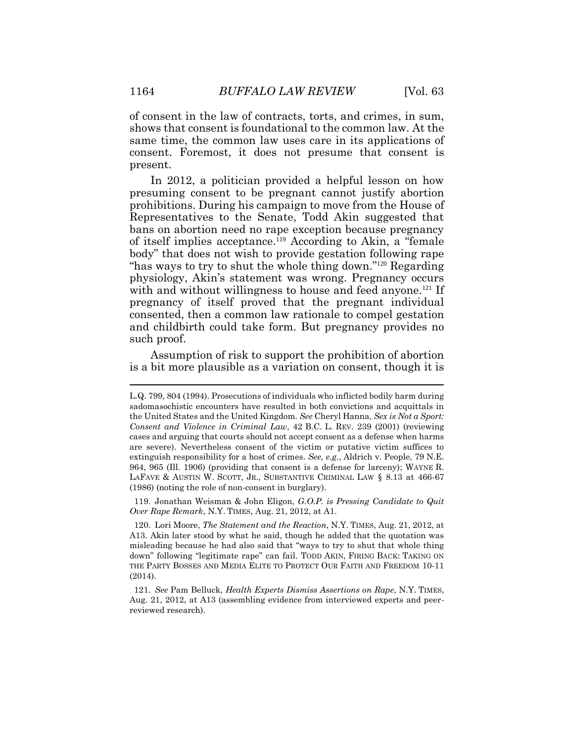of consent in the law of contracts, torts, and crimes, in sum, shows that consent is foundational to the common law. At the same time, the common law uses care in its applications of consent. Foremost, it does not presume that consent is present.

In 2012, a politician provided a helpful lesson on how presuming consent to be pregnant cannot justify abortion prohibitions. During his campaign to move from the House of Representatives to the Senate, Todd Akin suggested that bans on abortion need no rape exception because pregnancy of itself implies acceptance. <sup>119</sup> According to Akin, a "female body" that does not wish to provide gestation following rape "has ways to try to shut the whole thing down."<sup>120</sup> Regarding physiology, Akin's statement was wrong. Pregnancy occurs with and without willingness to house and feed anyone.<sup>121</sup> If pregnancy of itself proved that the pregnant individual consented, then a common law rationale to compel gestation and childbirth could take form. But pregnancy provides no such proof.

Assumption of risk to support the prohibition of abortion is a bit more plausible as a variation on consent, though it is

119. Jonathan Weisman & John Eligon, *G.O.P. is Pressing Candidate to Quit Over Rape Remark*, N.Y. TIMES, Aug. 21, 2012, at A1.

L.Q. 799, 804 (1994). Prosecutions of individuals who inflicted bodily harm during sadomasochistic encounters have resulted in both convictions and acquittals in the United States and the United Kingdom. *See* Cheryl Hanna, *Sex is Not a Sport: Consent and Violence in Criminal Law*, 42 B.C. L. REV. 239 (2001) (reviewing cases and arguing that courts should not accept consent as a defense when harms are severe). Nevertheless consent of the victim or putative victim suffices to extinguish responsibility for a host of crimes. *See, e.g.*, Aldrich v. People, 79 N.E. 964, 965 (Ill. 1906) (providing that consent is a defense for larceny); WAYNE R. LAFAVE & AUSTIN W. SCOTT, JR., SUBSTANTIVE CRIMINAL LAW § 8.13 at 466-67 (1986) (noting the role of non-consent in burglary).

<sup>120.</sup> Lori Moore, *The Statement and the Reaction*, N.Y. TIMES, Aug. 21, 2012, at A13. Akin later stood by what he said, though he added that the quotation was misleading because he had also said that "ways to try to shut that whole thing down" following "legitimate rape" can fail. TODD AKIN, FIRING BACK: TAKING ON THE PARTY BOSSES AND MEDIA ELITE TO PROTECT OUR FAITH AND FREEDOM 10-11 (2014).

<sup>121.</sup> *See* Pam Belluck, *Health Experts Dismiss Assertions on Rape*, N.Y. TIMES, Aug. 21, 2012, at A13 (assembling evidence from interviewed experts and peerreviewed research).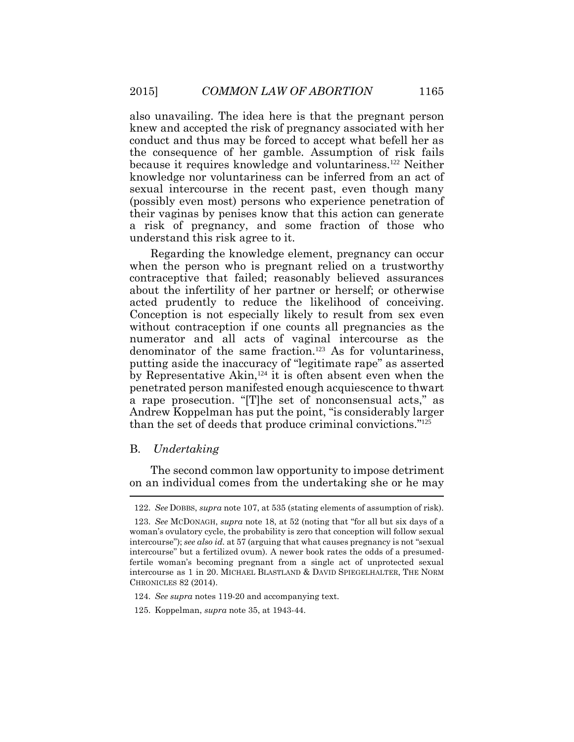also unavailing. The idea here is that the pregnant person knew and accepted the risk of pregnancy associated with her conduct and thus may be forced to accept what befell her as the consequence of her gamble. Assumption of risk fails because it requires knowledge and voluntariness.122 Neither knowledge nor voluntariness can be inferred from an act of sexual intercourse in the recent past, even though many (possibly even most) persons who experience penetration of their vaginas by penises know that this action can generate a risk of pregnancy, and some fraction of those who understand this risk agree to it.

Regarding the knowledge element, pregnancy can occur when the person who is pregnant relied on a trustworthy contraceptive that failed; reasonably believed assurances about the infertility of her partner or herself; or otherwise acted prudently to reduce the likelihood of conceiving. Conception is not especially likely to result from sex even without contraception if one counts all pregnancies as the numerator and all acts of vaginal intercourse as the denominator of the same fraction.123 As for voluntariness, putting aside the inaccuracy of "legitimate rape" as asserted by Representative Akin,124 it is often absent even when the penetrated person manifested enough acquiescence to thwart a rape prosecution. "[T]he set of nonconsensual acts," as Andrew Koppelman has put the point, "is considerably larger than the set of deeds that produce criminal convictions." 125

### B. *Undertaking*

The second common law opportunity to impose detriment on an individual comes from the undertaking she or he may  $\overline{a}$ 

<sup>122.</sup> *See* DOBBS, *supra* note 107, at 535 (stating elements of assumption of risk).

<sup>123.</sup> *See* MCDONAGH, *supra* note 18, at 52 (noting that "for all but six days of a woman's ovulatory cycle, the probability is zero that conception will follow sexual intercourse"); *see also id.* at 57 (arguing that what causes pregnancy is not "sexual intercourse" but a fertilized ovum). A newer book rates the odds of a presumedfertile woman's becoming pregnant from a single act of unprotected sexual intercourse as 1 in 20. MICHAEL BLASTLAND & DAVID SPIEGELHALTER, THE NORM CHRONICLES 82 (2014).

<sup>124.</sup> *See supra* notes 119-20 and accompanying text.

<sup>125.</sup> Koppelman, *supra* note 35, at 1943-44.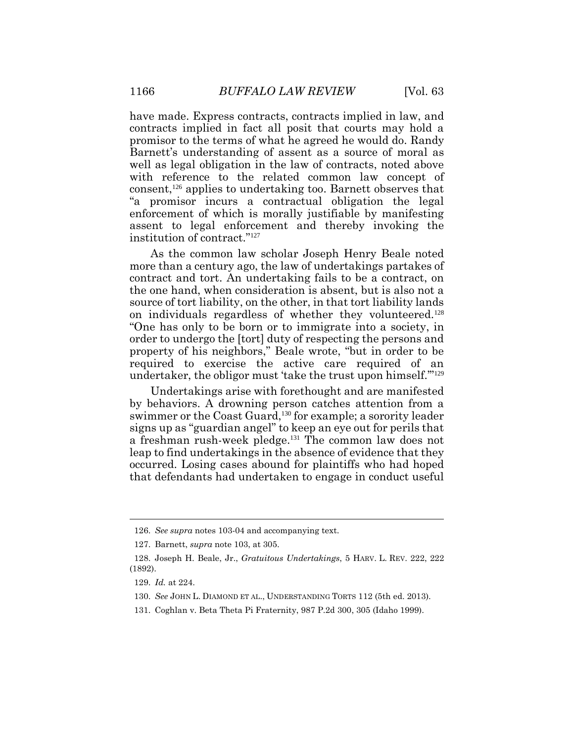have made. Express contracts, contracts implied in law, and contracts implied in fact all posit that courts may hold a promisor to the terms of what he agreed he would do. Randy Barnett's understanding of assent as a source of moral as well as legal obligation in the law of contracts, noted above with reference to the related common law concept of consent,<sup>126</sup> applies to undertaking too. Barnett observes that "a promisor incurs a contractual obligation the legal enforcement of which is morally justifiable by manifesting assent to legal enforcement and thereby invoking the institution of contract." 127

As the common law scholar Joseph Henry Beale noted more than a century ago, the law of undertakings partakes of contract and tort. An undertaking fails to be a contract, on the one hand, when consideration is absent, but is also not a source of tort liability, on the other, in that tort liability lands on individuals regardless of whether they volunteered.<sup>128</sup> "One has only to be born or to immigrate into a society, in order to undergo the [tort] duty of respecting the persons and property of his neighbors," Beale wrote, "but in order to be required to exercise the active care required of an undertaker, the obligor must 'take the trust upon himself."<sup>129</sup>

Undertakings arise with forethought and are manifested by behaviors. A drowning person catches attention from a swimmer or the Coast Guard,<sup>130</sup> for example; a sorority leader signs up as "guardian angel" to keep an eye out for perils that a freshman rush-week pledge.<sup>131</sup> The common law does not leap to find undertakings in the absence of evidence that they occurred. Losing cases abound for plaintiffs who had hoped that defendants had undertaken to engage in conduct useful

<sup>126.</sup> *See supra* notes 103-04 and accompanying text.

<sup>127.</sup> Barnett, *supra* note 103, at 305.

<sup>128.</sup> Joseph H. Beale, Jr., *Gratuitous Undertakings*, 5 HARV. L. REV. 222, 222 (1892).

<sup>129.</sup> *Id.* at 224.

<sup>130.</sup> *See* JOHN L. DIAMOND ET AL., UNDERSTANDING TORTS 112 (5th ed. 2013).

<sup>131.</sup> Coghlan v. Beta Theta Pi Fraternity, 987 P.2d 300, 305 (Idaho 1999).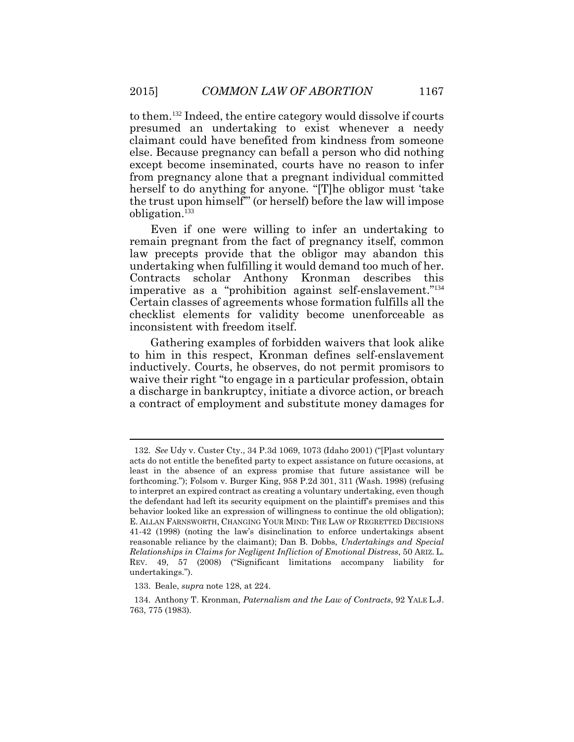to them.<sup>132</sup> Indeed, the entire category would dissolve if courts presumed an undertaking to exist whenever a needy claimant could have benefited from kindness from someone else. Because pregnancy can befall a person who did nothing except become inseminated, courts have no reason to infer from pregnancy alone that a pregnant individual committed herself to do anything for anyone. "[T]he obligor must 'take the trust upon himself'" (or herself) before the law will impose obligation.<sup>133</sup>

Even if one were willing to infer an undertaking to remain pregnant from the fact of pregnancy itself, common law precepts provide that the obligor may abandon this undertaking when fulfilling it would demand too much of her. Contracts scholar Anthony Kronman describes this imperative as a "prohibition against self-enslavement." 134 Certain classes of agreements whose formation fulfills all the checklist elements for validity become unenforceable as inconsistent with freedom itself.

Gathering examples of forbidden waivers that look alike to him in this respect, Kronman defines self-enslavement inductively. Courts, he observes, do not permit promisors to waive their right "to engage in a particular profession, obtain a discharge in bankruptcy, initiate a divorce action, or breach a contract of employment and substitute money damages for

<sup>132.</sup> *See* Udy v. Custer Cty., 34 P.3d 1069, 1073 (Idaho 2001) ("[P]ast voluntary acts do not entitle the benefited party to expect assistance on future occasions, at least in the absence of an express promise that future assistance will be forthcoming."); Folsom v. Burger King, 958 P.2d 301, 311 (Wash. 1998) (refusing to interpret an expired contract as creating a voluntary undertaking, even though the defendant had left its security equipment on the plaintiff's premises and this behavior looked like an expression of willingness to continue the old obligation); E. ALLAN FARNSWORTH, CHANGING YOUR MIND: THE LAW OF REGRETTED DECISIONS 41-42 (1998) (noting the law's disinclination to enforce undertakings absent reasonable reliance by the claimant); Dan B. Dobbs, *Undertakings and Special Relationships in Claims for Negligent Infliction of Emotional Distress*, 50 ARIZ. L. REV. 49, 57 (2008) ("Significant limitations accompany liability for undertakings.").

<sup>133.</sup> Beale, *supra* note 128, at 224.

<sup>134.</sup> Anthony T. Kronman, *Paternalism and the Law of Contracts*, 92 YALE L.J. 763, 775 (1983).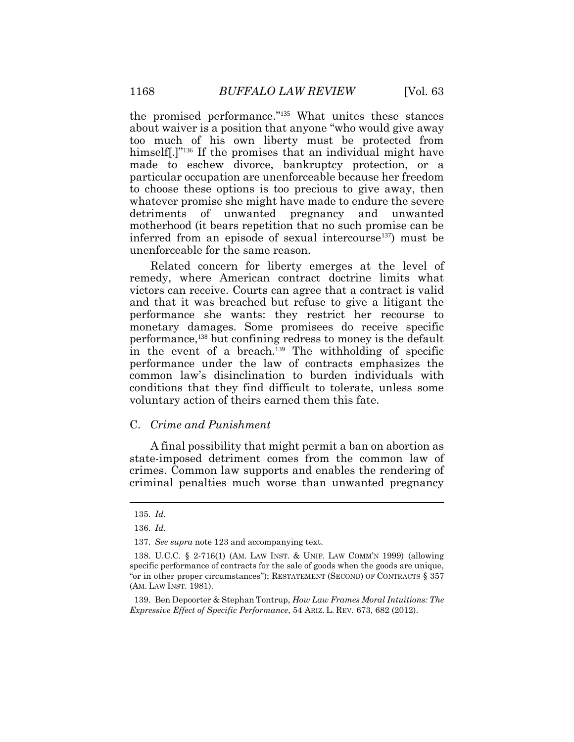the promised performance." <sup>135</sup> What unites these stances about waiver is a position that anyone "who would give away too much of his own liberty must be protected from himself.]<sup>"136</sup> If the promises that an individual might have made to eschew divorce, bankruptcy protection, or a particular occupation are unenforceable because her freedom to choose these options is too precious to give away, then whatever promise she might have made to endure the severe detriments of unwanted pregnancy and unwanted motherhood (it bears repetition that no such promise can be inferred from an episode of sexual intercourse<sup>137</sup>) must be unenforceable for the same reason.

Related concern for liberty emerges at the level of remedy, where American contract doctrine limits what victors can receive. Courts can agree that a contract is valid and that it was breached but refuse to give a litigant the performance she wants: they restrict her recourse to monetary damages. Some promisees do receive specific performance,<sup>138</sup> but confining redress to money is the default in the event of a breach.<sup>139</sup> The withholding of specific performance under the law of contracts emphasizes the common law's disinclination to burden individuals with conditions that they find difficult to tolerate, unless some voluntary action of theirs earned them this fate.

### C. *Crime and Punishment*

A final possibility that might permit a ban on abortion as state-imposed detriment comes from the common law of crimes. Common law supports and enables the rendering of criminal penalties much worse than unwanted pregnancy

 $\overline{a}$ 

<sup>135.</sup> *Id*.

<sup>136.</sup> *Id.*

<sup>137.</sup> *See supra* note 123 and accompanying text.

<sup>138.</sup> U.C.C. § 2-716(1) (AM. LAW INST. & UNIF. LAW COMM'N 1999) (allowing specific performance of contracts for the sale of goods when the goods are unique, "or in other proper circumstances"); RESTATEMENT (SECOND) OF CONTRACTS § 357 (AM. LAW INST. 1981).

<sup>139.</sup> Ben Depoorter & Stephan Tontrup, *How Law Frames Moral Intuitions: The Expressive Effect of Specific Performance*, 54 ARIZ. L. REV. 673, 682 (2012).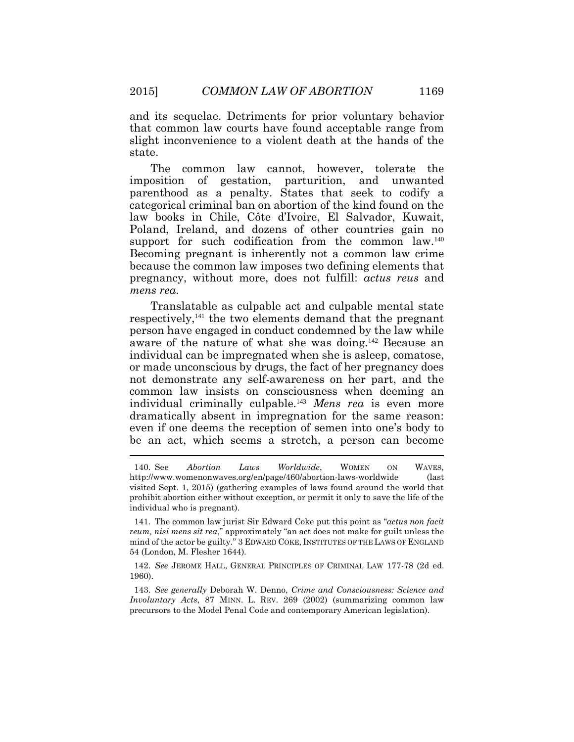and its sequelae. Detriments for prior voluntary behavior that common law courts have found acceptable range from slight inconvenience to a violent death at the hands of the state.

The common law cannot, however, tolerate the imposition of gestation, parturition, and unwanted parenthood as a penalty. States that seek to codify a categorical criminal ban on abortion of the kind found on the law books in Chile, Côte d'Ivoire, El Salvador, Kuwait, Poland, Ireland, and dozens of other countries gain no support for such codification from the common law.<sup>140</sup> Becoming pregnant is inherently not a common law crime because the common law imposes two defining elements that pregnancy, without more, does not fulfill: *actus reus* and *mens rea*.

Translatable as culpable act and culpable mental state respectively,<sup>141</sup> the two elements demand that the pregnant person have engaged in conduct condemned by the law while aware of the nature of what she was doing.<sup>142</sup> Because an individual can be impregnated when she is asleep, comatose, or made unconscious by drugs, the fact of her pregnancy does not demonstrate any self-awareness on her part, and the common law insists on consciousness when deeming an individual criminally culpable.<sup>143</sup> *Mens rea* is even more dramatically absent in impregnation for the same reason: even if one deems the reception of semen into one's body to be an act, which seems a stretch, a person can become

142. *See* JEROME HALL, GENERAL PRINCIPLES OF CRIMINAL LAW 177-78 (2d ed. 1960).

143. *See generally* Deborah W. Denno, *Crime and Consciousness: Science and Involuntary Acts*, 87 MINN. L. REV. 269 (2002) (summarizing common law precursors to the Model Penal Code and contemporary American legislation).

<sup>140.</sup> See *Abortion Laws Worldwide*, WOMEN ON WAVES, http://www.womenonwaves.org/en/page/460/abortion-laws-worldwide (last visited Sept. 1, 2015) (gathering examples of laws found around the world that prohibit abortion either without exception, or permit it only to save the life of the individual who is pregnant).

<sup>141.</sup> The common law jurist Sir Edward Coke put this point as "*actus non facit reum, nisi mens sit rea*," approximately "an act does not make for guilt unless the mind of the actor be guilty." 3 EDWARD COKE, INSTITUTES OF THE LAWS OF ENGLAND 54 (London, M. Flesher 1644).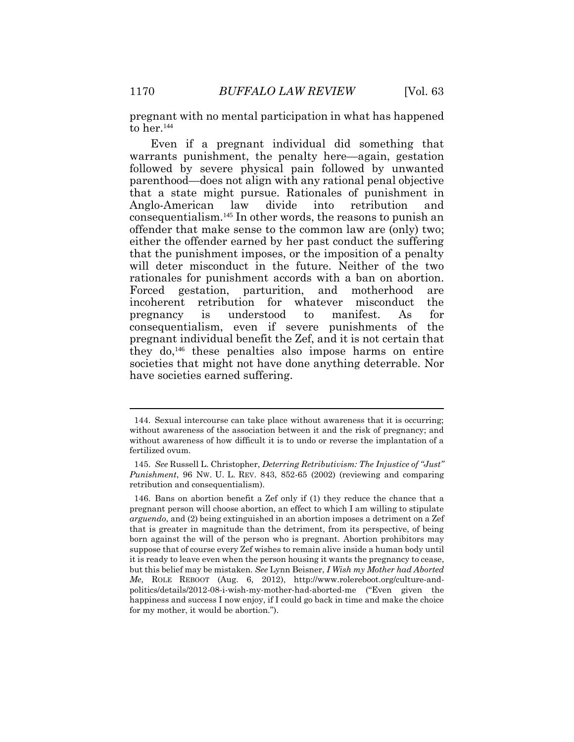pregnant with no mental participation in what has happened to her.<sup>144</sup>

Even if a pregnant individual did something that warrants punishment, the penalty here—again, gestation followed by severe physical pain followed by unwanted parenthood—does not align with any rational penal objective that a state might pursue. Rationales of punishment in Anglo-American law divide into retribution and consequentialism.<sup>145</sup> In other words, the reasons to punish an offender that make sense to the common law are (only) two; either the offender earned by her past conduct the suffering that the punishment imposes, or the imposition of a penalty will deter misconduct in the future. Neither of the two rationales for punishment accords with a ban on abortion. Forced gestation, parturition, and motherhood are incoherent retribution for whatever misconduct the pregnancy is understood to manifest. As for consequentialism, even if severe punishments of the pregnant individual benefit the Zef, and it is not certain that they do,<sup>146</sup> these penalties also impose harms on entire societies that might not have done anything deterrable. Nor have societies earned suffering.

<sup>144.</sup> Sexual intercourse can take place without awareness that it is occurring; without awareness of the association between it and the risk of pregnancy; and without awareness of how difficult it is to undo or reverse the implantation of a fertilized ovum.

<sup>145.</sup> *See* Russell L. Christopher, *Deterring Retributivism: The Injustice of "Just" Punishment*, 96 NW. U. L. REV. 843, 852-65 (2002) (reviewing and comparing retribution and consequentialism).

<sup>146.</sup> Bans on abortion benefit a Zef only if (1) they reduce the chance that a pregnant person will choose abortion, an effect to which I am willing to stipulate *arguendo*, and (2) being extinguished in an abortion imposes a detriment on a Zef that is greater in magnitude than the detriment, from its perspective, of being born against the will of the person who is pregnant. Abortion prohibitors may suppose that of course every Zef wishes to remain alive inside a human body until it is ready to leave even when the person housing it wants the pregnancy to cease, but this belief may be mistaken. *See* Lynn Beisner, *I Wish my Mother had Aborted Me*, ROLE REBOOT (Aug. 6, 2012), http://www.rolereboot.org/culture-andpolitics/details/2012-08-i-wish-my-mother-had-aborted-me ("Even given the happiness and success I now enjoy, if I could go back in time and make the choice for my mother, it would be abortion.").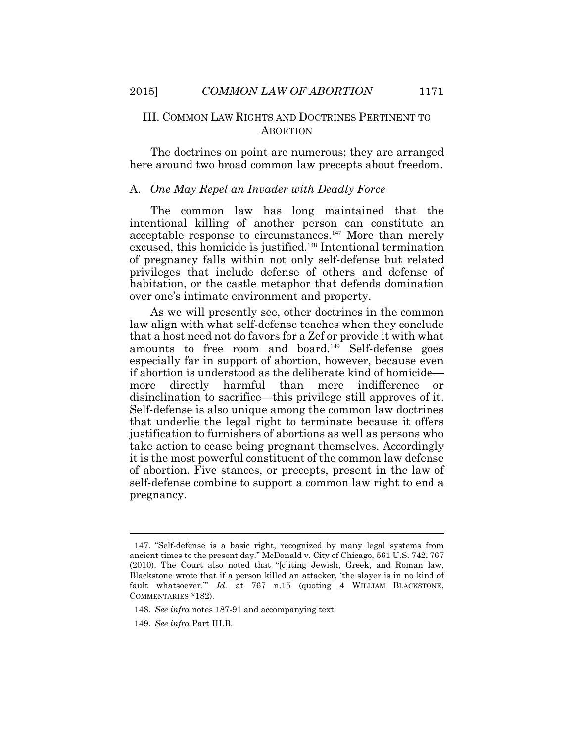### III. COMMON LAW RIGHTS AND DOCTRINES PERTINENT TO **ABORTION**

The doctrines on point are numerous; they are arranged here around two broad common law precepts about freedom.

#### A. *One May Repel an Invader with Deadly Force*

The common law has long maintained that the intentional killing of another person can constitute an acceptable response to circumstances.<sup>147</sup> More than merely excused, this homicide is justified.<sup>148</sup> Intentional termination of pregnancy falls within not only self-defense but related privileges that include defense of others and defense of habitation, or the castle metaphor that defends domination over one's intimate environment and property.

As we will presently see, other doctrines in the common law align with what self-defense teaches when they conclude that a host need not do favors for a Zef or provide it with what amounts to free room and board.<sup>149</sup> Self-defense goes especially far in support of abortion, however, because even if abortion is understood as the deliberate kind of homicide more directly harmful than mere indifference or disinclination to sacrifice—this privilege still approves of it. Self-defense is also unique among the common law doctrines that underlie the legal right to terminate because it offers justification to furnishers of abortions as well as persons who take action to cease being pregnant themselves. Accordingly it is the most powerful constituent of the common law defense of abortion. Five stances, or precepts, present in the law of self-defense combine to support a common law right to end a pregnancy.

<sup>147.</sup> "Self-defense is a basic right, recognized by many legal systems from ancient times to the present day." McDonald v. City of Chicago, 561 U.S. 742, 767 (2010). The Court also noted that "[c]iting Jewish, Greek, and Roman law, Blackstone wrote that if a person killed an attacker, 'the slayer is in no kind of fault whatsoever.'" *Id.* at 767 n.15 (quoting 4 WILLIAM BLACKSTONE, COMMENTARIES \*182).

<sup>148.</sup> *See infra* notes 187-91 and accompanying text.

<sup>149.</sup> *See infra* Part III.B.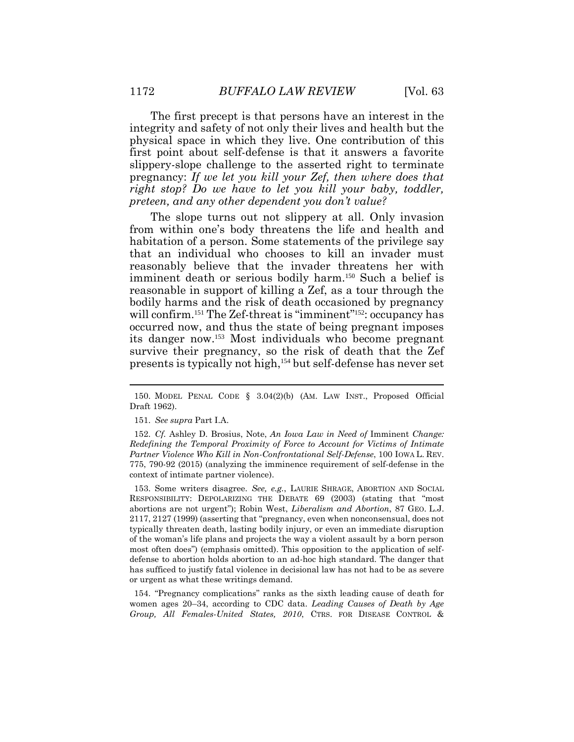The first precept is that persons have an interest in the integrity and safety of not only their lives and health but the physical space in which they live. One contribution of this first point about self-defense is that it answers a favorite slippery-slope challenge to the asserted right to terminate pregnancy: *If we let you kill your Zef, then where does that right stop? Do we have to let you kill your baby, toddler, preteen, and any other dependent you don't value?*

The slope turns out not slippery at all. Only invasion from within one's body threatens the life and health and habitation of a person. Some statements of the privilege say that an individual who chooses to kill an invader must reasonably believe that the invader threatens her with imminent death or serious bodily harm.<sup>150</sup> Such a belief is reasonable in support of killing a Zef, as a tour through the bodily harms and the risk of death occasioned by pregnancy will confirm.<sup>151</sup> The Zef-threat is "imminent"<sup>152</sup>: occupancy has occurred now, and thus the state of being pregnant imposes its danger now.<sup>153</sup> Most individuals who become pregnant survive their pregnancy, so the risk of death that the Zef presents is typically not high,<sup>154</sup> but self-defense has never set

153. Some writers disagree. *See, e.g.*, LAURIE SHRAGE, ABORTION AND SOCIAL RESPONSIBILITY: DEPOLARIZING THE DEBATE 69 (2003) (stating that "most abortions are not urgent"); Robin West, *Liberalism and Abortion*, 87 GEO. L.J. 2117, 2127 (1999) (asserting that "pregnancy, even when nonconsensual, does not typically threaten death, lasting bodily injury, or even an immediate disruption of the woman's life plans and projects the way a violent assault by a born person most often does") (emphasis omitted). This opposition to the application of selfdefense to abortion holds abortion to an ad-hoc high standard. The danger that has sufficed to justify fatal violence in decisional law has not had to be as severe or urgent as what these writings demand.

154. "Pregnancy complications" ranks as the sixth leading cause of death for women ages 20–34, according to CDC data. *Leading Causes of Death by Age Group, All Females-United States, 2010*, CTRS. FOR DISEASE CONTROL &

<sup>150.</sup> MODEL PENAL CODE § 3.04(2)(b) (AM. LAW INST., Proposed Official Draft 1962).

<sup>151.</sup> *See supra* Part I.A.

<sup>152.</sup> *Cf.* Ashley D. Brosius, Note, *An Iowa Law in Need of* Imminent *Change: Redefining the Temporal Proximity of Force to Account for Victims of Intimate Partner Violence Who Kill in Non-Confrontational Self-Defense*, 100 IOWA L. REV. 775, 790-92 (2015) (analyzing the imminence requirement of self-defense in the context of intimate partner violence).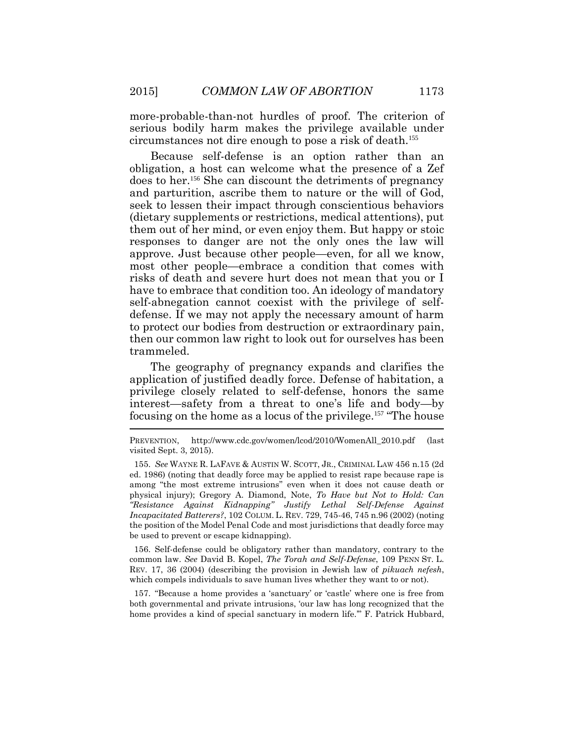more-probable-than-not hurdles of proof. The criterion of serious bodily harm makes the privilege available under circumstances not dire enough to pose a risk of death.<sup>155</sup>

Because self-defense is an option rather than an obligation, a host can welcome what the presence of a Zef does to her.<sup>156</sup> She can discount the detriments of pregnancy and parturition, ascribe them to nature or the will of God, seek to lessen their impact through conscientious behaviors (dietary supplements or restrictions, medical attentions), put them out of her mind, or even enjoy them. But happy or stoic responses to danger are not the only ones the law will approve. Just because other people—even, for all we know, most other people—embrace a condition that comes with risks of death and severe hurt does not mean that you or I have to embrace that condition too. An ideology of mandatory self-abnegation cannot coexist with the privilege of selfdefense. If we may not apply the necessary amount of harm to protect our bodies from destruction or extraordinary pain, then our common law right to look out for ourselves has been trammeled.

The geography of pregnancy expands and clarifies the application of justified deadly force. Defense of habitation, a privilege closely related to self-defense, honors the same interest—safety from a threat to one's life and body—by focusing on the home as a locus of the privilege.<sup>157</sup> "The house

156. Self-defense could be obligatory rather than mandatory, contrary to the common law. *See* David B. Kopel, *The Torah and Self-Defense*, 109 PENN ST. L. REV. 17, 36 (2004) (describing the provision in Jewish law of *pikuach nefesh*, which compels individuals to save human lives whether they want to or not).

157. "Because a home provides a 'sanctuary' or 'castle' where one is free from both governmental and private intrusions, 'our law has long recognized that the home provides a kind of special sanctuary in modern life.'" F. Patrick Hubbard,

PREVENTION, http://www.cdc.gov/women/lcod/2010/WomenAll\_2010.pdf (last visited Sept. 3, 2015).

<sup>155.</sup> *See* WAYNE R. LAFAVE & AUSTIN W. SCOTT, JR., CRIMINAL LAW 456 n.15 (2d ed. 1986) (noting that deadly force may be applied to resist rape because rape is among "the most extreme intrusions" even when it does not cause death or physical injury); Gregory A. Diamond, Note, *To Have but Not to Hold: Can "Resistance Against Kidnapping" Justify Lethal Self-Defense Against Incapacitated Batterers?*, 102 COLUM. L. REV. 729, 745-46, 745 n.96 (2002) (noting the position of the Model Penal Code and most jurisdictions that deadly force may be used to prevent or escape kidnapping).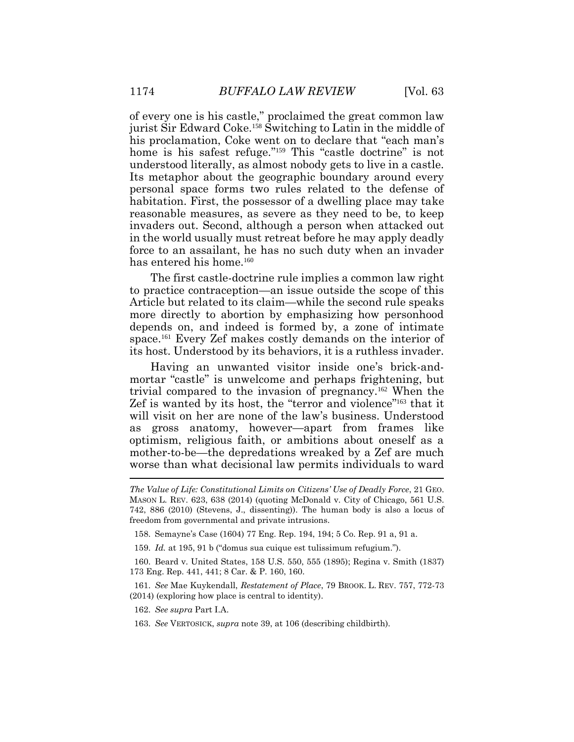of every one is his castle," proclaimed the great common law jurist Sir Edward Coke.<sup>158</sup> Switching to Latin in the middle of his proclamation, Coke went on to declare that "each man's home is his safest refuge."<sup>159</sup> This "castle doctrine" is not understood literally, as almost nobody gets to live in a castle. Its metaphor about the geographic boundary around every personal space forms two rules related to the defense of habitation. First, the possessor of a dwelling place may take reasonable measures, as severe as they need to be, to keep invaders out. Second, although a person when attacked out in the world usually must retreat before he may apply deadly force to an assailant, he has no such duty when an invader has entered his home.<sup>160</sup>

The first castle-doctrine rule implies a common law right to practice contraception—an issue outside the scope of this Article but related to its claim—while the second rule speaks more directly to abortion by emphasizing how personhood depends on, and indeed is formed by, a zone of intimate space.<sup>161</sup> Every Zef makes costly demands on the interior of its host. Understood by its behaviors, it is a ruthless invader.

Having an unwanted visitor inside one's brick-andmortar "castle" is unwelcome and perhaps frightening, but trivial compared to the invasion of pregnancy.<sup>162</sup> When the Zef is wanted by its host, the "terror and violence"<sup>163</sup> that it will visit on her are none of the law's business. Understood as gross anatomy, however—apart from frames like optimism, religious faith, or ambitions about oneself as a mother-to-be—the depredations wreaked by a Zef are much worse than what decisional law permits individuals to ward

158. Semayne's Case (1604) 77 Eng. Rep. 194, 194; 5 Co. Rep. 91 a, 91 a.

159. *Id.* at 195, 91 b ("domus sua cuique est tulissimum refugium.").

160. Beard v. United States, 158 U.S. 550, 555 (1895); Regina v. Smith (1837) 173 Eng. Rep. 441, 441; 8 Car. & P. 160, 160.

161. *See* Mae Kuykendall, *Restatement of Place*, 79 BROOK. L. REV. 757, 772-73 (2014) (exploring how place is central to identity).

162. *See supra* Part I.A.

163. *See* VERTOSICK, *supra* note 39, at 106 (describing childbirth).

*The Value of Life: Constitutional Limits on Citizens' Use of Deadly Force*, 21 GEO. MASON L. REV. 623, 638 (2014) (quoting McDonald v. City of Chicago, 561 U.S. 742, 886 (2010) (Stevens, J., dissenting)). The human body is also a locus of freedom from governmental and private intrusions.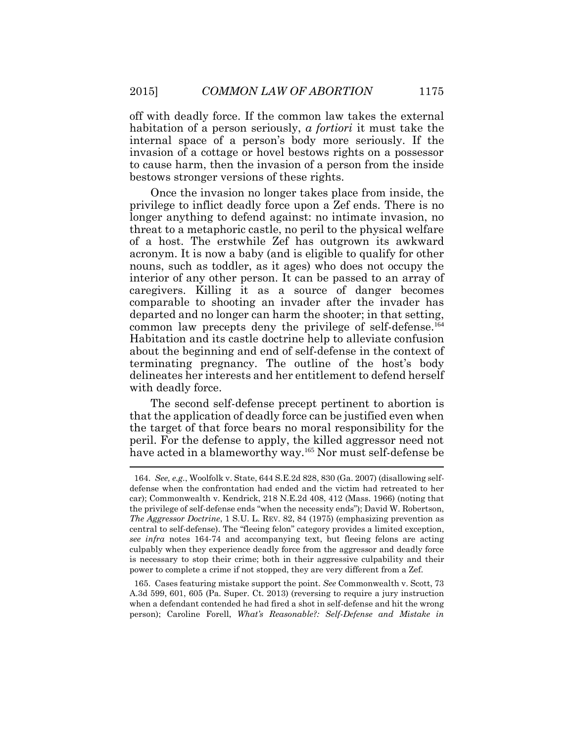off with deadly force. If the common law takes the external habitation of a person seriously, *a fortiori* it must take the internal space of a person's body more seriously. If the invasion of a cottage or hovel bestows rights on a possessor to cause harm, then the invasion of a person from the inside bestows stronger versions of these rights.

Once the invasion no longer takes place from inside, the privilege to inflict deadly force upon a Zef ends. There is no longer anything to defend against: no intimate invasion, no threat to a metaphoric castle, no peril to the physical welfare of a host. The erstwhile Zef has outgrown its awkward acronym. It is now a baby (and is eligible to qualify for other nouns, such as toddler, as it ages) who does not occupy the interior of any other person. It can be passed to an array of caregivers. Killing it as a source of danger becomes comparable to shooting an invader after the invader has departed and no longer can harm the shooter; in that setting, common law precepts deny the privilege of self-defense.<sup>164</sup> Habitation and its castle doctrine help to alleviate confusion about the beginning and end of self-defense in the context of terminating pregnancy. The outline of the host's body delineates her interests and her entitlement to defend herself with deadly force.

The second self-defense precept pertinent to abortion is that the application of deadly force can be justified even when the target of that force bears no moral responsibility for the peril. For the defense to apply, the killed aggressor need not have acted in a blameworthy way.<sup>165</sup> Nor must self-defense be

<sup>164.</sup> *See, e.g.*, Woolfolk v. State, 644 S.E.2d 828, 830 (Ga. 2007) (disallowing selfdefense when the confrontation had ended and the victim had retreated to her car); Commonwealth v. Kendrick, 218 N.E.2d 408, 412 (Mass. 1966) (noting that the privilege of self-defense ends "when the necessity ends"); David W. Robertson, *The Aggressor Doctrine*, 1 S.U. L. REV. 82, 84 (1975) (emphasizing prevention as central to self-defense). The "fleeing felon" category provides a limited exception, *see infra* notes 164-74 and accompanying text, but fleeing felons are acting culpably when they experience deadly force from the aggressor and deadly force is necessary to stop their crime; both in their aggressive culpability and their power to complete a crime if not stopped, they are very different from a Zef.

<sup>165.</sup> Cases featuring mistake support the point. *See* Commonwealth v. Scott, 73 A.3d 599, 601, 605 (Pa. Super. Ct. 2013) (reversing to require a jury instruction when a defendant contended he had fired a shot in self-defense and hit the wrong person); Caroline Forell, *What's Reasonable?: Self-Defense and Mistake in*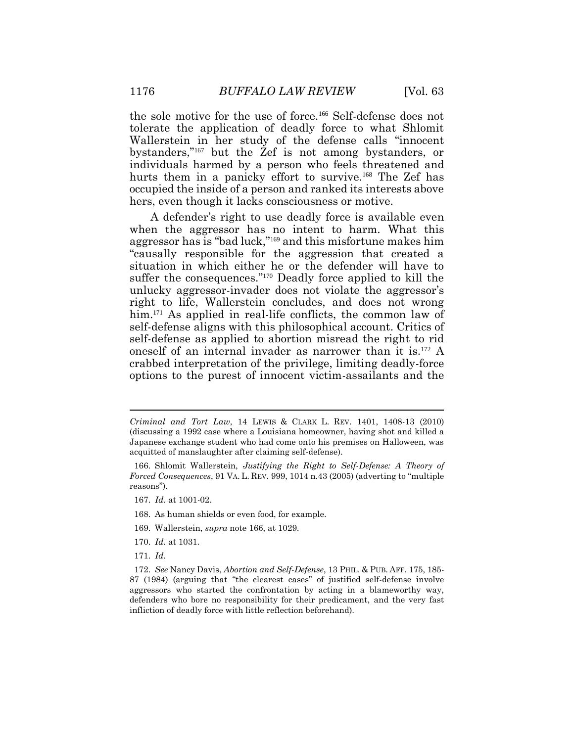the sole motive for the use of force.<sup>166</sup> Self-defense does not tolerate the application of deadly force to what Shlomit Wallerstein in her study of the defense calls "innocent bystanders," <sup>167</sup> but the Zef is not among bystanders, or individuals harmed by a person who feels threatened and hurts them in a panicky effort to survive.<sup>168</sup> The Zef has occupied the inside of a person and ranked its interests above hers, even though it lacks consciousness or motive.

A defender's right to use deadly force is available even when the aggressor has no intent to harm. What this aggressor has is "bad luck," <sup>169</sup> and this misfortune makes him "causally responsible for the aggression that created a situation in which either he or the defender will have to suffer the consequences." <sup>170</sup> Deadly force applied to kill the unlucky aggressor-invader does not violate the aggressor's right to life, Wallerstein concludes, and does not wrong him.<sup>171</sup> As applied in real-life conflicts, the common law of self-defense aligns with this philosophical account. Critics of self-defense as applied to abortion misread the right to rid oneself of an internal invader as narrower than it is.<sup>172</sup> A crabbed interpretation of the privilege, limiting deadly-force options to the purest of innocent victim-assailants and the

- 167. *Id.* at 1001-02.
- 168. As human shields or even food, for example.
- 169. Wallerstein, *supra* note 166, at 1029.
- 170. *Id.* at 1031.
- 171. *Id.*

*Criminal and Tort Law*, 14 LEWIS & CLARK L. REV. 1401, 1408-13 (2010) (discussing a 1992 case where a Louisiana homeowner, having shot and killed a Japanese exchange student who had come onto his premises on Halloween, was acquitted of manslaughter after claiming self-defense).

<sup>166.</sup> Shlomit Wallerstein, *Justifying the Right to Self-Defense: A Theory of Forced Consequences*, 91 VA. L. REV. 999, 1014 n.43 (2005) (adverting to "multiple reasons").

<sup>172.</sup> *See* Nancy Davis, *Abortion and Self-Defense*, 13 PHIL. & PUB. AFF. 175, 185- 87 (1984) (arguing that "the clearest cases" of justified self-defense involve aggressors who started the confrontation by acting in a blameworthy way, defenders who bore no responsibility for their predicament, and the very fast infliction of deadly force with little reflection beforehand).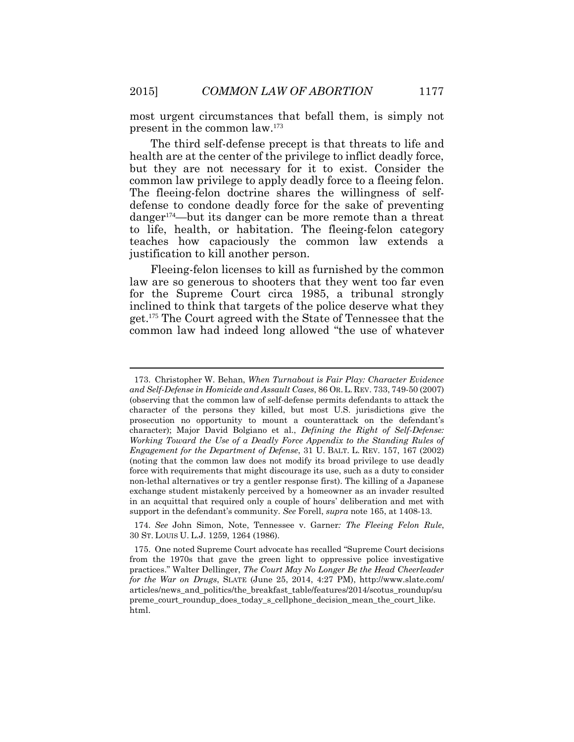most urgent circumstances that befall them, is simply not present in the common law.<sup>173</sup>

The third self-defense precept is that threats to life and health are at the center of the privilege to inflict deadly force, but they are not necessary for it to exist. Consider the common law privilege to apply deadly force to a fleeing felon. The fleeing-felon doctrine shares the willingness of selfdefense to condone deadly force for the sake of preventing danger174—but its danger can be more remote than a threat to life, health, or habitation. The fleeing-felon category teaches how capaciously the common law extends a justification to kill another person.

Fleeing-felon licenses to kill as furnished by the common law are so generous to shooters that they went too far even for the Supreme Court circa 1985, a tribunal strongly inclined to think that targets of the police deserve what they get.<sup>175</sup> The Court agreed with the State of Tennessee that the common law had indeed long allowed "the use of whatever

<sup>173.</sup> Christopher W. Behan, *When Turnabout is Fair Play: Character Evidence and Self-Defense in Homicide and Assault Cases*, 86 OR.L. REV. 733, 749-50 (2007) (observing that the common law of self-defense permits defendants to attack the character of the persons they killed, but most U.S. jurisdictions give the prosecution no opportunity to mount a counterattack on the defendant's character); Major David Bolgiano et al., *Defining the Right of Self-Defense: Working Toward the Use of a Deadly Force Appendix to the Standing Rules of Engagement for the Department of Defense*, 31 U. BALT. L. REV. 157, 167 (2002) (noting that the common law does not modify its broad privilege to use deadly force with requirements that might discourage its use, such as a duty to consider non-lethal alternatives or try a gentler response first). The killing of a Japanese exchange student mistakenly perceived by a homeowner as an invader resulted in an acquittal that required only a couple of hours' deliberation and met with support in the defendant's community. *See* Forell, *supra* note 165, at 1408-13.

<sup>174.</sup> *See* John Simon, Note, Tennessee v. Garner*: The Fleeing Felon Rule*, 30 ST. LOUIS U. L.J. 1259, 1264 (1986).

<sup>175.</sup> One noted Supreme Court advocate has recalled "Supreme Court decisions from the 1970s that gave the green light to oppressive police investigative practices." Walter Dellinger, *The Court May No Longer Be the Head Cheerleader for the War on Drugs*, SLATE (June 25, 2014, 4:27 PM), http://www.slate.com/ articles/news\_and\_politics/the\_breakfast\_table/features/2014/scotus\_roundup/su preme\_court\_roundup\_does\_today\_s\_cellphone\_decision\_mean\_the\_court\_like. html.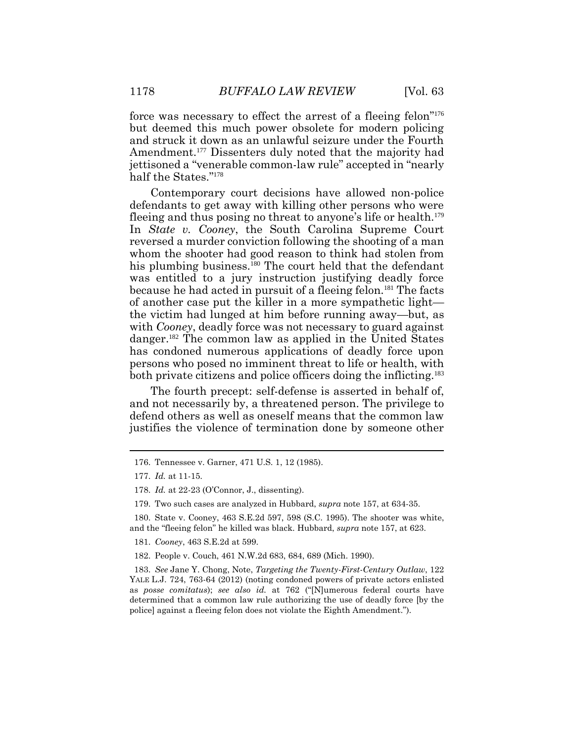force was necessary to effect the arrest of a fleeing felon"<sup>176</sup> but deemed this much power obsolete for modern policing and struck it down as an unlawful seizure under the Fourth Amendment.<sup>177</sup> Dissenters duly noted that the majority had jettisoned a "venerable common-law rule" accepted in "nearly half the States." 178

Contemporary court decisions have allowed non-police defendants to get away with killing other persons who were fleeing and thus posing no threat to anyone's life or health.<sup>179</sup> In *State v. Cooney*, the South Carolina Supreme Court reversed a murder conviction following the shooting of a man whom the shooter had good reason to think had stolen from his plumbing business.<sup>180</sup> The court held that the defendant was entitled to a jury instruction justifying deadly force because he had acted in pursuit of a fleeing felon.<sup>181</sup> The facts of another case put the killer in a more sympathetic light the victim had lunged at him before running away—but, as with *Cooney*, deadly force was not necessary to guard against danger.<sup>182</sup> The common law as applied in the United States has condoned numerous applications of deadly force upon persons who posed no imminent threat to life or health, with both private citizens and police officers doing the inflicting.<sup>183</sup>

The fourth precept: self-defense is asserted in behalf of, and not necessarily by, a threatened person. The privilege to defend others as well as oneself means that the common law justifies the violence of termination done by someone other

180. State v. Cooney, 463 S.E.2d 597, 598 (S.C. 1995). The shooter was white, and the "fleeing felon" he killed was black. Hubbard, *supra* note 157, at 623.

181. *Cooney*, 463 S.E.2d at 599.

182. People v. Couch, 461 N.W.2d 683, 684, 689 (Mich. 1990).

183. *See* Jane Y. Chong, Note, *Targeting the Twenty-First-Century Outlaw*, 122 YALE L.J. 724, 763-64 (2012) (noting condoned powers of private actors enlisted as *posse comitatus*); *see also id.* at 762 ("[N]umerous federal courts have determined that a common law rule authorizing the use of deadly force [by the police] against a fleeing felon does not violate the Eighth Amendment.").

<sup>176.</sup> Tennessee v. Garner, 471 U.S. 1, 12 (1985).

<sup>177.</sup> *Id.* at 11-15.

<sup>178.</sup> *Id.* at 22-23 (O'Connor, J., dissenting).

<sup>179.</sup> Two such cases are analyzed in Hubbard, *supra* note 157, at 634-35.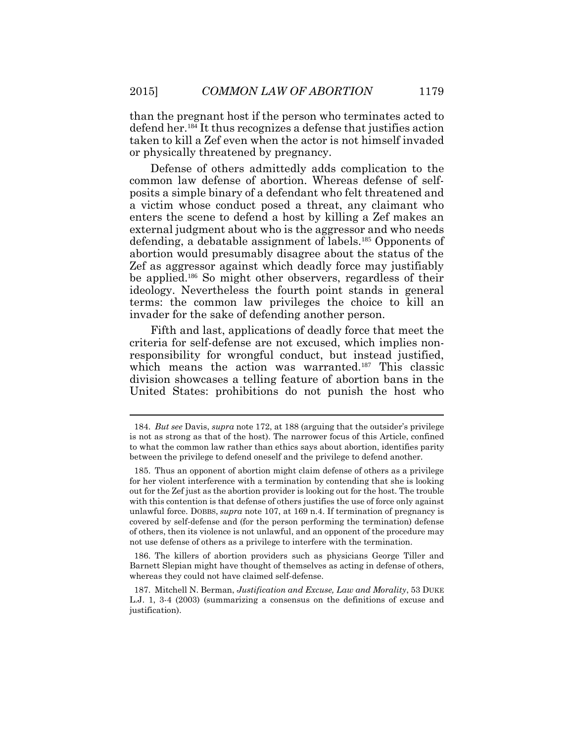than the pregnant host if the person who terminates acted to defend her.<sup>184</sup> It thus recognizes a defense that justifies action taken to kill a Zef even when the actor is not himself invaded or physically threatened by pregnancy.

Defense of others admittedly adds complication to the common law defense of abortion. Whereas defense of selfposits a simple binary of a defendant who felt threatened and a victim whose conduct posed a threat, any claimant who enters the scene to defend a host by killing a Zef makes an external judgment about who is the aggressor and who needs defending, a debatable assignment of labels.<sup>185</sup> Opponents of abortion would presumably disagree about the status of the Zef as aggressor against which deadly force may justifiably be applied.<sup>186</sup> So might other observers, regardless of their ideology. Nevertheless the fourth point stands in general terms: the common law privileges the choice to kill an invader for the sake of defending another person.

Fifth and last, applications of deadly force that meet the criteria for self-defense are not excused, which implies nonresponsibility for wrongful conduct, but instead justified, which means the action was warranted.<sup>187</sup> This classic division showcases a telling feature of abortion bans in the United States: prohibitions do not punish the host who

186. The killers of abortion providers such as physicians George Tiller and Barnett Slepian might have thought of themselves as acting in defense of others, whereas they could not have claimed self-defense.

<sup>184.</sup> *But see* Davis, *supra* note 172, at 188 (arguing that the outsider's privilege is not as strong as that of the host). The narrower focus of this Article, confined to what the common law rather than ethics says about abortion, identifies parity between the privilege to defend oneself and the privilege to defend another.

<sup>185.</sup> Thus an opponent of abortion might claim defense of others as a privilege for her violent interference with a termination by contending that she is looking out for the Zef just as the abortion provider is looking out for the host. The trouble with this contention is that defense of others justifies the use of force only against unlawful force. DOBBS, *supra* note 107, at 169 n.4. If termination of pregnancy is covered by self-defense and (for the person performing the termination) defense of others, then its violence is not unlawful, and an opponent of the procedure may not use defense of others as a privilege to interfere with the termination.

<sup>187.</sup> Mitchell N. Berman, *Justification and Excuse, Law and Morality*, 53 DUKE L.J. 1, 3-4 (2003) (summarizing a consensus on the definitions of excuse and justification).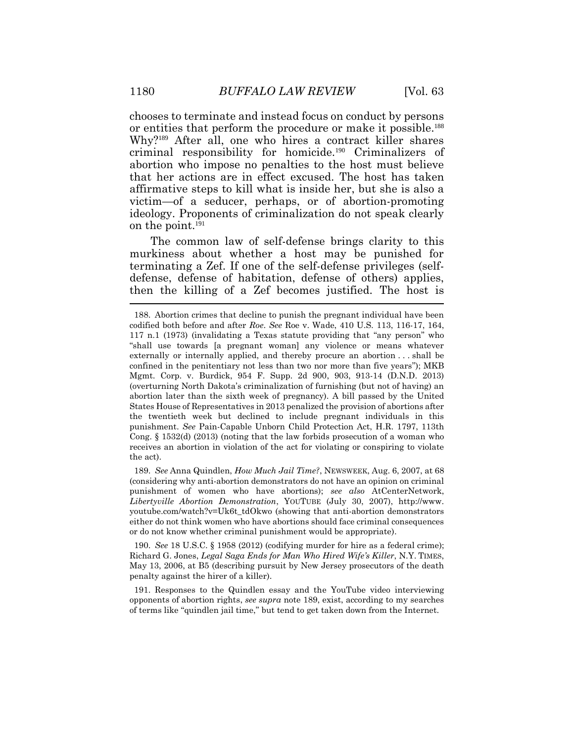chooses to terminate and instead focus on conduct by persons or entities that perform the procedure or make it possible.<sup>188</sup> Why?<sup>189</sup> After all, one who hires a contract killer shares criminal responsibility for homicide.<sup>190</sup> Criminalizers of abortion who impose no penalties to the host must believe that her actions are in effect excused. The host has taken affirmative steps to kill what is inside her, but she is also a victim—of a seducer, perhaps, or of abortion-promoting ideology. Proponents of criminalization do not speak clearly on the point.<sup>191</sup>

The common law of self-defense brings clarity to this murkiness about whether a host may be punished for terminating a Zef. If one of the self-defense privileges (selfdefense, defense of habitation, defense of others) applies, then the killing of a Zef becomes justified. The host is

189. *See* Anna Quindlen, *How Much Jail Time?*, NEWSWEEK, Aug. 6, 2007, at 68 (considering why anti-abortion demonstrators do not have an opinion on criminal punishment of women who have abortions); *see also* AtCenterNetwork, *Libertyville Abortion Demonstration*, YOUTUBE (July 30, 2007), http://www. youtube.com/watch?v=Uk6t\_tdOkwo (showing that anti-abortion demonstrators either do not think women who have abortions should face criminal consequences or do not know whether criminal punishment would be appropriate).

190. *See* 18 U.S.C. § 1958 (2012) (codifying murder for hire as a federal crime); Richard G. Jones, *Legal Saga Ends for Man Who Hired Wife's Killer*, N.Y. TIMES, May 13, 2006, at B5 (describing pursuit by New Jersey prosecutors of the death penalty against the hirer of a killer).

191. Responses to the Quindlen essay and the YouTube video interviewing opponents of abortion rights, *see supra* note 189, exist, according to my searches of terms like "quindlen jail time," but tend to get taken down from the Internet.

<sup>188.</sup> Abortion crimes that decline to punish the pregnant individual have been codified both before and after *Roe*. *See* Roe v. Wade, 410 U.S. 113, 116-17, 164, 117 n.1 (1973) (invalidating a Texas statute providing that "any person" who "shall use towards [a pregnant woman] any violence or means whatever externally or internally applied, and thereby procure an abortion . . . shall be confined in the penitentiary not less than two nor more than five years"); MKB Mgmt. Corp. v. Burdick, 954 F. Supp. 2d 900, 903, 913-14 (D.N.D. 2013) (overturning North Dakota's criminalization of furnishing (but not of having) an abortion later than the sixth week of pregnancy). A bill passed by the United States House of Representatives in 2013 penalized the provision of abortions after the twentieth week but declined to include pregnant individuals in this punishment. *See* Pain-Capable Unborn Child Protection Act, H.R. 1797, 113th Cong. § 1532(d) (2013) (noting that the law forbids prosecution of a woman who receives an abortion in violation of the act for violating or conspiring to violate the act).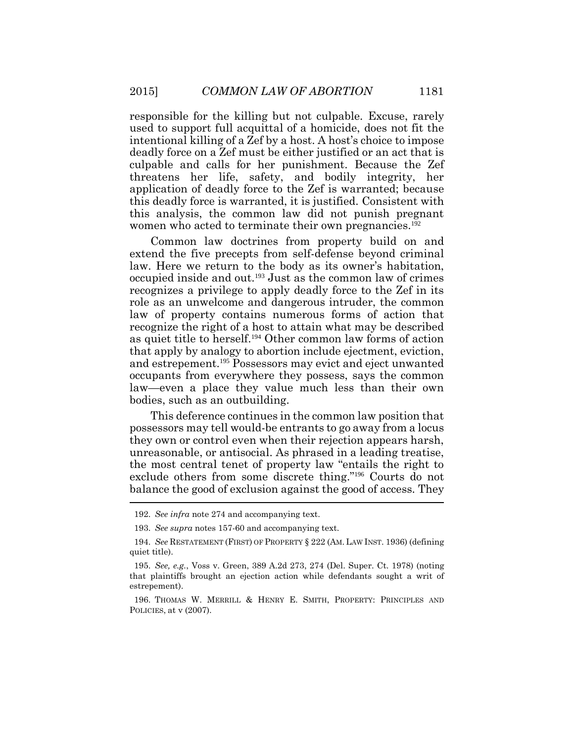responsible for the killing but not culpable. Excuse, rarely used to support full acquittal of a homicide, does not fit the intentional killing of a Zef by a host. A host's choice to impose deadly force on a Zef must be either justified or an act that is culpable and calls for her punishment. Because the Zef threatens her life, safety, and bodily integrity, her application of deadly force to the Zef is warranted; because this deadly force is warranted, it is justified. Consistent with this analysis, the common law did not punish pregnant women who acted to terminate their own pregnancies.<sup>192</sup>

Common law doctrines from property build on and extend the five precepts from self-defense beyond criminal law. Here we return to the body as its owner's habitation, occupied inside and out.<sup>193</sup> Just as the common law of crimes recognizes a privilege to apply deadly force to the Zef in its role as an unwelcome and dangerous intruder, the common law of property contains numerous forms of action that recognize the right of a host to attain what may be described as quiet title to herself.<sup>194</sup> Other common law forms of action that apply by analogy to abortion include ejectment, eviction, and estrepement.<sup>195</sup> Possessors may evict and eject unwanted occupants from everywhere they possess, says the common law—even a place they value much less than their own bodies, such as an outbuilding.

This deference continues in the common law position that possessors may tell would-be entrants to go away from a locus they own or control even when their rejection appears harsh, unreasonable, or antisocial. As phrased in a leading treatise, the most central tenet of property law "entails the right to exclude others from some discrete thing."<sup>196</sup> Courts do not balance the good of exclusion against the good of access. They

<sup>192.</sup> *See infra* note 274 and accompanying text.

<sup>193.</sup> *See supra* notes 157-60 and accompanying text.

<sup>194.</sup> *See* RESTATEMENT (FIRST) OF PROPERTY § 222 (AM. LAW INST. 1936) (defining quiet title).

<sup>195.</sup> *See, e.g.*, Voss v. Green, 389 A.2d 273, 274 (Del. Super. Ct. 1978) (noting that plaintiffs brought an ejection action while defendants sought a writ of estrepement).

<sup>196.</sup> THOMAS W. MERRILL & HENRY E. SMITH, PROPERTY: PRINCIPLES AND POLICIES, at v (2007).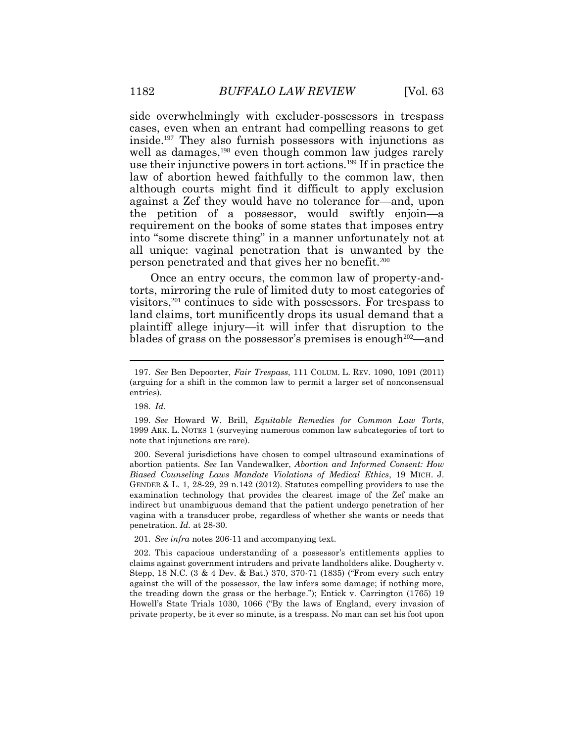side overwhelmingly with excluder-possessors in trespass cases, even when an entrant had compelling reasons to get inside.<sup>197</sup> They also furnish possessors with injunctions as well as damages,<sup>198</sup> even though common law judges rarely use their injunctive powers in tort actions.<sup>199</sup> If in practice the law of abortion hewed faithfully to the common law, then although courts might find it difficult to apply exclusion against a Zef they would have no tolerance for—and, upon the petition of a possessor, would swiftly enjoin—a requirement on the books of some states that imposes entry into "some discrete thing" in a manner unfortunately not at all unique: vaginal penetration that is unwanted by the person penetrated and that gives her no benefit.<sup>200</sup>

Once an entry occurs, the common law of property-andtorts, mirroring the rule of limited duty to most categories of visitors,<sup>201</sup> continues to side with possessors. For trespass to land claims, tort munificently drops its usual demand that a plaintiff allege injury—it will infer that disruption to the blades of grass on the possessor's premises is enough  $202$ —and

200. Several jurisdictions have chosen to compel ultrasound examinations of abortion patients. *See* Ian Vandewalker, *Abortion and Informed Consent: How Biased Counseling Laws Mandate Violations of Medical Ethics*, 19 MICH. J. GENDER & L. 1, 28-29, 29 n.142 (2012). Statutes compelling providers to use the examination technology that provides the clearest image of the Zef make an indirect but unambiguous demand that the patient undergo penetration of her vagina with a transducer probe, regardless of whether she wants or needs that penetration. *Id.* at 28-30.

201. *See infra* notes 206-11 and accompanying text.

<sup>197.</sup> *See* Ben Depoorter, *Fair Trespass*, 111 COLUM. L. REV. 1090, 1091 (2011) (arguing for a shift in the common law to permit a larger set of nonconsensual entries).

<sup>198.</sup> *Id.*

<sup>199.</sup> *See* Howard W. Brill, *Equitable Remedies for Common Law Torts*, 1999 ARK. L. NOTES 1 (surveying numerous common law subcategories of tort to note that injunctions are rare).

<sup>202.</sup> This capacious understanding of a possessor's entitlements applies to claims against government intruders and private landholders alike. Dougherty v. Stepp, 18 N.C. (3 & 4 Dev. & Bat.) 370, 370-71 (1835) ("From every such entry against the will of the possessor, the law infers some damage; if nothing more, the treading down the grass or the herbage."); Entick v. Carrington (1765) 19 Howell's State Trials 1030, 1066 ("By the laws of England, every invasion of private property, be it ever so minute, is a trespass. No man can set his foot upon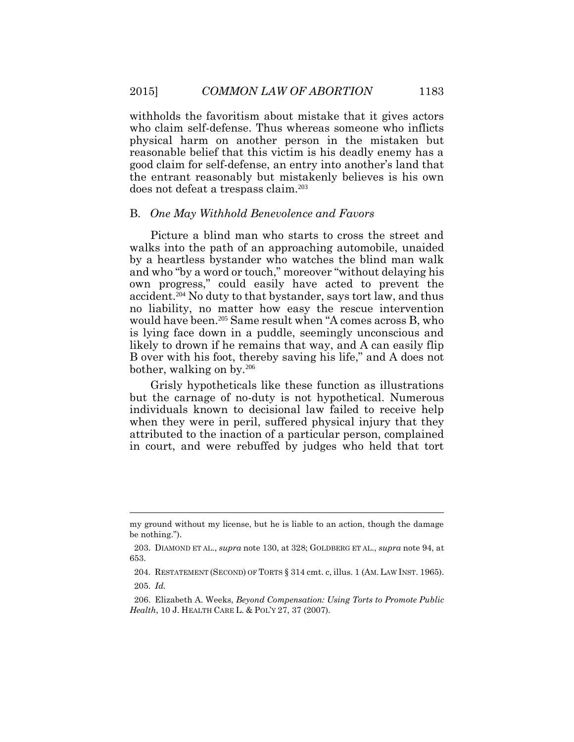withholds the favoritism about mistake that it gives actors who claim self-defense. Thus whereas someone who inflicts physical harm on another person in the mistaken but reasonable belief that this victim is his deadly enemy has a good claim for self-defense, an entry into another's land that the entrant reasonably but mistakenly believes is his own does not defeat a trespass claim.<sup>203</sup>

#### B. *One May Withhold Benevolence and Favors*

Picture a blind man who starts to cross the street and walks into the path of an approaching automobile, unaided by a heartless bystander who watches the blind man walk and who "by a word or touch," moreover "without delaying his own progress," could easily have acted to prevent the accident.204 No duty to that bystander, says tort law, and thus no liability, no matter how easy the rescue intervention would have been.205 Same result when "A comes across B, who is lying face down in a puddle, seemingly unconscious and likely to drown if he remains that way, and A can easily flip B over with his foot, thereby saving his life," and A does not bother, walking on by.<sup>206</sup>

Grisly hypotheticals like these function as illustrations but the carnage of no-duty is not hypothetical. Numerous individuals known to decisional law failed to receive help when they were in peril, suffered physical injury that they attributed to the inaction of a particular person, complained in court, and were rebuffed by judges who held that tort

my ground without my license, but he is liable to an action, though the damage be nothing.").

<sup>203.</sup> DIAMOND ET AL., *supra* note 130, at 328; GOLDBERG ET AL., *supra* note 94, at 653.

<sup>204.</sup> RESTATEMENT (SECOND) OF TORTS § 314 cmt. c, illus. 1 (AM.LAW INST. 1965). 205. *Id.* 

<sup>206.</sup> Elizabeth A. Weeks, *Beyond Compensation: Using Torts to Promote Public Health*, 10 J. HEALTH CARE L. & POL'Y 27, 37 (2007).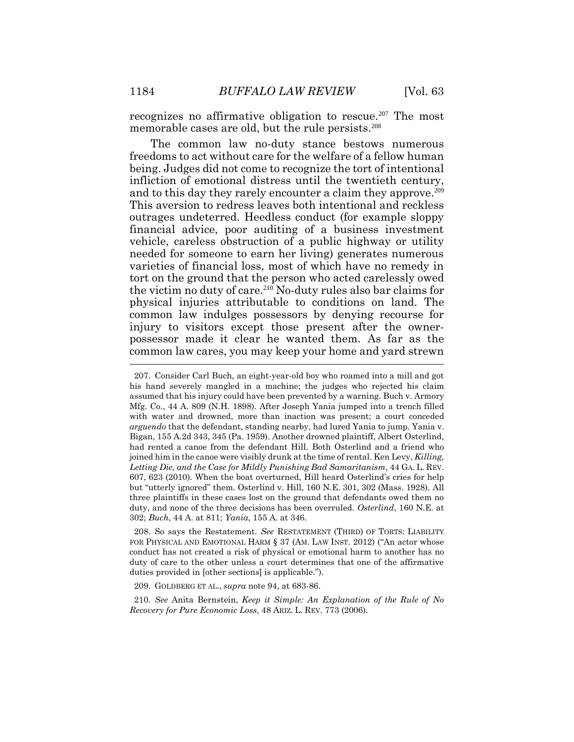recognizes no affirmative obligation to rescue.<sup>207</sup> The most memorable cases are old, but the rule persists.<sup>208</sup>

The common law no-duty stance bestows numerous freedoms to act without care for the welfare of a fellow human being. Judges did not come to recognize the tort of intentional infliction of emotional distress until the twentieth century, and to this day they rarely encounter a claim they approve.<sup>209</sup> This aversion to redress leaves both intentional and reckless outrages undeterred. Heedless conduct (for example sloppy financial advice, poor auditing of a business investment vehicle, careless obstruction of a public highway or utility needed for someone to earn her living) generates numerous varieties of financial loss, most of which have no remedy in tort on the ground that the person who acted carelessly owed the victim no duty of care.<sup>210</sup> No-duty rules also bar claims for physical injuries attributable to conditions on land. The common law indulges possessors by denying recourse for injury to visitors except those present after the ownerpossessor made it clear he wanted them. As far as the common law cares, you may keep your home and yard strewn

208. So says the Restatement. *See* RESTATEMENT (THIRD) OF TORTS: LIABILITY FOR PHYSICAL AND EMOTIONAL HARM § 37 (AM. LAW INST. 2012) ("An actor whose conduct has not created a risk of physical or emotional harm to another has no duty of care to the other unless a court determines that one of the affirmative duties provided in [other sections] is applicable.").

209. GOLDBERG ET AL., *supra* note 94, at 683-86.

210. *See* Anita Bernstein, *Keep it Simple: An Explanation of the Rule of No Recovery for Pure Economic Loss*, 48 ARIZ. L. REV. 773 (2006).

<sup>207.</sup> Consider Carl Buch, an eight-year-old boy who roamed into a mill and got his hand severely mangled in a machine; the judges who rejected his claim assumed that his injury could have been prevented by a warning. Buch v. Armory Mfg. Co., 44 A. 809 (N.H. 1898). After Joseph Yania jumped into a trench filled with water and drowned, more than inaction was present; a court conceded *arguendo* that the defendant, standing nearby, had lured Yania to jump. Yania v. Bigan, 155 A.2d 343, 345 (Pa. 1959). Another drowned plaintiff, Albert Osterlind, had rented a canoe from the defendant Hill. Both Osterlind and a friend who joined him in the canoe were visibly drunk at the time of rental. Ken Levy, *Killing, Letting Die, and the Case for Mildly Punishing Bad Samaritanism*, 44 GA. L. REV. 607, 623 (2010). When the boat overturned, Hill heard Osterlind's cries for help but "utterly ignored" them. Osterlind v. Hill, 160 N.E. 301, 302 (Mass. 1928). All three plaintiffs in these cases lost on the ground that defendants owed them no duty, and none of the three decisions has been overruled. *Osterlind*, 160 N.E. at 302; *Buch*, 44 A. at 811; *Yania*, 155 A. at 346.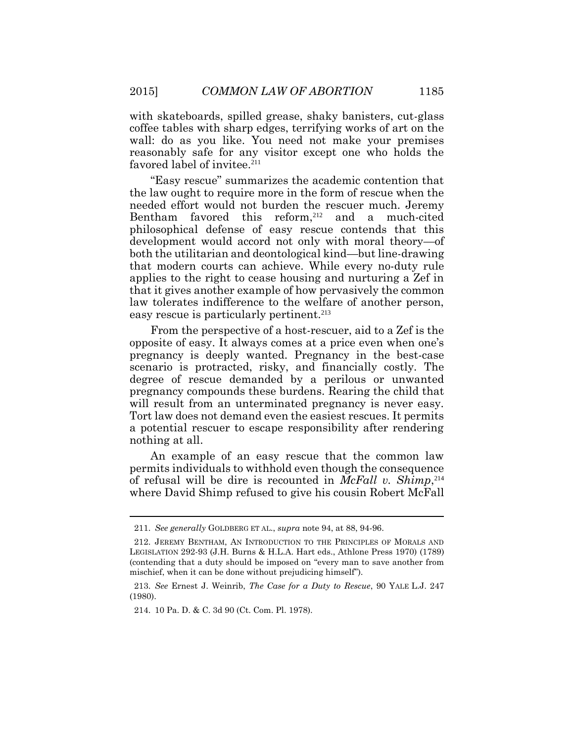with skateboards, spilled grease, shaky banisters, cut-glass coffee tables with sharp edges, terrifying works of art on the wall: do as you like. You need not make your premises reasonably safe for any visitor except one who holds the favored label of invitee.<sup>211</sup>

"Easy rescue" summarizes the academic contention that the law ought to require more in the form of rescue when the needed effort would not burden the rescuer much. Jeremy Bentham favored this reform, <sup>212</sup> and a much-cited philosophical defense of easy rescue contends that this development would accord not only with moral theory—of both the utilitarian and deontological kind—but line-drawing that modern courts can achieve. While every no-duty rule applies to the right to cease housing and nurturing a Zef in that it gives another example of how pervasively the common law tolerates indifference to the welfare of another person, easy rescue is particularly pertinent.<sup>213</sup>

From the perspective of a host-rescuer, aid to a Zef is the opposite of easy. It always comes at a price even when one's pregnancy is deeply wanted. Pregnancy in the best-case scenario is protracted, risky, and financially costly. The degree of rescue demanded by a perilous or unwanted pregnancy compounds these burdens. Rearing the child that will result from an unterminated pregnancy is never easy. Tort law does not demand even the easiest rescues. It permits a potential rescuer to escape responsibility after rendering nothing at all.

An example of an easy rescue that the common law permits individuals to withhold even though the consequence of refusal will be dire is recounted in *McFall v. Shimp*, 214 where David Shimp refused to give his cousin Robert McFall

<sup>211.</sup> *See generally* GOLDBERG ET AL., *supra* note 94, at 88, 94-96.

<sup>212.</sup> JEREMY BENTHAM, AN INTRODUCTION TO THE PRINCIPLES OF MORALS AND LEGISLATION 292-93 (J.H. Burns & H.L.A. Hart eds., Athlone Press 1970) (1789) (contending that a duty should be imposed on "every man to save another from mischief, when it can be done without prejudicing himself").

<sup>213.</sup> *See* Ernest J. Weinrib, *The Case for a Duty to Rescue*, 90 YALE L.J. 247 (1980).

<sup>214.</sup> 10 Pa. D. & C. 3d 90 (Ct. Com. Pl. 1978).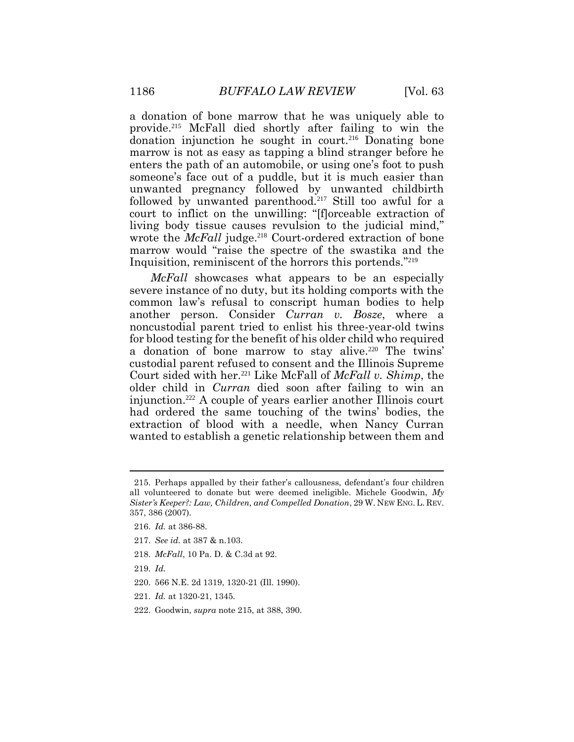a donation of bone marrow that he was uniquely able to provide.<sup>215</sup> McFall died shortly after failing to win the donation injunction he sought in court.<sup>216</sup> Donating bone marrow is not as easy as tapping a blind stranger before he enters the path of an automobile, or using one's foot to push someone's face out of a puddle, but it is much easier than unwanted pregnancy followed by unwanted childbirth followed by unwanted parenthood.<sup>217</sup> Still too awful for a court to inflict on the unwilling: "[f]orceable extraction of living body tissue causes revulsion to the judicial mind," wrote the *McFall* judge. <sup>218</sup> Court-ordered extraction of bone marrow would "raise the spectre of the swastika and the Inquisition, reminiscent of the horrors this portends." 219

*McFall* showcases what appears to be an especially severe instance of no duty, but its holding comports with the common law's refusal to conscript human bodies to help another person. Consider *Curran v. Bosze*, where a noncustodial parent tried to enlist his three-year-old twins for blood testing for the benefit of his older child who required a donation of bone marrow to stay alive.<sup>220</sup> The twins' custodial parent refused to consent and the Illinois Supreme Court sided with her.<sup>221</sup> Like McFall of *McFall v. Shimp*, the older child in *Curran* died soon after failing to win an injunction.<sup>222</sup> A couple of years earlier another Illinois court had ordered the same touching of the twins' bodies, the extraction of blood with a needle, when Nancy Curran wanted to establish a genetic relationship between them and

- 216. *Id.* at 386-88.
- 217. *See id.* at 387 & n.103.
- 218. *McFall*, 10 Pa. D. & C.3d at 92.
- 219. *Id.*
- 220. 566 N.E. 2d 1319, 1320-21 (Ill. 1990).
- 221. *Id.* at 1320-21, 1345.
- 222. Goodwin, *supra* note 215, at 388, 390.

<sup>215.</sup> Perhaps appalled by their father's callousness, defendant's four children all volunteered to donate but were deemed ineligible. Michele Goodwin, *My Sister's Keeper?: Law, Children, and Compelled Donation*, 29 W. NEW ENG. L. REV. 357, 386 (2007).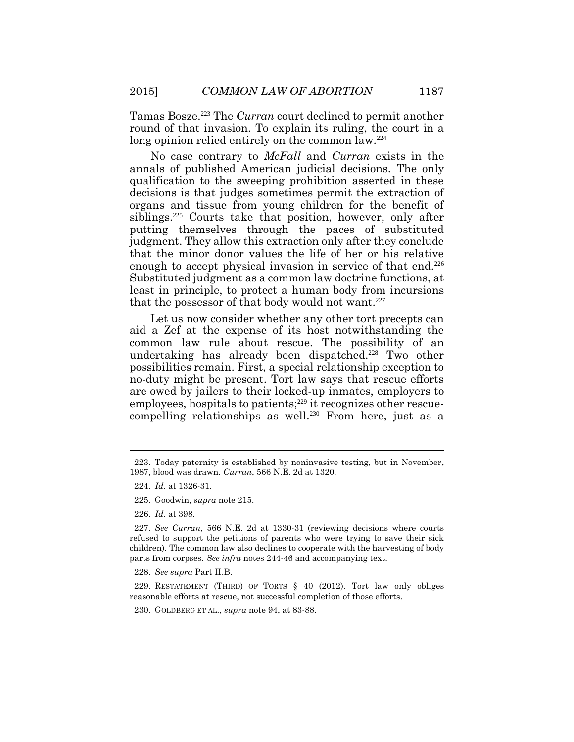Tamas Bosze.<sup>223</sup> The *Curran* court declined to permit another round of that invasion. To explain its ruling, the court in a long opinion relied entirely on the common law.<sup>224</sup>

No case contrary to *McFall* and *Curran* exists in the annals of published American judicial decisions. The only qualification to the sweeping prohibition asserted in these decisions is that judges sometimes permit the extraction of organs and tissue from young children for the benefit of siblings.<sup>225</sup> Courts take that position, however, only after putting themselves through the paces of substituted judgment. They allow this extraction only after they conclude that the minor donor values the life of her or his relative enough to accept physical invasion in service of that end.<sup>226</sup> Substituted judgment as a common law doctrine functions, at least in principle, to protect a human body from incursions that the possessor of that body would not want.<sup>227</sup>

Let us now consider whether any other tort precepts can aid a Zef at the expense of its host notwithstanding the common law rule about rescue. The possibility of an undertaking has already been dispatched.<sup>228</sup> Two other possibilities remain. First, a special relationship exception to no-duty might be present. Tort law says that rescue efforts are owed by jailers to their locked-up inmates, employers to  $employees,$  hospitals to patients;<sup>229</sup> it recognizes other rescuecompelling relationships as well.<sup>230</sup> From here, just as a

<sup>223.</sup> Today paternity is established by noninvasive testing, but in November, 1987, blood was drawn. *Curran*, 566 N.E. 2d at 1320.

<sup>224.</sup> *Id.* at 1326-31.

<sup>225.</sup> Goodwin, *supra* note 215.

<sup>226.</sup> *Id.* at 398.

<sup>227.</sup> *See Curran*, 566 N.E. 2d at 1330-31 (reviewing decisions where courts refused to support the petitions of parents who were trying to save their sick children). The common law also declines to cooperate with the harvesting of body parts from corpses. *See infra* notes 244-46 and accompanying text.

<sup>228.</sup> *See supra* Part II.B.

<sup>229.</sup> RESTATEMENT (THIRD) OF TORTS § 40 (2012). Tort law only obliges reasonable efforts at rescue, not successful completion of those efforts.

<sup>230.</sup> GOLDBERG ET AL., *supra* note 94, at 83-88.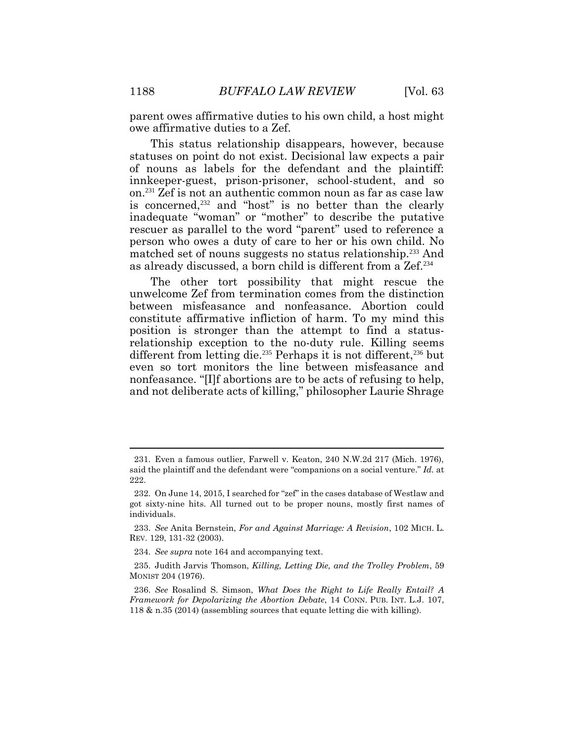parent owes affirmative duties to his own child, a host might owe affirmative duties to a Zef.

This status relationship disappears, however, because statuses on point do not exist. Decisional law expects a pair of nouns as labels for the defendant and the plaintiff: innkeeper-guest, prison-prisoner, school-student, and so on.<sup>231</sup> Zef is not an authentic common noun as far as case law is concerned,<sup>232</sup> and "host" is no better than the clearly inadequate "woman" or "mother" to describe the putative rescuer as parallel to the word "parent" used to reference a person who owes a duty of care to her or his own child. No matched set of nouns suggests no status relationship.<sup>233</sup> And as already discussed, a born child is different from a Zef.<sup>234</sup>

The other tort possibility that might rescue the unwelcome Zef from termination comes from the distinction between misfeasance and nonfeasance. Abortion could constitute affirmative infliction of harm. To my mind this position is stronger than the attempt to find a statusrelationship exception to the no-duty rule. Killing seems different from letting die.<sup>235</sup> Perhaps it is not different,<sup>236</sup> but even so tort monitors the line between misfeasance and nonfeasance. "[I]f abortions are to be acts of refusing to help, and not deliberate acts of killing," philosopher Laurie Shrage

<sup>231.</sup> Even a famous outlier, Farwell v. Keaton, 240 N.W.2d 217 (Mich. 1976), said the plaintiff and the defendant were "companions on a social venture." *Id.* at 222.

<sup>232.</sup> On June 14, 2015, I searched for "zef" in the cases database of Westlaw and got sixty-nine hits. All turned out to be proper nouns, mostly first names of individuals.

<sup>233.</sup> *See* Anita Bernstein, *For and Against Marriage: A Revision*, 102 MICH. L. REV. 129, 131-32 (2003).

<sup>234.</sup> *See supra* note 164 and accompanying text.

<sup>235.</sup> Judith Jarvis Thomson, *Killing, Letting Die, and the Trolley Problem*, 59 MONIST 204 (1976).

<sup>236.</sup> *See* Rosalind S. Simson, *What Does the Right to Life Really Entail? A Framework for Depolarizing the Abortion Debate*, 14 CONN. PUB. INT. L.J. 107, 118 & n.35 (2014) (assembling sources that equate letting die with killing).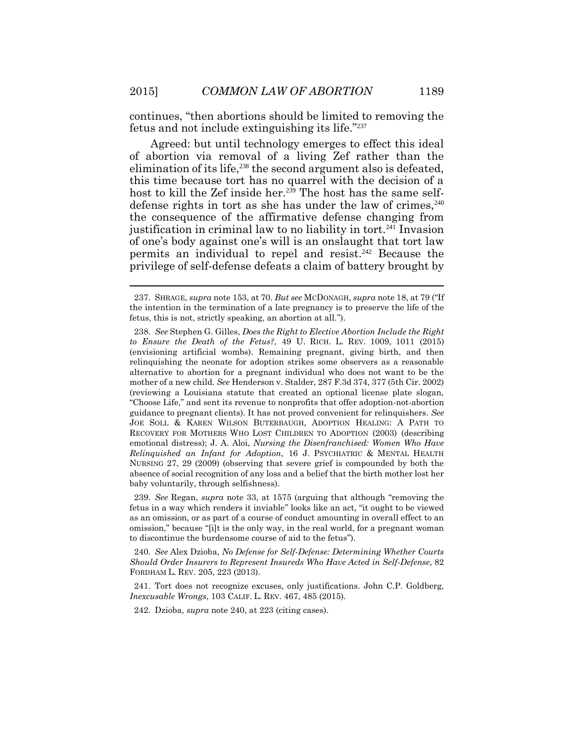continues, "then abortions should be limited to removing the fetus and not include extinguishing its life."<sup>237</sup>

Agreed: but until technology emerges to effect this ideal of abortion via removal of a living Zef rather than the elimination of its life,<sup>238</sup> the second argument also is defeated. this time because tort has no quarrel with the decision of a host to kill the Zef inside her.<sup>239</sup> The host has the same selfdefense rights in tort as she has under the law of crimes,  $240$ the consequence of the affirmative defense changing from justification in criminal law to no liability in tort.<sup>241</sup> Invasion of one's body against one's will is an onslaught that tort law permits an individual to repel and resist.<sup>242</sup> Because the privilege of self-defense defeats a claim of battery brought by

240. *See* Alex Dzioba, *No Defense for Self-Defense: Determining Whether Courts Should Order Insurers to Represent Insureds Who Have Acted in Self-Defense*, 82 FORDHAM L. REV. 205, 223 (2013).

241. Tort does not recognize excuses, only justifications. John C.P. Goldberg, *Inexcusable Wrongs*, 103 CALIF. L. REV. 467, 485 (2015).

242. Dzioba, *supra* note 240, at 223 (citing cases).

<sup>237.</sup> SHRAGE, *supra* note 153, at 70. *But see* MCDONAGH, *supra* note 18, at 79 ("If the intention in the termination of a late pregnancy is to preserve the life of the fetus, this is not, strictly speaking, an abortion at all.").

<sup>238.</sup> *See* Stephen G. Gilles, *Does the Right to Elective Abortion Include the Right to Ensure the Death of the Fetus?*, 49 U. RICH. L. REV. 1009, 1011 (2015) (envisioning artificial wombs). Remaining pregnant, giving birth, and then relinquishing the neonate for adoption strikes some observers as a reasonable alternative to abortion for a pregnant individual who does not want to be the mother of a new child. *See* Henderson v. Stalder, 287 F.3d 374, 377 (5th Cir. 2002) (reviewing a Louisiana statute that created an optional license plate slogan, "Choose Life," and sent its revenue to nonprofits that offer adoption-not-abortion guidance to pregnant clients). It has not proved convenient for relinquishers. *See* JOE SOLL & KAREN WILSON BUTERBAUGH, ADOPTION HEALING: A PATH TO RECOVERY FOR MOTHERS WHO LOST CHILDREN TO ADOPTION (2003) (describing emotional distress); J. A. Aloi, *Nursing the Disenfranchised: Women Who Have Relinquished an Infant for Adoption*, 16 J. PSYCHIATRIC & MENTAL HEALTH NURSING 27, 29 (2009) (observing that severe grief is compounded by both the absence of social recognition of any loss and a belief that the birth mother lost her baby voluntarily, through selfishness).

<sup>239.</sup> *See* Regan, *supra* note 33, at 1575 (arguing that although "removing the fetus in a way which renders it inviable" looks like an act, "it ought to be viewed as an omission, or as part of a course of conduct amounting in overall effect to an omission," because "[i]t is the only way, in the real world, for a pregnant woman to discontinue the burdensome course of aid to the fetus").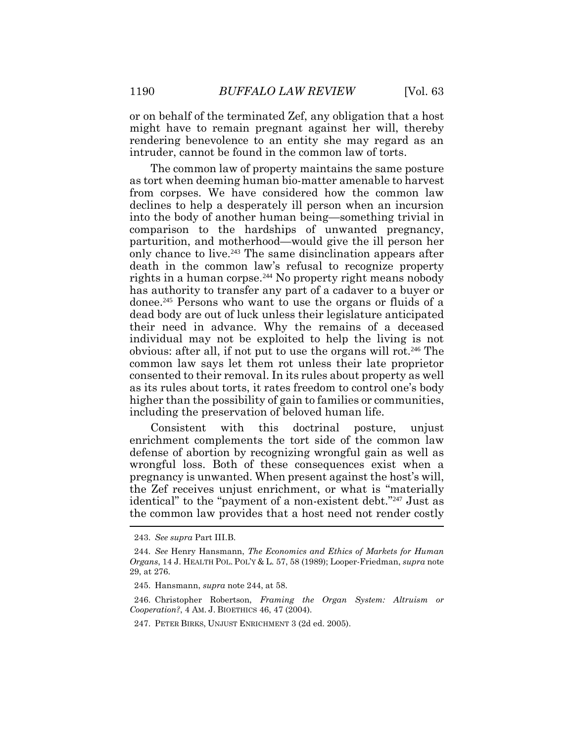or on behalf of the terminated Zef, any obligation that a host might have to remain pregnant against her will, thereby rendering benevolence to an entity she may regard as an intruder, cannot be found in the common law of torts.

The common law of property maintains the same posture as tort when deeming human bio-matter amenable to harvest from corpses. We have considered how the common law declines to help a desperately ill person when an incursion into the body of another human being—something trivial in comparison to the hardships of unwanted pregnancy, parturition, and motherhood—would give the ill person her only chance to live.<sup>243</sup> The same disinclination appears after death in the common law's refusal to recognize property rights in a human corpse.<sup>244</sup> No property right means nobody has authority to transfer any part of a cadaver to a buyer or donee.<sup>245</sup> Persons who want to use the organs or fluids of a dead body are out of luck unless their legislature anticipated their need in advance. Why the remains of a deceased individual may not be exploited to help the living is not obvious: after all, if not put to use the organs will rot.<sup>246</sup> The common law says let them rot unless their late proprietor consented to their removal. In its rules about property as well as its rules about torts, it rates freedom to control one's body higher than the possibility of gain to families or communities, including the preservation of beloved human life.

Consistent with this doctrinal posture, unjust enrichment complements the tort side of the common law defense of abortion by recognizing wrongful gain as well as wrongful loss. Both of these consequences exist when a pregnancy is unwanted. When present against the host's will, the Zef receives unjust enrichment, or what is "materially identical" to the "payment of a non-existent debt."<sup>247</sup> Just as the common law provides that a host need not render costly

<sup>243.</sup> *See supra* Part III.B.

<sup>244.</sup> *See* Henry Hansmann, *The Economics and Ethics of Markets for Human Organs*, 14 J. HEALTH POL. POL'Y & L. 57, 58 (1989); Looper-Friedman, *supra* note 29, at 276.

<sup>245.</sup> Hansmann, *supra* note 244, at 58.

<sup>246.</sup> Christopher Robertson, *Framing the Organ System: Altruism or Cooperation?*, 4 AM. J. BIOETHICS 46, 47 (2004).

<sup>247.</sup> PETER BIRKS, UNJUST ENRICHMENT 3 (2d ed. 2005).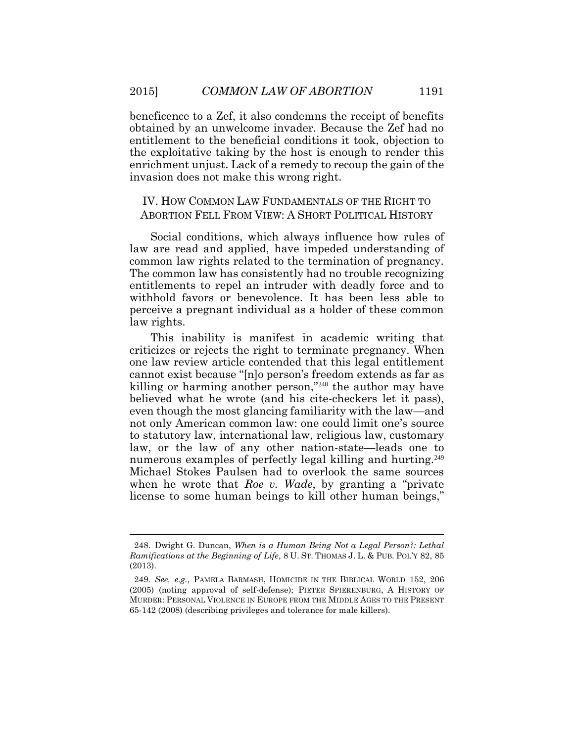beneficence to a Zef, it also condemns the receipt of benefits obtained by an unwelcome invader. Because the Zef had no entitlement to the beneficial conditions it took, objection to the exploitative taking by the host is enough to render this enrichment unjust. Lack of a remedy to recoup the gain of the invasion does not make this wrong right.

# IV. HOW COMMON LAW FUNDAMENTALS OF THE RIGHT TO ABORTION FELL FROM VIEW: A SHORT POLITICAL HISTORY

Social conditions, which always influence how rules of law are read and applied, have impeded understanding of common law rights related to the termination of pregnancy. The common law has consistently had no trouble recognizing entitlements to repel an intruder with deadly force and to withhold favors or benevolence. It has been less able to perceive a pregnant individual as a holder of these common law rights.

This inability is manifest in academic writing that criticizes or rejects the right to terminate pregnancy. When one law review article contended that this legal entitlement cannot exist because "[n]o person's freedom extends as far as killing or harming another person," <sup>248</sup> the author may have believed what he wrote (and his cite-checkers let it pass), even though the most glancing familiarity with the law—and not only American common law: one could limit one's source to statutory law, international law, religious law, customary law, or the law of any other nation-state—leads one to numerous examples of perfectly legal killing and hurting.<sup>249</sup> Michael Stokes Paulsen had to overlook the same sources when he wrote that *Roe v. Wade*, by granting a "private license to some human beings to kill other human beings,"

<sup>248.</sup> Dwight G. Duncan, *When is a Human Being Not a Legal Person?: Lethal Ramifications at the Beginning of Life*, 8 U. ST. THOMAS J. L. & PUB. POL'Y 82, 85 (2013).

<sup>249.</sup> *See, e.g.*, PAMELA BARMASH, HOMICIDE IN THE BIBLICAL WORLD 152, 206 (2005) (noting approval of self-defense); PIETER SPIERENBURG, A HISTORY OF MURDER: PERSONAL VIOLENCE IN EUROPE FROM THE MIDDLE AGES TO THE PRESENT 65-142 (2008) (describing privileges and tolerance for male killers).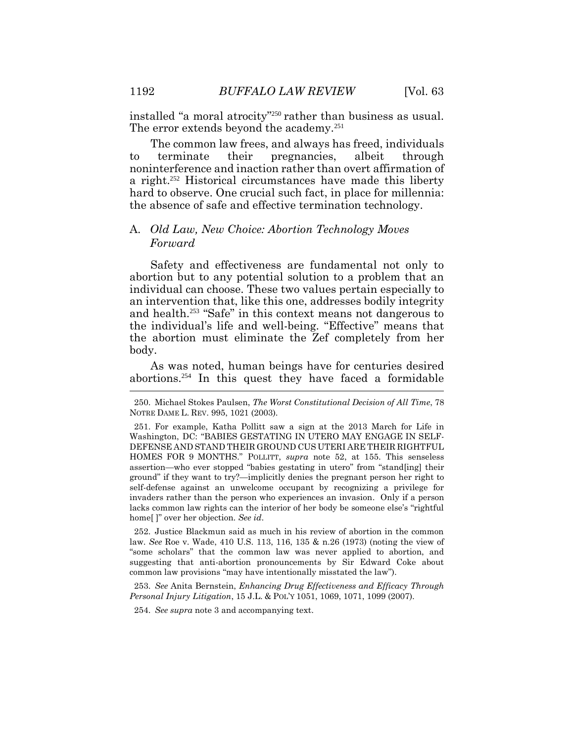installed "a moral atrocity" <sup>250</sup> rather than business as usual. The error extends beyond the academy.<sup>251</sup>

The common law frees, and always has freed, individuals to terminate their pregnancies, albeit through noninterference and inaction rather than overt affirmation of a right.252 Historical circumstances have made this liberty hard to observe. One crucial such fact, in place for millennia: the absence of safe and effective termination technology.

## A. *Old Law, New Choice: Abortion Technology Moves Forward*

Safety and effectiveness are fundamental not only to abortion but to any potential solution to a problem that an individual can choose. These two values pertain especially to an intervention that, like this one, addresses bodily integrity and health.<sup>253</sup> "Safe" in this context means not dangerous to the individual's life and well-being. "Effective" means that the abortion must eliminate the Zef completely from her body.

As was noted, human beings have for centuries desired abortions.254 In this quest they have faced a formidable

252. Justice Blackmun said as much in his review of abortion in the common law. *See* Roe v. Wade, 410 U.S. 113, 116, 135 & n.26 (1973) (noting the view of "some scholars" that the common law was never applied to abortion, and suggesting that anti-abortion pronouncements by Sir Edward Coke about common law provisions "may have intentionally misstated the law").

253. *See* Anita Bernstein, *Enhancing Drug Effectiveness and Efficacy Through Personal Injury Litigation*, 15 J.L. & POL'Y 1051, 1069, 1071, 1099 (2007).

254. *See supra* note 3 and accompanying text.

<sup>250.</sup> Michael Stokes Paulsen, *The Worst Constitutional Decision of All Time*, 78 NOTRE DAME L. REV. 995, 1021 (2003).

<sup>251.</sup> For example, Katha Pollitt saw a sign at the 2013 March for Life in Washington, DC: "BABIES GESTATING IN UTERO MAY ENGAGE IN SELF-DEFENSE AND STAND THEIR GROUND CUS UTERI ARE THEIR RIGHTFUL HOMES FOR 9 MONTHS." POLLITT, *supra* note 52, at 155. This senseless assertion—who ever stopped "babies gestating in utero" from "stand[ing] their ground" if they want to try?—implicitly denies the pregnant person her right to self-defense against an unwelcome occupant by recognizing a privilege for invaders rather than the person who experiences an invasion. Only if a person lacks common law rights can the interior of her body be someone else's "rightful home[ ]" over her objection. *See id*.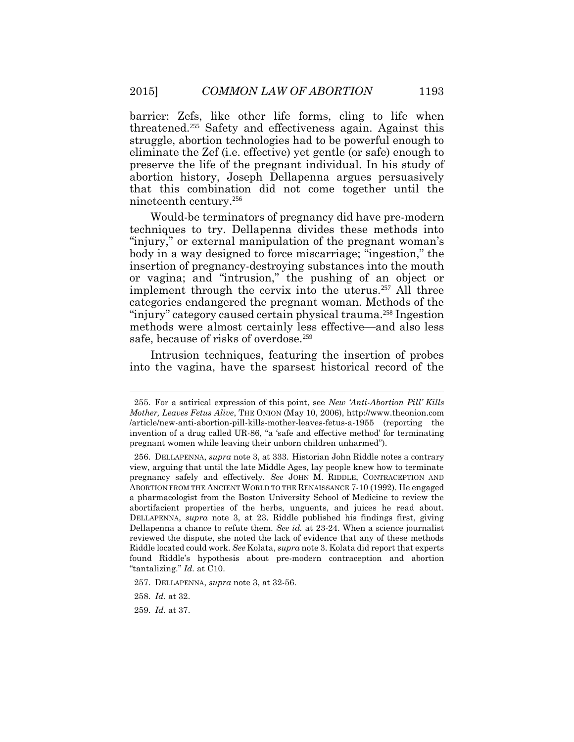barrier: Zefs, like other life forms, cling to life when threatened. <sup>255</sup> Safety and effectiveness again. Against this struggle, abortion technologies had to be powerful enough to eliminate the Zef (i.e. effective) yet gentle (or safe) enough to preserve the life of the pregnant individual. In his study of abortion history, Joseph Dellapenna argues persuasively that this combination did not come together until the nineteenth century.<sup>256</sup>

Would-be terminators of pregnancy did have pre-modern techniques to try. Dellapenna divides these methods into "injury," or external manipulation of the pregnant woman's body in a way designed to force miscarriage; "ingestion," the insertion of pregnancy-destroying substances into the mouth or vagina; and "intrusion," the pushing of an object or implement through the cervix into the uterus.<sup>257</sup> All three categories endangered the pregnant woman. Methods of the "injury" category caused certain physical trauma.<sup>258</sup> Ingestion methods were almost certainly less effective—and also less safe, because of risks of overdose.<sup>259</sup>

Intrusion techniques, featuring the insertion of probes into the vagina, have the sparsest historical record of the

<sup>255.</sup> For a satirical expression of this point, see *New 'Anti-Abortion Pill' Kills Mother, Leaves Fetus Alive*, THE ONION (May 10, 2006), http://www.theonion.com /article/new-anti-abortion-pill-kills-mother-leaves-fetus-a-1955 (reporting the invention of a drug called UR-86, "a 'safe and effective method' for terminating pregnant women while leaving their unborn children unharmed").

<sup>256.</sup> DELLAPENNA, *supra* note 3, at 333. Historian John Riddle notes a contrary view, arguing that until the late Middle Ages, lay people knew how to terminate pregnancy safely and effectively. *See* JOHN M. RIDDLE, CONTRACEPTION AND ABORTION FROM THE ANCIENT WORLD TO THE RENAISSANCE 7-10 (1992). He engaged a pharmacologist from the Boston University School of Medicine to review the abortifacient properties of the herbs, unguents, and juices he read about. DELLAPENNA, *supra* note 3, at 23. Riddle published his findings first, giving Dellapenna a chance to refute them. *See id.* at 23-24. When a science journalist reviewed the dispute, she noted the lack of evidence that any of these methods Riddle located could work. *See* Kolata, *supra* note 3. Kolata did report that experts found Riddle's hypothesis about pre-modern contraception and abortion "tantalizing." *Id.* at C10.

<sup>257.</sup> DELLAPENNA, *supra* note 3, at 32-56.

<sup>258.</sup> *Id.* at 32.

<sup>259.</sup> *Id.* at 37.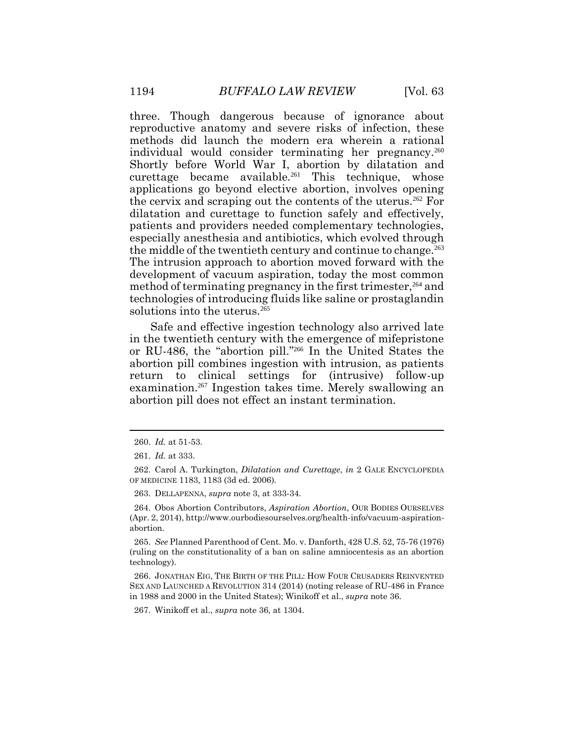three. Though dangerous because of ignorance about reproductive anatomy and severe risks of infection, these methods did launch the modern era wherein a rational individual would consider terminating her pregnancy.<sup>260</sup> Shortly before World War I, abortion by dilatation and curettage became available.<sup>261</sup> This technique, whose applications go beyond elective abortion, involves opening the cervix and scraping out the contents of the uterus.<sup>262</sup> For dilatation and curettage to function safely and effectively, patients and providers needed complementary technologies, especially anesthesia and antibiotics, which evolved through the middle of the twentieth century and continue to change.<sup>263</sup> The intrusion approach to abortion moved forward with the development of vacuum aspiration, today the most common method of terminating pregnancy in the first trimester, <sup>264</sup> and technologies of introducing fluids like saline or prostaglandin solutions into the uterus.<sup>265</sup>

Safe and effective ingestion technology also arrived late in the twentieth century with the emergence of mifepristone or RU-486, the "abortion pill." <sup>266</sup> In the United States the abortion pill combines ingestion with intrusion, as patients return to clinical settings for (intrusive) follow-up examination.<sup>267</sup> Ingestion takes time. Merely swallowing an abortion pill does not effect an instant termination.

263. DELLAPENNA, *supra* note 3, at 333-34.

264. Obos Abortion Contributors, *Aspiration Abortion*, OUR BODIES OURSELVES (Apr. 2, 2014), http://www.ourbodiesourselves.org/health-info/vacuum-aspirationabortion.

265. *See* Planned Parenthood of Cent. Mo. v. Danforth, 428 U.S. 52, 75-76 (1976) (ruling on the constitutionality of a ban on saline amniocentesis as an abortion technology).

266. JONATHAN EIG, THE BIRTH OF THE PILL: HOW FOUR CRUSADERS REINVENTED SEX AND LAUNCHED A REVOLUTION 314 (2014) (noting release of RU-486 in France in 1988 and 2000 in the United States); Winikoff et al., *supra* note 36.

267. Winikoff et al., *supra* note 36, at 1304.

<sup>260.</sup> *Id.* at 51-53.

<sup>261.</sup> *Id.* at 333.

<sup>262.</sup> Carol A. Turkington, *Dilatation and Curettage*, *in* 2 GALE ENCYCLOPEDIA OF MEDICINE 1183, 1183 (3d ed. 2006).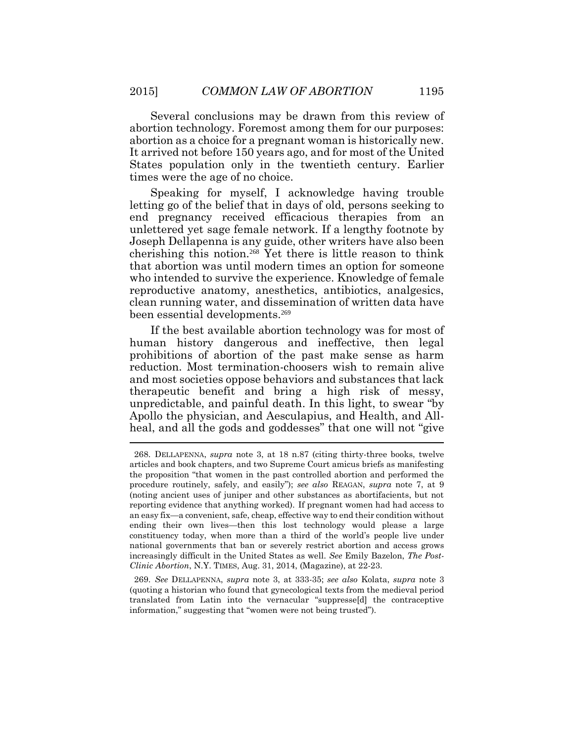Several conclusions may be drawn from this review of abortion technology. Foremost among them for our purposes: abortion as a choice for a pregnant woman is historically new. It arrived not before 150 years ago, and for most of the United States population only in the twentieth century. Earlier times were the age of no choice.

Speaking for myself, I acknowledge having trouble letting go of the belief that in days of old, persons seeking to end pregnancy received efficacious therapies from an unlettered yet sage female network. If a lengthy footnote by Joseph Dellapenna is any guide, other writers have also been cherishing this notion.<sup>268</sup> Yet there is little reason to think that abortion was until modern times an option for someone who intended to survive the experience. Knowledge of female reproductive anatomy, anesthetics, antibiotics, analgesics, clean running water, and dissemination of written data have been essential developments. 269

If the best available abortion technology was for most of human history dangerous and ineffective, then legal prohibitions of abortion of the past make sense as harm reduction. Most termination-choosers wish to remain alive and most societies oppose behaviors and substances that lack therapeutic benefit and bring a high risk of messy, unpredictable, and painful death. In this light, to swear "by Apollo the physician, and Aesculapius, and Health, and Allheal, and all the gods and goddesses" that one will not "give

269. *See* DELLAPENNA, *supra* note 3, at 333-35; *see also* Kolata, *supra* note 3 (quoting a historian who found that gynecological texts from the medieval period translated from Latin into the vernacular "suppresse[d] the contraceptive information," suggesting that "women were not being trusted").

<sup>268.</sup> DELLAPENNA, *supra* note 3, at 18 n.87 (citing thirty-three books, twelve articles and book chapters, and two Supreme Court amicus briefs as manifesting the proposition "that women in the past controlled abortion and performed the procedure routinely, safely, and easily"); *see also* REAGAN, *supra* note 7, at 9 (noting ancient uses of juniper and other substances as abortifacients, but not reporting evidence that anything worked). If pregnant women had had access to an easy fix—a convenient, safe, cheap, effective way to end their condition without ending their own lives—then this lost technology would please a large constituency today, when more than a third of the world's people live under national governments that ban or severely restrict abortion and access grows increasingly difficult in the United States as well. *See* Emily Bazelon, *The Post-Clinic Abortion*, N.Y. TIMES, Aug. 31, 2014, (Magazine), at 22-23.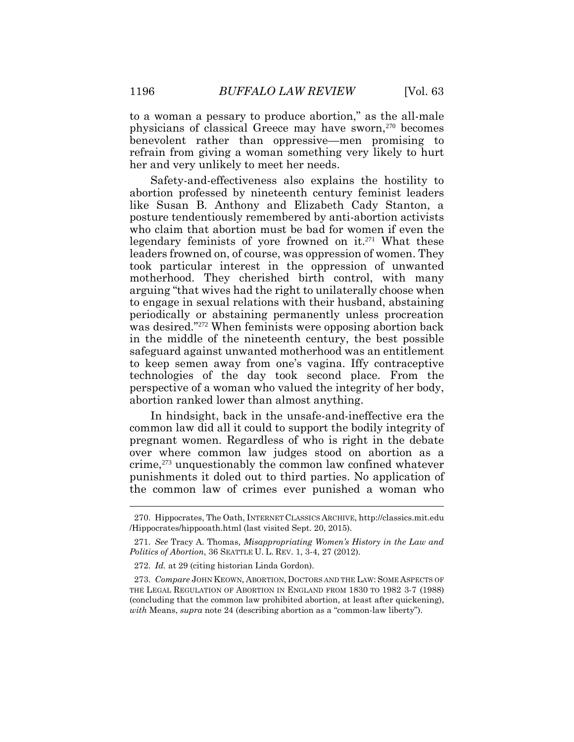to a woman a pessary to produce abortion," as the all-male physicians of classical Greece may have sworn,<sup>270</sup> becomes benevolent rather than oppressive—men promising to refrain from giving a woman something very likely to hurt her and very unlikely to meet her needs.

Safety-and-effectiveness also explains the hostility to abortion professed by nineteenth century feminist leaders like Susan B. Anthony and Elizabeth Cady Stanton, a posture tendentiously remembered by anti-abortion activists who claim that abortion must be bad for women if even the legendary feminists of yore frowned on it.<sup>271</sup> What these leaders frowned on, of course, was oppression of women. They took particular interest in the oppression of unwanted motherhood. They cherished birth control, with many arguing "that wives had the right to unilaterally choose when to engage in sexual relations with their husband, abstaining periodically or abstaining permanently unless procreation was desired." <sup>272</sup> When feminists were opposing abortion back in the middle of the nineteenth century, the best possible safeguard against unwanted motherhood was an entitlement to keep semen away from one's vagina. Iffy contraceptive technologies of the day took second place. From the perspective of a woman who valued the integrity of her body, abortion ranked lower than almost anything.

In hindsight, back in the unsafe-and-ineffective era the common law did all it could to support the bodily integrity of pregnant women. Regardless of who is right in the debate over where common law judges stood on abortion as a crime,<sup>273</sup> unquestionably the common law confined whatever punishments it doled out to third parties. No application of the common law of crimes ever punished a woman who

<sup>270.</sup> Hippocrates, The Oath, INTERNET CLASSICS ARCHIVE, http://classics.mit.edu /Hippocrates/hippooath.html (last visited Sept. 20, 2015).

<sup>271.</sup> *See* Tracy A. Thomas, *Misappropriating Women's History in the Law and Politics of Abortion*, 36 SEATTLE U. L. REV. 1, 3-4, 27 (2012).

<sup>272.</sup> *Id.* at 29 (citing historian Linda Gordon).

<sup>273.</sup> *Compare* JOHN KEOWN, ABORTION, DOCTORS AND THE LAW: SOME ASPECTS OF THE LEGAL REGULATION OF ABORTION IN ENGLAND FROM 1830 TO 1982 3-7 (1988) (concluding that the common law prohibited abortion, at least after quickening), *with* Means, *supra* note 24 (describing abortion as a "common-law liberty").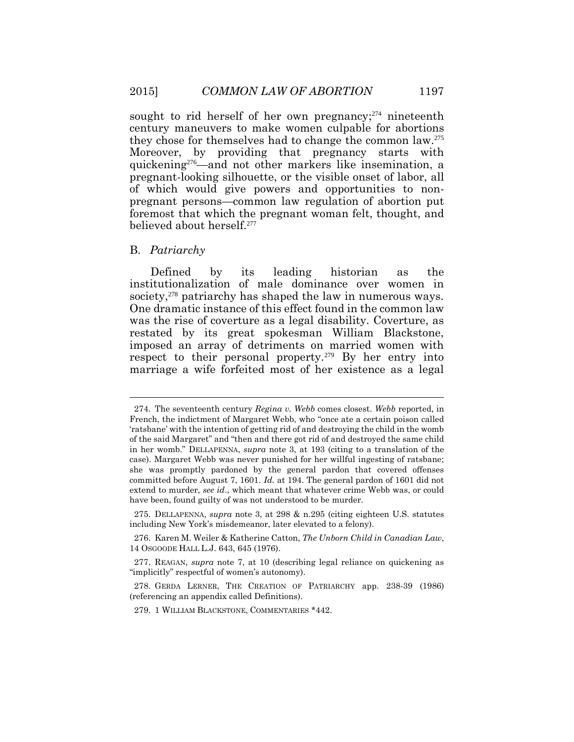sought to rid herself of her own pregnancy; $274$  nineteenth century maneuvers to make women culpable for abortions they chose for themselves had to change the common law.<sup>275</sup> Moreover, by providing that pregnancy starts with quickening276—and not other markers like insemination, a pregnant-looking silhouette, or the visible onset of labor, all of which would give powers and opportunities to nonpregnant persons—common law regulation of abortion put foremost that which the pregnant woman felt, thought, and believed about herself.<sup>277</sup>

#### B. *Patriarchy*

Defined by its leading historian as the institutionalization of male dominance over women in society,<sup>278</sup> patriarchy has shaped the law in numerous ways. One dramatic instance of this effect found in the common law was the rise of coverture as a legal disability. Coverture, as restated by its great spokesman William Blackstone, imposed an array of detriments on married women with respect to their personal property.<sup>279</sup> By her entry into marriage a wife forfeited most of her existence as a legal

<sup>274.</sup> The seventeenth century *Regina v. Webb* comes closest. *Webb* reported, in French, the indictment of Margaret Webb, who "once ate a certain poison called 'ratsbane' with the intention of getting rid of and destroying the child in the womb of the said Margaret" and "then and there got rid of and destroyed the same child in her womb." DELLAPENNA, *supra* note 3, at 193 (citing to a translation of the case). Margaret Webb was never punished for her willful ingesting of ratsbane; she was promptly pardoned by the general pardon that covered offenses committed before August 7, 1601. *Id.* at 194. The general pardon of 1601 did not extend to murder, *see id*., which meant that whatever crime Webb was, or could have been, found guilty of was not understood to be murder.

<sup>275.</sup> DELLAPENNA, *supra* note 3, at 298 & n.295 (citing eighteen U.S. statutes including New York's misdemeanor, later elevated to a felony).

<sup>276.</sup> Karen M. Weiler & Katherine Catton, *The Unborn Child in Canadian Law*, 14 OSGOODE HALL L.J. 643, 645 (1976).

<sup>277.</sup> REAGAN, *supra* note 7, at 10 (describing legal reliance on quickening as "implicitly" respectful of women's autonomy).

<sup>278.</sup> GERDA LERNER, THE CREATION OF PATRIARCHY app. 238-39 (1986) (referencing an appendix called Definitions).

<sup>279. 1</sup> WILLIAM BLACKSTONE, COMMENTARIES \*442.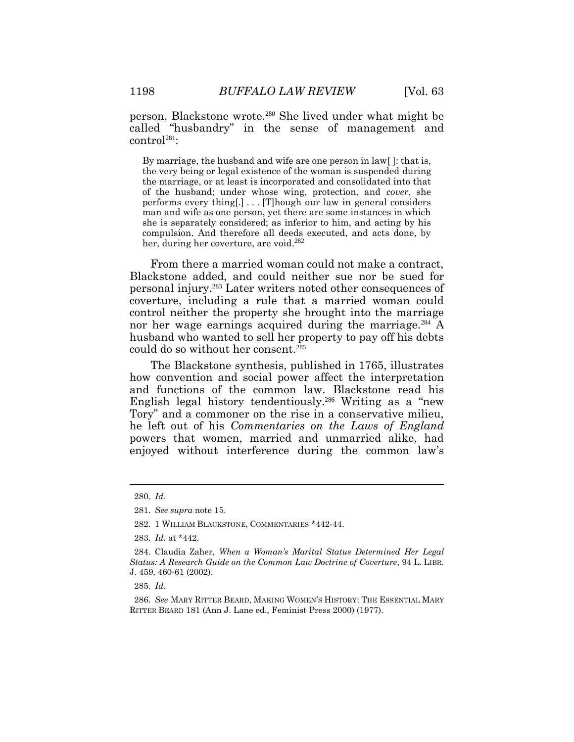person, Blackstone wrote.<sup>280</sup> She lived under what might be called "husbandry" in the sense of management and control<sup>281</sup>:

By marriage, the husband and wife are one person in law[ ]: that is, the very being or legal existence of the woman is suspended during the marriage, or at least is incorporated and consolidated into that of the husband; under whose wing, protection, and *cover*, she performs every thing[.] . . . [T]hough our law in general considers man and wife as one person, yet there are some instances in which she is separately considered; as inferior to him, and acting by his compulsion. And therefore all deeds executed, and acts done, by her, during her coverture, are void. 282

From there a married woman could not make a contract, Blackstone added, and could neither sue nor be sued for personal injury.<sup>283</sup> Later writers noted other consequences of coverture, including a rule that a married woman could control neither the property she brought into the marriage nor her wage earnings acquired during the marriage.<sup>284</sup> A husband who wanted to sell her property to pay off his debts could do so without her consent.<sup>285</sup>

The Blackstone synthesis, published in 1765, illustrates how convention and social power affect the interpretation and functions of the common law. Blackstone read his English legal history tendentiously.<sup>286</sup> Writing as a "new Tory" and a commoner on the rise in a conservative milieu, he left out of his *Commentaries on the Laws of England* powers that women, married and unmarried alike, had enjoyed without interference during the common law's

285. *Id.*

<sup>280.</sup> *Id.*

<sup>281.</sup> *See supra* note 15.

<sup>282.</sup> 1 WILLIAM BLACKSTONE, COMMENTARIES \*442-44.

<sup>283.</sup> *Id*. at \*442.

<sup>284.</sup> Claudia Zaher, *When a Woman's Marital Status Determined Her Legal Status: A Research Guide on the Common Law Doctrine of Coverture*, 94 L. LIBR. J. 459, 460-61 (2002).

<sup>286.</sup> *See* MARY RITTER BEARD, MAKING WOMEN'S HISTORY: THE ESSENTIAL MARY RITTER BEARD 181 (Ann J. Lane ed., Feminist Press 2000) (1977).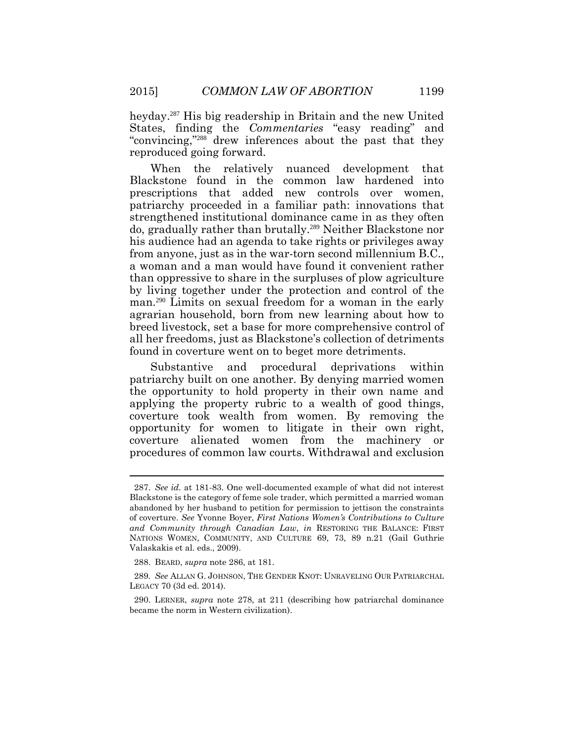heyday.<sup>287</sup> His big readership in Britain and the new United States, finding the *Commentaries* "easy reading" and "convincing," <sup>288</sup> drew inferences about the past that they reproduced going forward.

When the relatively nuanced development that Blackstone found in the common law hardened into prescriptions that added new controls over women, patriarchy proceeded in a familiar path: innovations that strengthened institutional dominance came in as they often do, gradually rather than brutally.<sup>289</sup> Neither Blackstone nor his audience had an agenda to take rights or privileges away from anyone, just as in the war-torn second millennium B.C., a woman and a man would have found it convenient rather than oppressive to share in the surpluses of plow agriculture by living together under the protection and control of the man.<sup>290</sup> Limits on sexual freedom for a woman in the early agrarian household, born from new learning about how to breed livestock, set a base for more comprehensive control of all her freedoms, just as Blackstone's collection of detriments found in coverture went on to beget more detriments.

Substantive and procedural deprivations within patriarchy built on one another. By denying married women the opportunity to hold property in their own name and applying the property rubric to a wealth of good things, coverture took wealth from women. By removing the opportunity for women to litigate in their own right, coverture alienated women from the machinery or procedures of common law courts. Withdrawal and exclusion

<sup>287.</sup> *See id.* at 181-83. One well-documented example of what did not interest Blackstone is the category of feme sole trader, which permitted a married woman abandoned by her husband to petition for permission to jettison the constraints of coverture. *See* Yvonne Boyer, *First Nations Women's Contributions to Culture and Community through Canadian Law*, *in* RESTORING THE BALANCE: FIRST NATIONS WOMEN, COMMUNITY, AND CULTURE 69, 73, 89 n.21 (Gail Guthrie Valaskakis et al. eds., 2009).

<sup>288.</sup> BEARD, *supra* note 286, at 181.

<sup>289</sup>*. See* ALLAN G. JOHNSON, THE GENDER KNOT: UNRAVELING OUR PATRIARCHAL LEGACY 70 (3d ed. 2014).

<sup>290.</sup> LERNER, *supra* note 278, at 211 (describing how patriarchal dominance became the norm in Western civilization).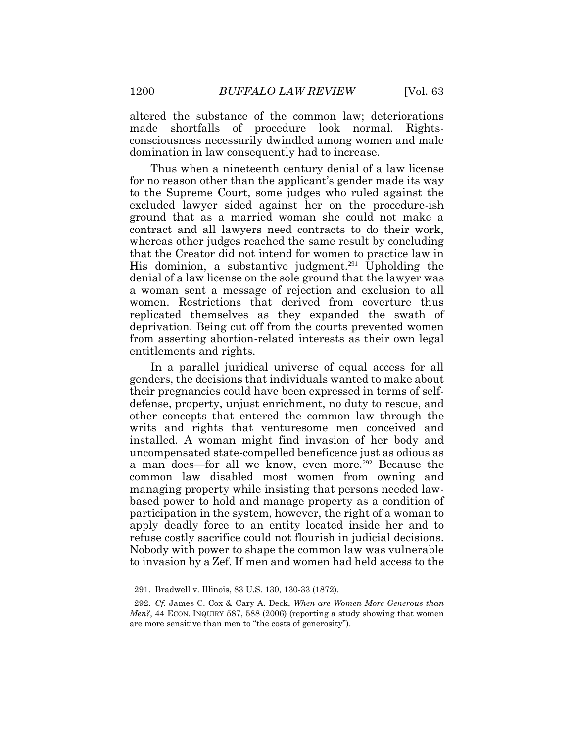altered the substance of the common law; deteriorations made shortfalls of procedure look normal. Rightsconsciousness necessarily dwindled among women and male domination in law consequently had to increase.

Thus when a nineteenth century denial of a law license for no reason other than the applicant's gender made its way to the Supreme Court, some judges who ruled against the excluded lawyer sided against her on the procedure-ish ground that as a married woman she could not make a contract and all lawyers need contracts to do their work, whereas other judges reached the same result by concluding that the Creator did not intend for women to practice law in His dominion, a substantive judgment.<sup>291</sup> Upholding the denial of a law license on the sole ground that the lawyer was a woman sent a message of rejection and exclusion to all women. Restrictions that derived from coverture thus replicated themselves as they expanded the swath of deprivation. Being cut off from the courts prevented women from asserting abortion-related interests as their own legal entitlements and rights.

In a parallel juridical universe of equal access for all genders, the decisions that individuals wanted to make about their pregnancies could have been expressed in terms of selfdefense, property, unjust enrichment, no duty to rescue, and other concepts that entered the common law through the writs and rights that venturesome men conceived and installed. A woman might find invasion of her body and uncompensated state-compelled beneficence just as odious as a man does—for all we know, even more.<sup>292</sup> Because the common law disabled most women from owning and managing property while insisting that persons needed lawbased power to hold and manage property as a condition of participation in the system, however, the right of a woman to apply deadly force to an entity located inside her and to refuse costly sacrifice could not flourish in judicial decisions. Nobody with power to shape the common law was vulnerable to invasion by a Zef. If men and women had held access to the

<sup>291.</sup> Bradwell v. Illinois, 83 U.S. 130, 130-33 (1872).

<sup>292.</sup> *Cf.* James C. Cox & Cary A. Deck, *When are Women More Generous than Men?*, 44 ECON. INQUIRY 587, 588 (2006) (reporting a study showing that women are more sensitive than men to "the costs of generosity").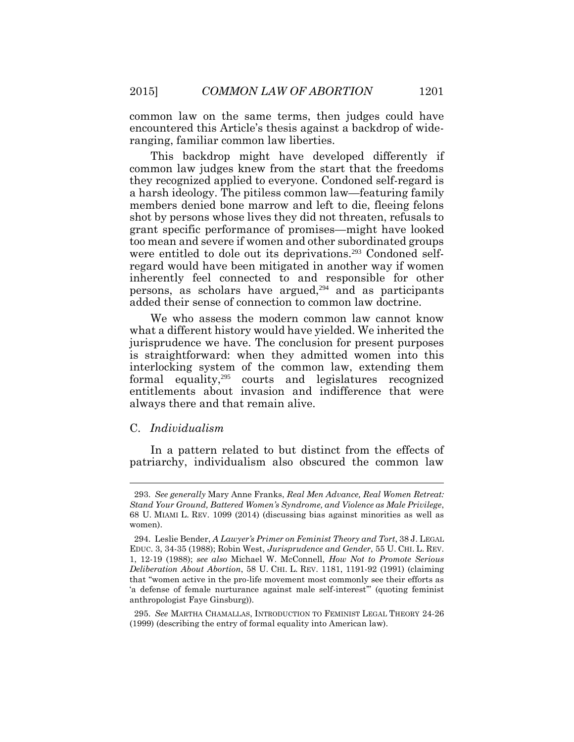common law on the same terms, then judges could have encountered this Article's thesis against a backdrop of wideranging, familiar common law liberties.

This backdrop might have developed differently if common law judges knew from the start that the freedoms they recognized applied to everyone. Condoned self-regard is a harsh ideology. The pitiless common law—featuring family members denied bone marrow and left to die, fleeing felons shot by persons whose lives they did not threaten, refusals to grant specific performance of promises—might have looked too mean and severe if women and other subordinated groups were entitled to dole out its deprivations.<sup>293</sup> Condoned selfregard would have been mitigated in another way if women inherently feel connected to and responsible for other persons, as scholars have argued, $294$  and as participants added their sense of connection to common law doctrine.

We who assess the modern common law cannot know what a different history would have yielded. We inherited the jurisprudence we have. The conclusion for present purposes is straightforward: when they admitted women into this interlocking system of the common law, extending them formal equality,295 courts and legislatures recognized entitlements about invasion and indifference that were always there and that remain alive.

#### C. *Individualism*

 $\overline{a}$ 

In a pattern related to but distinct from the effects of patriarchy, individualism also obscured the common law

<sup>293.</sup> *See generally* Mary Anne Franks, *Real Men Advance, Real Women Retreat: Stand Your Ground, Battered Women's Syndrome, and Violence as Male Privilege*, 68 U. MIAMI L. REV. 1099 (2014) (discussing bias against minorities as well as women).

<sup>294.</sup> Leslie Bender, *A Lawyer's Primer on Feminist Theory and Tort*, 38 J. LEGAL EDUC. 3, 34-35 (1988); Robin West, *Jurisprudence and Gender*, 55 U. CHI. L. REV. 1, 12-19 (1988); *see also* Michael W. McConnell, *How Not to Promote Serious Deliberation About Abortion*, 58 U. CHI. L. REV. 1181, 1191-92 (1991) (claiming that "women active in the pro-life movement most commonly see their efforts as 'a defense of female nurturance against male self-interest'" (quoting feminist anthropologist Faye Ginsburg)).

<sup>295.</sup> *See* MARTHA CHAMALLAS, INTRODUCTION TO FEMINIST LEGAL THEORY 24-26 (1999) (describing the entry of formal equality into American law).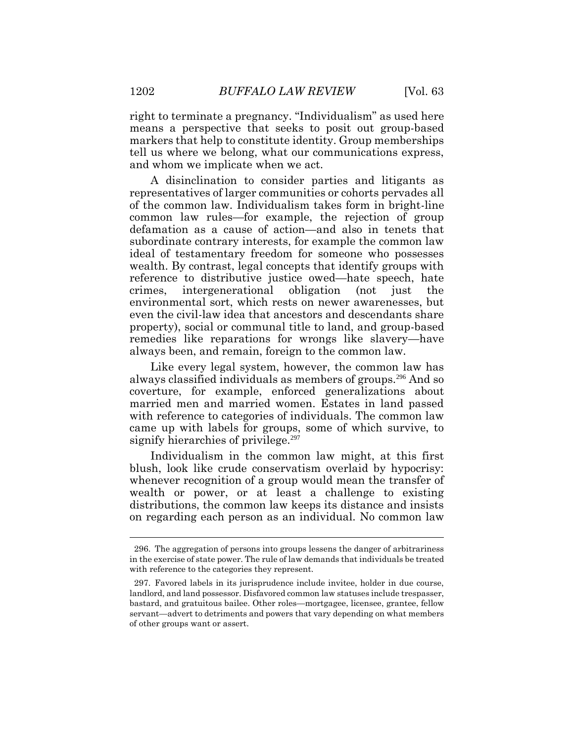right to terminate a pregnancy. "Individualism" as used here means a perspective that seeks to posit out group-based markers that help to constitute identity. Group memberships tell us where we belong, what our communications express, and whom we implicate when we act.

A disinclination to consider parties and litigants as representatives of larger communities or cohorts pervades all of the common law. Individualism takes form in bright-line common law rules—for example, the rejection of group defamation as a cause of action—and also in tenets that subordinate contrary interests, for example the common law ideal of testamentary freedom for someone who possesses wealth. By contrast, legal concepts that identify groups with reference to distributive justice owed—hate speech, hate crimes, intergenerational obligation (not just the environmental sort, which rests on newer awarenesses, but even the civil-law idea that ancestors and descendants share property), social or communal title to land, and group-based remedies like reparations for wrongs like slavery—have always been, and remain, foreign to the common law.

Like every legal system, however, the common law has always classified individuals as members of groups.<sup>296</sup> And so coverture, for example, enforced generalizations about married men and married women. Estates in land passed with reference to categories of individuals. The common law came up with labels for groups, some of which survive, to signify hierarchies of privilege.<sup>297</sup>

Individualism in the common law might, at this first blush, look like crude conservatism overlaid by hypocrisy: whenever recognition of a group would mean the transfer of wealth or power, or at least a challenge to existing distributions, the common law keeps its distance and insists on regarding each person as an individual. No common law

<sup>296.</sup> The aggregation of persons into groups lessens the danger of arbitrariness in the exercise of state power. The rule of law demands that individuals be treated with reference to the categories they represent.

<sup>297.</sup> Favored labels in its jurisprudence include invitee, holder in due course, landlord, and land possessor. Disfavored common law statuses include trespasser, bastard, and gratuitous bailee. Other roles—mortgagee, licensee, grantee, fellow servant—advert to detriments and powers that vary depending on what members of other groups want or assert.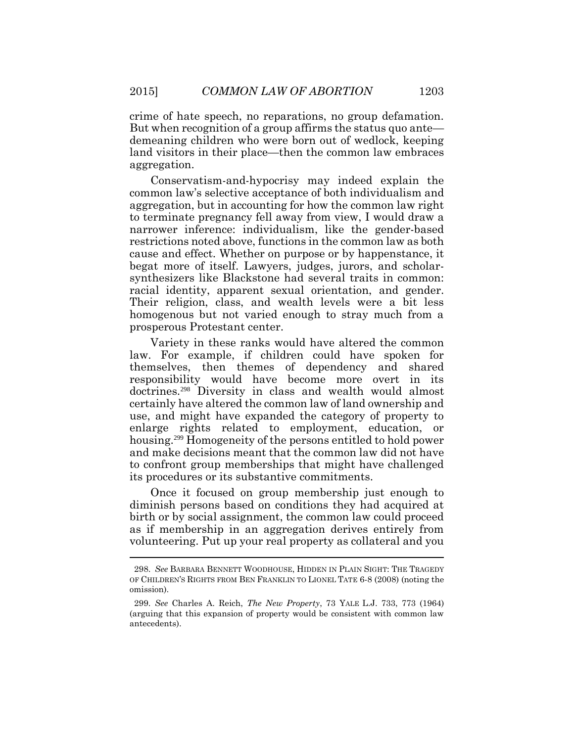crime of hate speech, no reparations, no group defamation. But when recognition of a group affirms the status quo ante demeaning children who were born out of wedlock, keeping land visitors in their place—then the common law embraces aggregation.

Conservatism-and-hypocrisy may indeed explain the common law's selective acceptance of both individualism and aggregation, but in accounting for how the common law right to terminate pregnancy fell away from view, I would draw a narrower inference: individualism, like the gender-based restrictions noted above, functions in the common law as both cause and effect. Whether on purpose or by happenstance, it begat more of itself. Lawyers, judges, jurors, and scholarsynthesizers like Blackstone had several traits in common: racial identity, apparent sexual orientation, and gender. Their religion, class, and wealth levels were a bit less homogenous but not varied enough to stray much from a prosperous Protestant center.

Variety in these ranks would have altered the common law. For example, if children could have spoken for themselves, then themes of dependency and shared responsibility would have become more overt in its doctrines.<sup>298</sup> Diversity in class and wealth would almost certainly have altered the common law of land ownership and use, and might have expanded the category of property to enlarge rights related to employment, education, or housing.<sup>299</sup> Homogeneity of the persons entitled to hold power and make decisions meant that the common law did not have to confront group memberships that might have challenged its procedures or its substantive commitments.

Once it focused on group membership just enough to diminish persons based on conditions they had acquired at birth or by social assignment, the common law could proceed as if membership in an aggregation derives entirely from volunteering. Put up your real property as collateral and you

<sup>298.</sup> *See* BARBARA BENNETT WOODHOUSE, HIDDEN IN PLAIN SIGHT: THE TRAGEDY OF CHILDREN'S RIGHTS FROM BEN FRANKLIN TO LIONEL TATE 6-8 (2008) (noting the omission).

<sup>299.</sup> *See* Charles A. Reich, *The New Property*, 73 YALE L.J. 733, 773 (1964) (arguing that this expansion of property would be consistent with common law antecedents).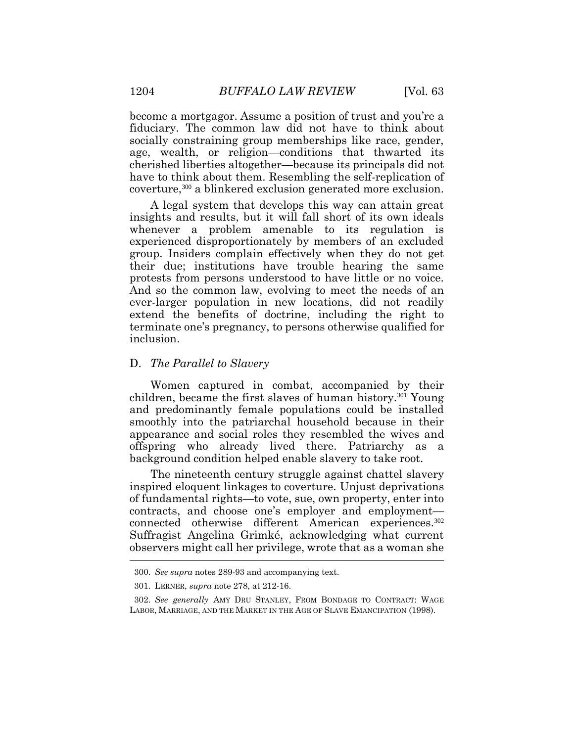become a mortgagor. Assume a position of trust and you're a fiduciary. The common law did not have to think about socially constraining group memberships like race, gender, age, wealth, or religion—conditions that thwarted its cherished liberties altogether—because its principals did not have to think about them. Resembling the self-replication of coverture,300 a blinkered exclusion generated more exclusion.

A legal system that develops this way can attain great insights and results, but it will fall short of its own ideals whenever a problem amenable to its regulation is experienced disproportionately by members of an excluded group. Insiders complain effectively when they do not get their due; institutions have trouble hearing the same protests from persons understood to have little or no voice. And so the common law, evolving to meet the needs of an ever-larger population in new locations, did not readily extend the benefits of doctrine, including the right to terminate one's pregnancy, to persons otherwise qualified for inclusion.

#### D. *The Parallel to Slavery*

Women captured in combat, accompanied by their children, became the first slaves of human history.301 Young and predominantly female populations could be installed smoothly into the patriarchal household because in their appearance and social roles they resembled the wives and offspring who already lived there. Patriarchy as a background condition helped enable slavery to take root.

The nineteenth century struggle against chattel slavery inspired eloquent linkages to coverture. Unjust deprivations of fundamental rights—to vote, sue, own property, enter into contracts, and choose one's employer and employment connected otherwise different American experiences.<sup>302</sup> Suffragist Angelina Grimké, acknowledging what current observers might call her privilege, wrote that as a woman she  $\overline{a}$ 

<sup>300.</sup> *See supra* notes 289-93 and accompanying text.

<sup>301.</sup> LERNER, *supra* note 278, at 212-16.

<sup>302.</sup> *See generally* AMY DRU STANLEY, FROM BONDAGE TO CONTRACT: WAGE LABOR, MARRIAGE, AND THE MARKET IN THE AGE OF SLAVE EMANCIPATION (1998).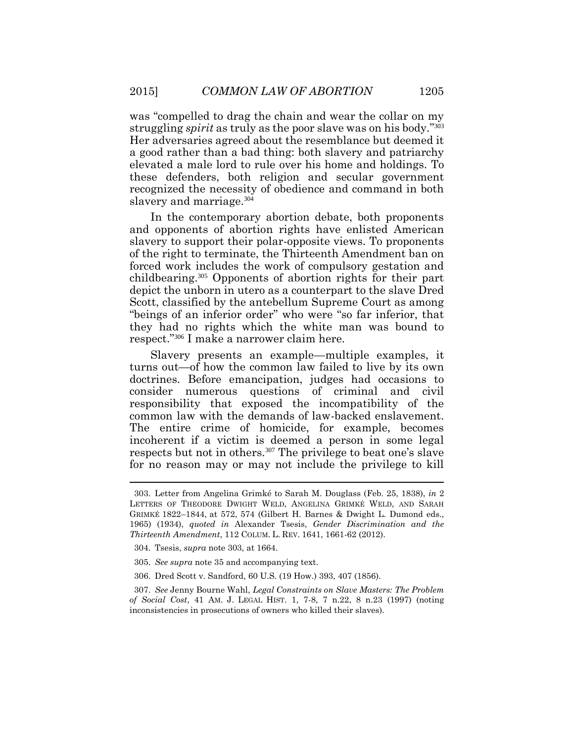was "compelled to drag the chain and wear the collar on my struggling *spirit* as truly as the poor slave was on his body." 303 Her adversaries agreed about the resemblance but deemed it a good rather than a bad thing: both slavery and patriarchy elevated a male lord to rule over his home and holdings. To these defenders, both religion and secular government recognized the necessity of obedience and command in both slavery and marriage.<sup>304</sup>

In the contemporary abortion debate, both proponents and opponents of abortion rights have enlisted American slavery to support their polar-opposite views. To proponents of the right to terminate, the Thirteenth Amendment ban on forced work includes the work of compulsory gestation and childbearing.<sup>305</sup> Opponents of abortion rights for their part depict the unborn in utero as a counterpart to the slave Dred Scott, classified by the antebellum Supreme Court as among "beings of an inferior order" who were "so far inferior, that they had no rights which the white man was bound to respect." <sup>306</sup> I make a narrower claim here.

Slavery presents an example—multiple examples, it turns out—of how the common law failed to live by its own doctrines. Before emancipation, judges had occasions to consider numerous questions of criminal and civil responsibility that exposed the incompatibility of the common law with the demands of law-backed enslavement. The entire crime of homicide, for example, becomes incoherent if a victim is deemed a person in some legal respects but not in others.<sup>307</sup> The privilege to beat one's slave for no reason may or may not include the privilege to kill

<sup>303.</sup> Letter from Angelina Grimké to Sarah M. Douglass (Feb. 25, 1838), *in* 2 LETTERS OF THEODORE DWIGHT WELD, ANGELINA GRIMKÉ WELD, AND SARAH GRIMKÉ 1822–1844, at 572, 574 (Gilbert H. Barnes & Dwight L. Dumond eds., 1965) (1934), *quoted in* Alexander Tsesis, *Gender Discrimination and the Thirteenth Amendment*, 112 COLUM. L. REV. 1641, 1661-62 (2012).

<sup>304.</sup> Tsesis, *supra* note 303, at 1664.

<sup>305.</sup> *See supra* note 35 and accompanying text.

<sup>306.</sup> Dred Scott v. Sandford, 60 U.S. (19 How.) 393, 407 (1856).

<sup>307.</sup> *See* Jenny Bourne Wahl, *Legal Constraints on Slave Masters: The Problem of Social Cost*, 41 AM. J. LEGAL HIST. 1, 7-8, 7 n.22, 8 n.23 (1997) (noting inconsistencies in prosecutions of owners who killed their slaves).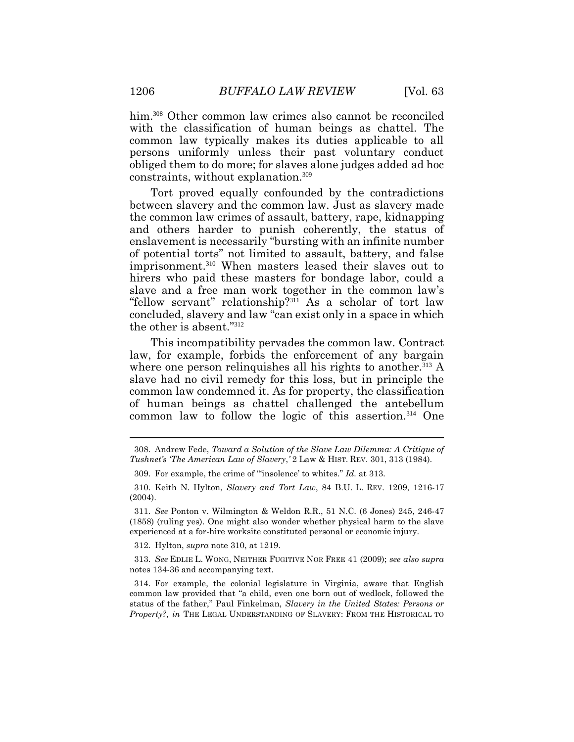him.<sup>308</sup> Other common law crimes also cannot be reconciled with the classification of human beings as chattel. The common law typically makes its duties applicable to all persons uniformly unless their past voluntary conduct obliged them to do more; for slaves alone judges added ad hoc constraints, without explanation.<sup>309</sup>

Tort proved equally confounded by the contradictions between slavery and the common law. Just as slavery made the common law crimes of assault, battery, rape, kidnapping and others harder to punish coherently, the status of enslavement is necessarily "bursting with an infinite number of potential torts" not limited to assault, battery, and false imprisonment.<sup>310</sup> When masters leased their slaves out to hirers who paid these masters for bondage labor, could a slave and a free man work together in the common law's "fellow servant" relationship?<sup>311</sup> As a scholar of tort law concluded, slavery and law "can exist only in a space in which the other is absent." 312

This incompatibility pervades the common law. Contract law, for example, forbids the enforcement of any bargain where one person relinquishes all his rights to another.<sup>313</sup> A slave had no civil remedy for this loss, but in principle the common law condemned it. As for property, the classification of human beings as chattel challenged the antebellum common law to follow the logic of this assertion.<sup>314</sup> One

312. Hylton, *supra* note 310, at 1219.

313. *See* EDLIE L. WONG, NEITHER FUGITIVE NOR FREE 41 (2009); *see also supra*  notes 134-36 and accompanying text.

314. For example, the colonial legislature in Virginia, aware that English common law provided that "a child, even one born out of wedlock, followed the status of the father," Paul Finkelman, *Slavery in the United States: Persons or Property?*, *in* THE LEGAL UNDERSTANDING OF SLAVERY: FROM THE HISTORICAL TO

<sup>308.</sup> Andrew Fede, *Toward a Solution of the Slave Law Dilemma: A Critique of Tushnet's 'The American Law of Slavery*,*'* 2 Law & HIST. REV. 301, 313 (1984).

<sup>309.</sup> For example, the crime of "'insolence' to whites." *Id.* at 313.

<sup>310.</sup> Keith N. Hylton, *Slavery and Tort Law*, 84 B.U. L. REV. 1209, 1216-17 (2004).

<sup>311.</sup> *See* Ponton v. Wilmington & Weldon R.R., 51 N.C. (6 Jones) 245, 246-47 (1858) (ruling yes). One might also wonder whether physical harm to the slave experienced at a for-hire worksite constituted personal or economic injury.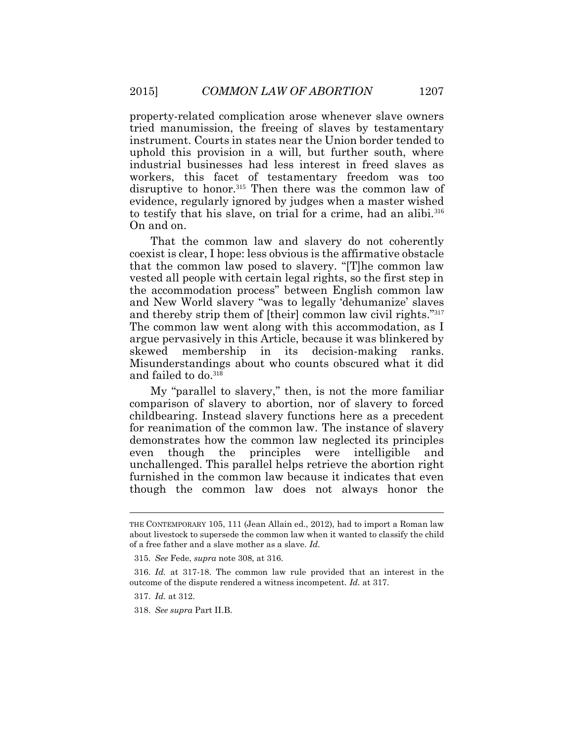property-related complication arose whenever slave owners tried manumission, the freeing of slaves by testamentary instrument. Courts in states near the Union border tended to uphold this provision in a will, but further south, where industrial businesses had less interest in freed slaves as workers, this facet of testamentary freedom was too disruptive to honor.<sup>315</sup> Then there was the common law of evidence, regularly ignored by judges when a master wished to testify that his slave, on trial for a crime, had an alibi.<sup>316</sup> On and on.

That the common law and slavery do not coherently coexist is clear, I hope: less obvious is the affirmative obstacle that the common law posed to slavery. "[T]he common law vested all people with certain legal rights, so the first step in the accommodation process" between English common law and New World slavery "was to legally 'dehumanize' slaves and thereby strip them of [their] common law civil rights." 317 The common law went along with this accommodation, as I argue pervasively in this Article, because it was blinkered by skewed membership in its decision-making ranks. Misunderstandings about who counts obscured what it did and failed to do. 318

My "parallel to slavery," then, is not the more familiar comparison of slavery to abortion, nor of slavery to forced childbearing. Instead slavery functions here as a precedent for reanimation of the common law. The instance of slavery demonstrates how the common law neglected its principles even though the principles were intelligible and unchallenged. This parallel helps retrieve the abortion right furnished in the common law because it indicates that even though the common law does not always honor the

THE CONTEMPORARY 105, 111 (Jean Allain ed., 2012), had to import a Roman law about livestock to supersede the common law when it wanted to classify the child of a free father and a slave mother as a slave. *Id.*

<sup>315.</sup> *See* Fede, *supra* note 308, at 316.

<sup>316.</sup> *Id.* at 317-18. The common law rule provided that an interest in the outcome of the dispute rendered a witness incompetent. *Id.* at 317.

<sup>317.</sup> *Id.* at 312.

<sup>318.</sup> *See supra* Part II.B.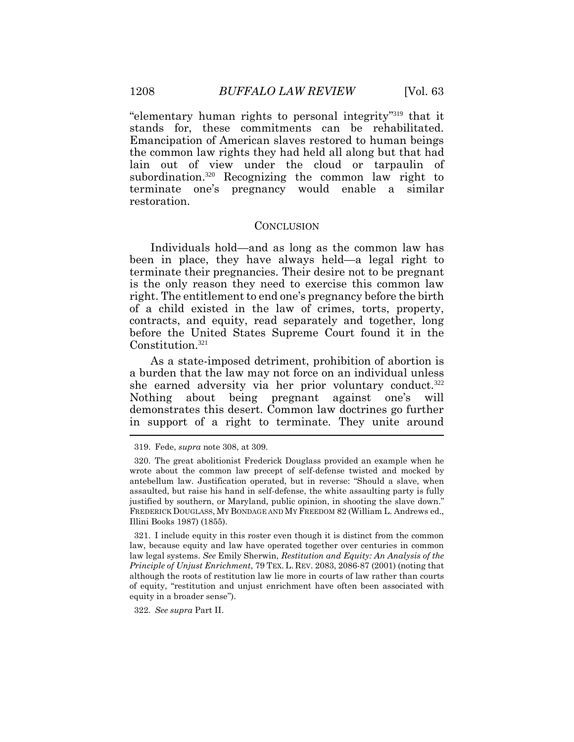"elementary human rights to personal integrity" <sup>319</sup> that it stands for, these commitments can be rehabilitated. Emancipation of American slaves restored to human beings the common law rights they had held all along but that had lain out of view under the cloud or tarpaulin of subordination.<sup>320</sup> Recognizing the common law right to terminate one's pregnancy would enable a similar restoration.

#### **CONCLUSION**

Individuals hold—and as long as the common law has been in place, they have always held—a legal right to terminate their pregnancies. Their desire not to be pregnant is the only reason they need to exercise this common law right. The entitlement to end one's pregnancy before the birth of a child existed in the law of crimes, torts, property, contracts, and equity, read separately and together, long before the United States Supreme Court found it in the Constitution.<sup>321</sup>

As a state-imposed detriment, prohibition of abortion is a burden that the law may not force on an individual unless she earned adversity via her prior voluntary conduct.<sup>322</sup> Nothing about being pregnant against one's will demonstrates this desert. Common law doctrines go further in support of a right to terminate. They unite around  $\overline{a}$ 

321. I include equity in this roster even though it is distinct from the common law, because equity and law have operated together over centuries in common law legal systems. *See* Emily Sherwin, *Restitution and Equity: An Analysis of the Principle of Unjust Enrichment*, 79 TEX. L. REV. 2083, 2086-87 (2001) (noting that although the roots of restitution law lie more in courts of law rather than courts of equity, "restitution and unjust enrichment have often been associated with equity in a broader sense").

322. *See supra* Part II.

<sup>319.</sup> Fede, *supra* note 308, at 309.

<sup>320.</sup> The great abolitionist Frederick Douglass provided an example when he wrote about the common law precept of self-defense twisted and mocked by antebellum law. Justification operated, but in reverse: "Should a slave, when assaulted, but raise his hand in self-defense, the white assaulting party is fully justified by southern, or Maryland, public opinion, in shooting the slave down." FREDERICK DOUGLASS, MY BONDAGE AND MY FREEDOM 82 (William L. Andrews ed., Illini Books 1987) (1855).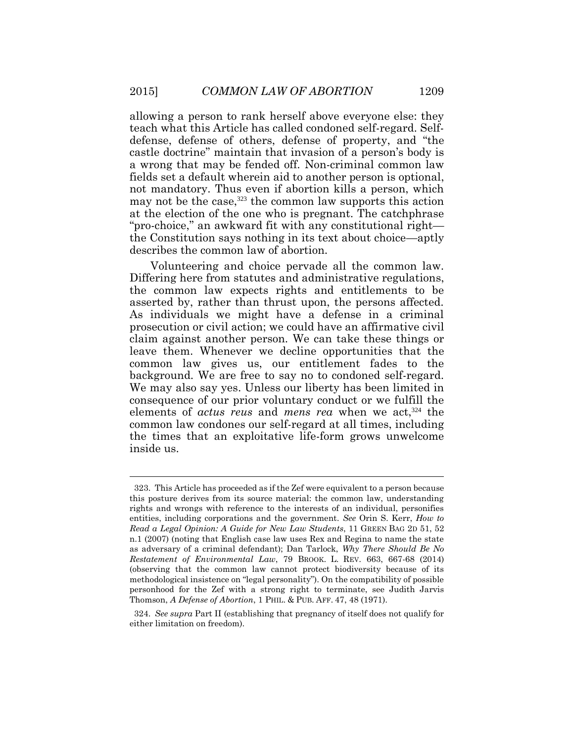allowing a person to rank herself above everyone else: they teach what this Article has called condoned self-regard. Selfdefense, defense of others, defense of property, and "the castle doctrine" maintain that invasion of a person's body is a wrong that may be fended off. Non-criminal common law fields set a default wherein aid to another person is optional, not mandatory. Thus even if abortion kills a person, which may not be the case,  $323$  the common law supports this action at the election of the one who is pregnant. The catchphrase "pro-choice," an awkward fit with any constitutional right the Constitution says nothing in its text about choice—aptly describes the common law of abortion.

Volunteering and choice pervade all the common law. Differing here from statutes and administrative regulations, the common law expects rights and entitlements to be asserted by, rather than thrust upon, the persons affected. As individuals we might have a defense in a criminal prosecution or civil action; we could have an affirmative civil claim against another person. We can take these things or leave them. Whenever we decline opportunities that the common law gives us, our entitlement fades to the background. We are free to say no to condoned self-regard. We may also say yes. Unless our liberty has been limited in consequence of our prior voluntary conduct or we fulfill the elements of *actus reus* and *mens rea* when we act,<sup>324</sup> the common law condones our self-regard at all times, including the times that an exploitative life-form grows unwelcome inside us.

<sup>323.</sup> This Article has proceeded as if the Zef were equivalent to a person because this posture derives from its source material: the common law, understanding rights and wrongs with reference to the interests of an individual, personifies entities, including corporations and the government. *See* Orin S. Kerr, *How to Read a Legal Opinion: A Guide for New Law Students*, 11 GREEN BAG 2D 51, 52 n.1 (2007) (noting that English case law uses Rex and Regina to name the state as adversary of a criminal defendant); Dan Tarlock, *Why There Should Be No Restatement of Environmental Law*, 79 BROOK. L. REV. 663, 667-68 (2014) (observing that the common law cannot protect biodiversity because of its methodological insistence on "legal personality"). On the compatibility of possible personhood for the Zef with a strong right to terminate, see Judith Jarvis Thomson, *A Defense of Abortion*, 1 PHIL. & PUB. AFF. 47, 48 (1971).

<sup>324.</sup> *See supra* Part II (establishing that pregnancy of itself does not qualify for either limitation on freedom).